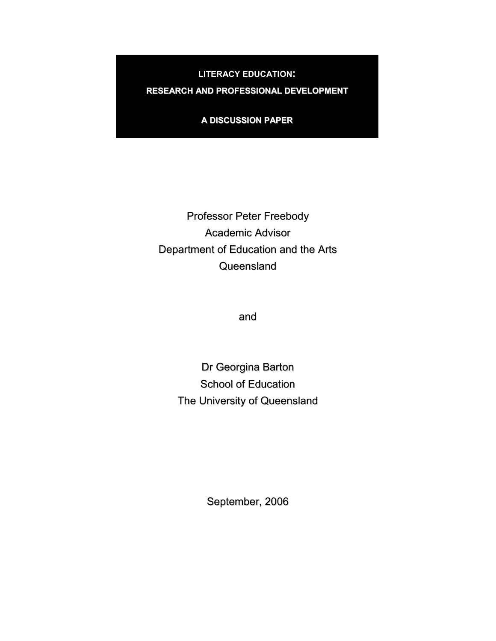LITERACY EDUCATION:

RESEARCH AND PROFESSIONAL DEVELOPMENT

A DISCUSSION PAPER

Professor Peter Freebody Academic Advisor Department of Education and the Arts **Queensland** 

and

Dr Georgina Barton School of Education The University of Queensland

September, 2006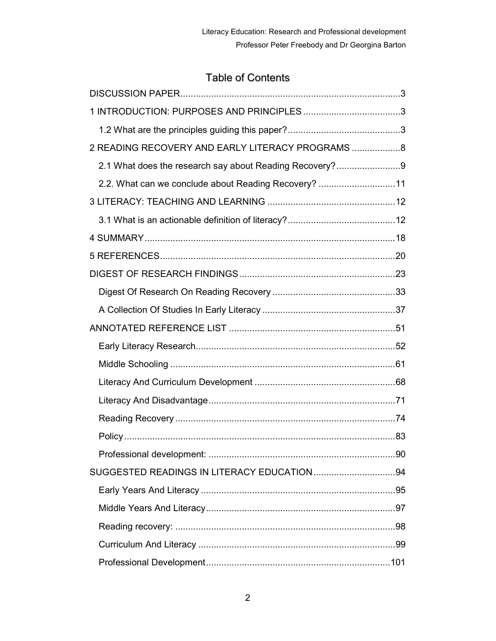# Table of Contents

| 2 READING RECOVERY AND EARLY LITERACY PROGRAMS  8      |  |
|--------------------------------------------------------|--|
| 2.1 What does the research say about Reading Recovery? |  |
| 2.2. What can we conclude about Reading Recovery? 11   |  |
|                                                        |  |
|                                                        |  |
|                                                        |  |
|                                                        |  |
|                                                        |  |
|                                                        |  |
|                                                        |  |
|                                                        |  |
|                                                        |  |
|                                                        |  |
|                                                        |  |
|                                                        |  |
|                                                        |  |
|                                                        |  |
|                                                        |  |
|                                                        |  |
|                                                        |  |
|                                                        |  |
|                                                        |  |
|                                                        |  |
|                                                        |  |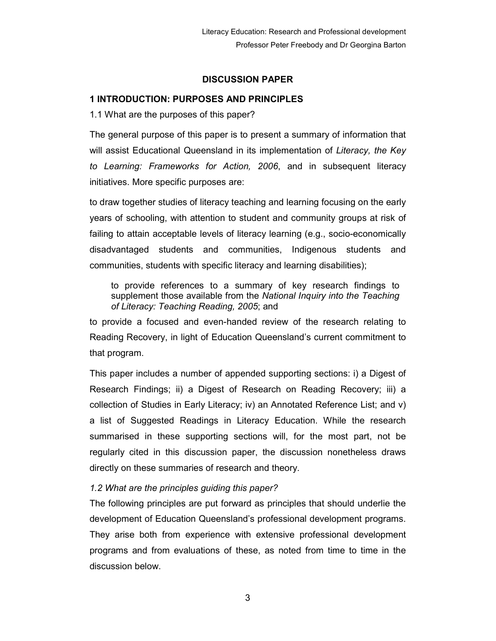## DISCUSSION PAPER

## 1 INTRODUCTION: PURPOSES AND PRINCIPLES

1.1 What are the purposes of this paper?

The general purpose of this paper is to present a summary of information that will assist Educational Queensland in its implementation of Literacy, the Key to Learning: Frameworks for Action, 2006, and in subsequent literacy initiatives. More specific purposes are:

to draw together studies of literacy teaching and learning focusing on the early years of schooling, with attention to student and community groups at risk of failing to attain acceptable levels of literacy learning (e.g., socio-economically disadvantaged students and communities, Indigenous students and communities, students with specific literacy and learning disabilities);

to provide references to a summary of key research findings to supplement those available from the National Inquiry into the Teaching of Literacy: Teaching Reading, 2005; and

to provide a focused and even-handed review of the research relating to Reading Recovery, in light of Education Queensland's current commitment to that program.

This paper includes a number of appended supporting sections: i) a Digest of Research Findings; ii) a Digest of Research on Reading Recovery; iii) a collection of Studies in Early Literacy; iv) an Annotated Reference List; and v) a list of Suggested Readings in Literacy Education. While the research summarised in these supporting sections will, for the most part, not be regularly cited in this discussion paper, the discussion nonetheless draws directly on these summaries of research and theory.

## 1.2 What are the principles guiding this paper?

The following principles are put forward as principles that should underlie the development of Education Queensland's professional development programs. They arise both from experience with extensive professional development programs and from evaluations of these, as noted from time to time in the discussion below.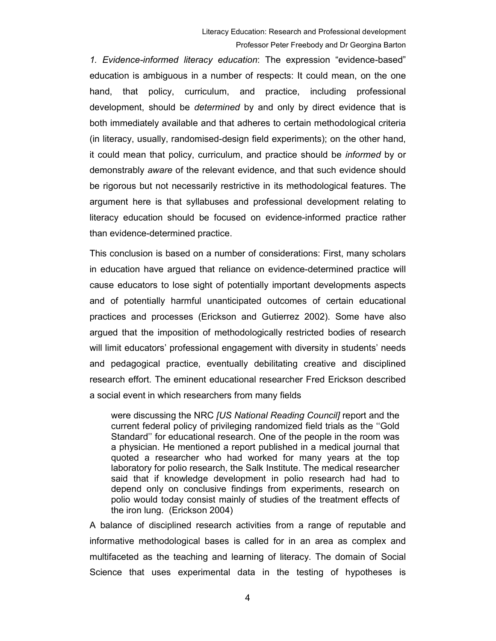1. Evidence-informed literacy education: The expression "evidence-based" education is ambiguous in a number of respects: It could mean, on the one hand, that policy, curriculum, and practice, including professional development, should be determined by and only by direct evidence that is both immediately available and that adheres to certain methodological criteria (in literacy, usually, randomised-design field experiments); on the other hand, it could mean that policy, curriculum, and practice should be informed by or demonstrably aware of the relevant evidence, and that such evidence should be rigorous but not necessarily restrictive in its methodological features. The argument here is that syllabuses and professional development relating to literacy education should be focused on evidence-informed practice rather than evidence-determined practice.

This conclusion is based on a number of considerations: First, many scholars in education have argued that reliance on evidence-determined practice will cause educators to lose sight of potentially important developments aspects and of potentially harmful unanticipated outcomes of certain educational practices and processes (Erickson and Gutierrez 2002). Some have also argued that the imposition of methodologically restricted bodies of research will limit educators' professional engagement with diversity in students' needs and pedagogical practice, eventually debilitating creative and disciplined research effort. The eminent educational researcher Fred Erickson described a social event in which researchers from many fields

were discussing the NRC [US National Reading Council] report and the current federal policy of privileging randomized field trials as the ''Gold Standard'' for educational research. One of the people in the room was a physician. He mentioned a report published in a medical journal that quoted a researcher who had worked for many years at the top laboratory for polio research, the Salk Institute. The medical researcher said that if knowledge development in polio research had had to depend only on conclusive findings from experiments, research on polio would today consist mainly of studies of the treatment effects of the iron lung. (Erickson 2004)

A balance of disciplined research activities from a range of reputable and informative methodological bases is called for in an area as complex and multifaceted as the teaching and learning of literacy. The domain of Social Science that uses experimental data in the testing of hypotheses is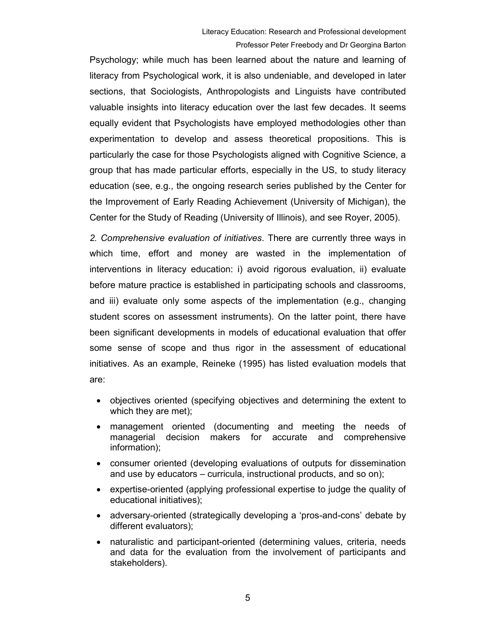Psychology; while much has been learned about the nature and learning of literacy from Psychological work, it is also undeniable, and developed in later sections, that Sociologists, Anthropologists and Linguists have contributed valuable insights into literacy education over the last few decades. It seems equally evident that Psychologists have employed methodologies other than experimentation to develop and assess theoretical propositions. This is particularly the case for those Psychologists aligned with Cognitive Science, a group that has made particular efforts, especially in the US, to study literacy education (see, e.g., the ongoing research series published by the Center for the Improvement of Early Reading Achievement (University of Michigan), the Center for the Study of Reading (University of Illinois), and see Royer, 2005).

2. Comprehensive evaluation of initiatives. There are currently three ways in which time, effort and money are wasted in the implementation of interventions in literacy education: i) avoid rigorous evaluation, ii) evaluate before mature practice is established in participating schools and classrooms, and iii) evaluate only some aspects of the implementation (e.g., changing student scores on assessment instruments). On the latter point, there have been significant developments in models of educational evaluation that offer some sense of scope and thus rigor in the assessment of educational initiatives. As an example, Reineke (1995) has listed evaluation models that are:

- objectives oriented (specifying objectives and determining the extent to which they are met);
- management oriented (documenting and meeting the needs of managerial decision makers for accurate and comprehensive information);
- consumer oriented (developing evaluations of outputs for dissemination and use by educators – curricula, instructional products, and so on);
- expertise-oriented (applying professional expertise to judge the quality of educational initiatives);
- adversary-oriented (strategically developing a 'pros-and-cons' debate by different evaluators);
- naturalistic and participant-oriented (determining values, criteria, needs and data for the evaluation from the involvement of participants and stakeholders).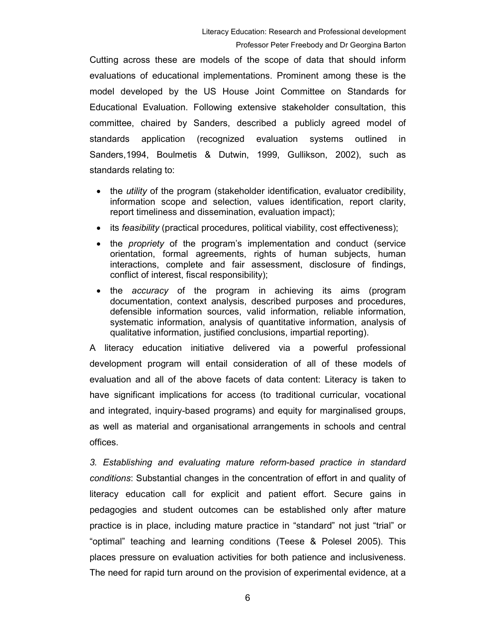Cutting across these are models of the scope of data that should inform evaluations of educational implementations. Prominent among these is the model developed by the US House Joint Committee on Standards for Educational Evaluation. Following extensive stakeholder consultation, this committee, chaired by Sanders, described a publicly agreed model of standards application (recognized evaluation systems outlined in Sanders,1994, Boulmetis & Dutwin, 1999, Gullikson, 2002), such as standards relating to:

- the *utility* of the program (stakeholder identification, evaluator credibility, information scope and selection, values identification, report clarity, report timeliness and dissemination, evaluation impact);
- its *feasibility* (practical procedures, political viability, cost effectiveness);
- the *propriety* of the program's implementation and conduct (service orientation, formal agreements, rights of human subjects, human interactions, complete and fair assessment, disclosure of findings, conflict of interest, fiscal responsibility);
- the accuracy of the program in achieving its aims (program documentation, context analysis, described purposes and procedures, defensible information sources, valid information, reliable information, systematic information, analysis of quantitative information, analysis of qualitative information, justified conclusions, impartial reporting).

A literacy education initiative delivered via a powerful professional development program will entail consideration of all of these models of evaluation and all of the above facets of data content: Literacy is taken to have significant implications for access (to traditional curricular, vocational and integrated, inquiry-based programs) and equity for marginalised groups, as well as material and organisational arrangements in schools and central offices.

3. Establishing and evaluating mature reform-based practice in standard conditions: Substantial changes in the concentration of effort in and quality of literacy education call for explicit and patient effort. Secure gains in pedagogies and student outcomes can be established only after mature practice is in place, including mature practice in "standard" not just "trial" or "optimal" teaching and learning conditions (Teese & Polesel 2005). This places pressure on evaluation activities for both patience and inclusiveness. The need for rapid turn around on the provision of experimental evidence, at a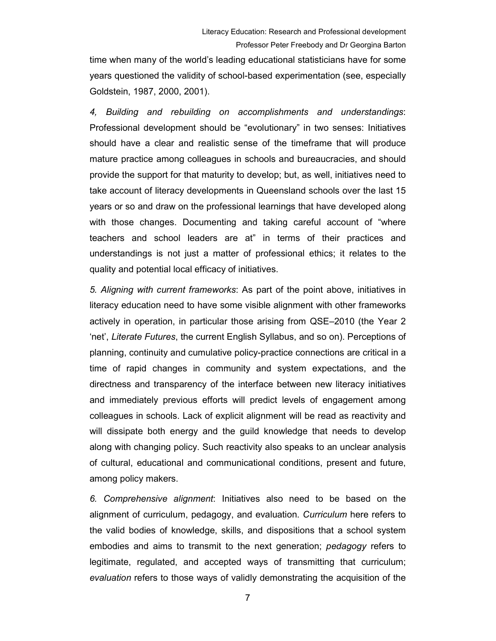time when many of the world's leading educational statisticians have for some years questioned the validity of school-based experimentation (see, especially Goldstein, 1987, 2000, 2001).

4, Building and rebuilding on accomplishments and understandings: Professional development should be "evolutionary" in two senses: Initiatives should have a clear and realistic sense of the timeframe that will produce mature practice among colleagues in schools and bureaucracies, and should provide the support for that maturity to develop; but, as well, initiatives need to take account of literacy developments in Queensland schools over the last 15 years or so and draw on the professional learnings that have developed along with those changes. Documenting and taking careful account of "where teachers and school leaders are at" in terms of their practices and understandings is not just a matter of professional ethics; it relates to the quality and potential local efficacy of initiatives.

5. Aligning with current frameworks: As part of the point above, initiatives in literacy education need to have some visible alignment with other frameworks actively in operation, in particular those arising from QSE–2010 (the Year 2 'net', Literate Futures, the current English Syllabus, and so on). Perceptions of planning, continuity and cumulative policy-practice connections are critical in a time of rapid changes in community and system expectations, and the directness and transparency of the interface between new literacy initiatives and immediately previous efforts will predict levels of engagement among colleagues in schools. Lack of explicit alignment will be read as reactivity and will dissipate both energy and the guild knowledge that needs to develop along with changing policy. Such reactivity also speaks to an unclear analysis of cultural, educational and communicational conditions, present and future, among policy makers.

6. Comprehensive alignment: Initiatives also need to be based on the alignment of curriculum, pedagogy, and evaluation. Curriculum here refers to the valid bodies of knowledge, skills, and dispositions that a school system embodies and aims to transmit to the next generation; pedagogy refers to legitimate, regulated, and accepted ways of transmitting that curriculum; evaluation refers to those ways of validly demonstrating the acquisition of the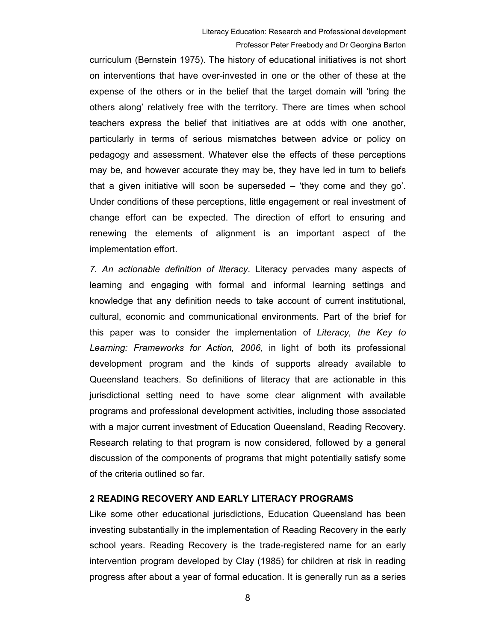curriculum (Bernstein 1975). The history of educational initiatives is not short on interventions that have over-invested in one or the other of these at the expense of the others or in the belief that the target domain will 'bring the others along' relatively free with the territory. There are times when school teachers express the belief that initiatives are at odds with one another, particularly in terms of serious mismatches between advice or policy on pedagogy and assessment. Whatever else the effects of these perceptions may be, and however accurate they may be, they have led in turn to beliefs that a given initiative will soon be superseded – 'they come and they go'. Under conditions of these perceptions, little engagement or real investment of change effort can be expected. The direction of effort to ensuring and renewing the elements of alignment is an important aspect of the implementation effort.

7. An actionable definition of literacy. Literacy pervades many aspects of learning and engaging with formal and informal learning settings and knowledge that any definition needs to take account of current institutional, cultural, economic and communicational environments. Part of the brief for this paper was to consider the implementation of Literacy, the Key to Learning: Frameworks for Action, 2006, in light of both its professional development program and the kinds of supports already available to Queensland teachers. So definitions of literacy that are actionable in this jurisdictional setting need to have some clear alignment with available programs and professional development activities, including those associated with a major current investment of Education Queensland, Reading Recovery. Research relating to that program is now considered, followed by a general discussion of the components of programs that might potentially satisfy some of the criteria outlined so far.

## 2 READING RECOVERY AND EARLY LITERACY PROGRAMS

Like some other educational jurisdictions, Education Queensland has been investing substantially in the implementation of Reading Recovery in the early school years. Reading Recovery is the trade-registered name for an early intervention program developed by Clay (1985) for children at risk in reading progress after about a year of formal education. It is generally run as a series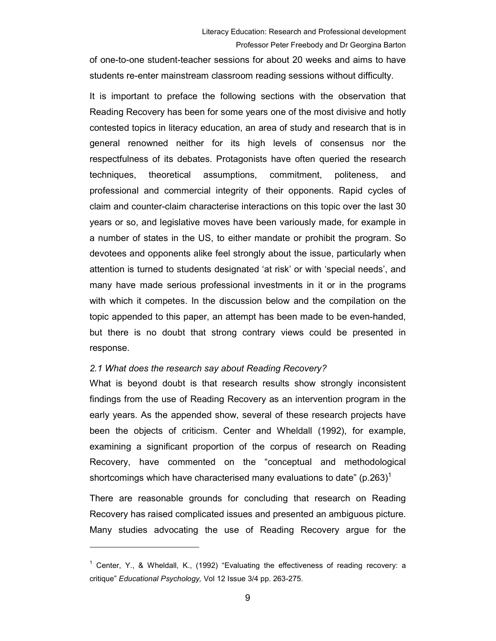of one-to-one student-teacher sessions for about 20 weeks and aims to have students re-enter mainstream classroom reading sessions without difficulty.

It is important to preface the following sections with the observation that Reading Recovery has been for some years one of the most divisive and hotly contested topics in literacy education, an area of study and research that is in general renowned neither for its high levels of consensus nor the respectfulness of its debates. Protagonists have often queried the research techniques, theoretical assumptions, commitment, politeness, and professional and commercial integrity of their opponents. Rapid cycles of claim and counter-claim characterise interactions on this topic over the last 30 years or so, and legislative moves have been variously made, for example in a number of states in the US, to either mandate or prohibit the program. So devotees and opponents alike feel strongly about the issue, particularly when attention is turned to students designated 'at risk' or with 'special needs', and many have made serious professional investments in it or in the programs with which it competes. In the discussion below and the compilation on the topic appended to this paper, an attempt has been made to be even-handed, but there is no doubt that strong contrary views could be presented in response.

## 2.1 What does the research say about Reading Recovery?

 $\overline{a}$ 

What is beyond doubt is that research results show strongly inconsistent findings from the use of Reading Recovery as an intervention program in the early years. As the appended show, several of these research projects have been the objects of criticism. Center and Wheldall (1992), for example, examining a significant proportion of the corpus of research on Reading Recovery, have commented on the "conceptual and methodological shortcomings which have characterised many evaluations to date"  $(p.263)^{1}$ 

There are reasonable grounds for concluding that research on Reading Recovery has raised complicated issues and presented an ambiguous picture. Many studies advocating the use of Reading Recovery argue for the

<sup>&</sup>lt;sup>1</sup> Center, Y., & Wheldall, K., (1992) "Evaluating the effectiveness of reading recovery: a critique" Educational Psychology, Vol 12 Issue 3/4 pp. 263-275.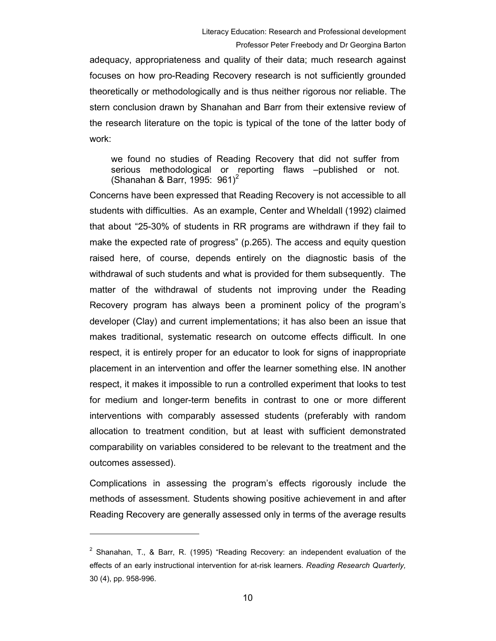adequacy, appropriateness and quality of their data; much research against focuses on how pro-Reading Recovery research is not sufficiently grounded theoretically or methodologically and is thus neither rigorous nor reliable. The stern conclusion drawn by Shanahan and Barr from their extensive review of the research literature on the topic is typical of the tone of the latter body of work:

we found no studies of Reading Recovery that did not suffer from serious methodological or reporting flaws –published or not. (Shanahan & Barr, 1995:  $961<sup>2</sup>$ 

Concerns have been expressed that Reading Recovery is not accessible to all students with difficulties. As an example, Center and Wheldall (1992) claimed that about "25-30% of students in RR programs are withdrawn if they fail to make the expected rate of progress" (p.265). The access and equity question raised here, of course, depends entirely on the diagnostic basis of the withdrawal of such students and what is provided for them subsequently. The matter of the withdrawal of students not improving under the Reading Recovery program has always been a prominent policy of the program's developer (Clay) and current implementations; it has also been an issue that makes traditional, systematic research on outcome effects difficult. In one respect, it is entirely proper for an educator to look for signs of inappropriate placement in an intervention and offer the learner something else. IN another respect, it makes it impossible to run a controlled experiment that looks to test for medium and longer-term benefits in contrast to one or more different interventions with comparably assessed students (preferably with random allocation to treatment condition, but at least with sufficient demonstrated comparability on variables considered to be relevant to the treatment and the outcomes assessed).

Complications in assessing the program's effects rigorously include the methods of assessment. Students showing positive achievement in and after Reading Recovery are generally assessed only in terms of the average results

 $\overline{a}$ 

<sup>&</sup>lt;sup>2</sup> Shanahan, T., & Barr, R. (1995) "Reading Recovery: an independent evaluation of the effects of an early instructional intervention for at-risk learners. Reading Research Quarterly, 30 (4), pp. 958-996.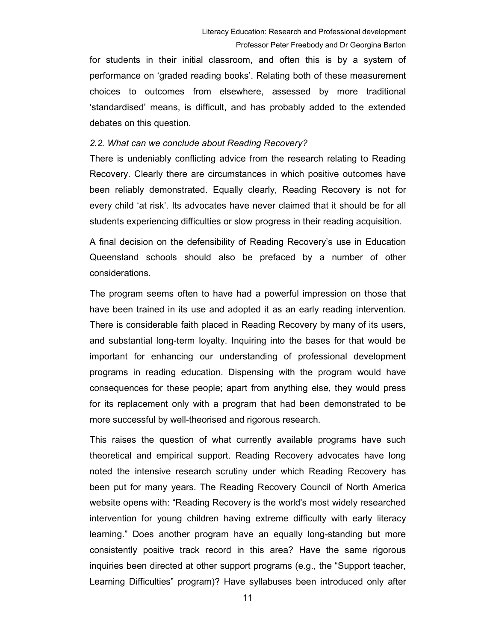for students in their initial classroom, and often this is by a system of performance on 'graded reading books'. Relating both of these measurement choices to outcomes from elsewhere, assessed by more traditional 'standardised' means, is difficult, and has probably added to the extended debates on this question.

## 2.2. What can we conclude about Reading Recovery?

There is undeniably conflicting advice from the research relating to Reading Recovery. Clearly there are circumstances in which positive outcomes have been reliably demonstrated. Equally clearly, Reading Recovery is not for every child 'at risk'. Its advocates have never claimed that it should be for all students experiencing difficulties or slow progress in their reading acquisition.

A final decision on the defensibility of Reading Recovery's use in Education Queensland schools should also be prefaced by a number of other considerations.

The program seems often to have had a powerful impression on those that have been trained in its use and adopted it as an early reading intervention. There is considerable faith placed in Reading Recovery by many of its users, and substantial long-term loyalty. Inquiring into the bases for that would be important for enhancing our understanding of professional development programs in reading education. Dispensing with the program would have consequences for these people; apart from anything else, they would press for its replacement only with a program that had been demonstrated to be more successful by well-theorised and rigorous research.

This raises the question of what currently available programs have such theoretical and empirical support. Reading Recovery advocates have long noted the intensive research scrutiny under which Reading Recovery has been put for many years. The Reading Recovery Council of North America website opens with: "Reading Recovery is the world's most widely researched intervention for young children having extreme difficulty with early literacy learning." Does another program have an equally long-standing but more consistently positive track record in this area? Have the same rigorous inquiries been directed at other support programs (e.g., the "Support teacher, Learning Difficulties" program)? Have syllabuses been introduced only after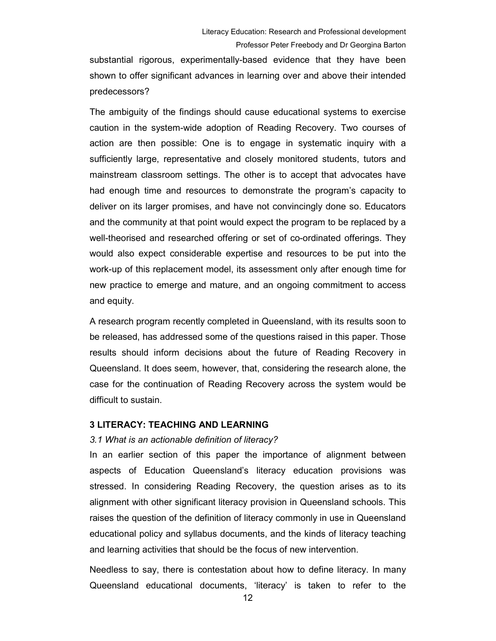substantial rigorous, experimentally-based evidence that they have been shown to offer significant advances in learning over and above their intended predecessors?

The ambiguity of the findings should cause educational systems to exercise caution in the system-wide adoption of Reading Recovery. Two courses of action are then possible: One is to engage in systematic inquiry with a sufficiently large, representative and closely monitored students, tutors and mainstream classroom settings. The other is to accept that advocates have had enough time and resources to demonstrate the program's capacity to deliver on its larger promises, and have not convincingly done so. Educators and the community at that point would expect the program to be replaced by a well-theorised and researched offering or set of co-ordinated offerings. They would also expect considerable expertise and resources to be put into the work-up of this replacement model, its assessment only after enough time for new practice to emerge and mature, and an ongoing commitment to access and equity.

A research program recently completed in Queensland, with its results soon to be released, has addressed some of the questions raised in this paper. Those results should inform decisions about the future of Reading Recovery in Queensland. It does seem, however, that, considering the research alone, the case for the continuation of Reading Recovery across the system would be difficult to sustain.

## 3 LITERACY: TEACHING AND LEARNING

## 3.1 What is an actionable definition of literacy?

In an earlier section of this paper the importance of alignment between aspects of Education Queensland's literacy education provisions was stressed. In considering Reading Recovery, the question arises as to its alignment with other significant literacy provision in Queensland schools. This raises the question of the definition of literacy commonly in use in Queensland educational policy and syllabus documents, and the kinds of literacy teaching and learning activities that should be the focus of new intervention.

Needless to say, there is contestation about how to define literacy. In many Queensland educational documents, 'literacy' is taken to refer to the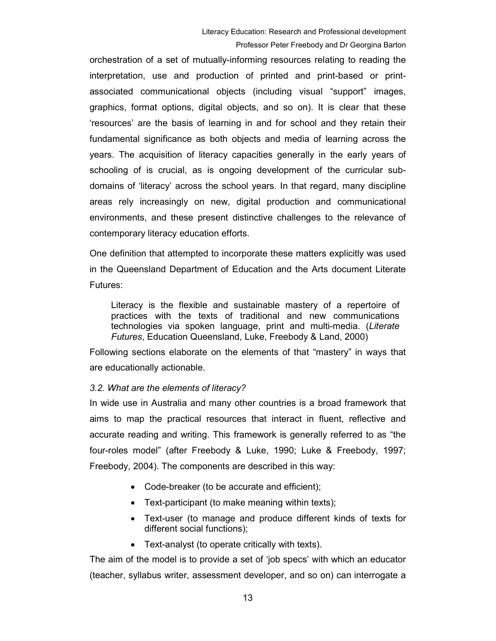orchestration of a set of mutually-informing resources relating to reading the interpretation, use and production of printed and print-based or printassociated communicational objects (including visual "support" images, graphics, format options, digital objects, and so on). It is clear that these 'resources' are the basis of learning in and for school and they retain their fundamental significance as both objects and media of learning across the years. The acquisition of literacy capacities generally in the early years of schooling of is crucial, as is ongoing development of the curricular subdomains of 'literacy' across the school years. In that regard, many discipline areas rely increasingly on new, digital production and communicational environments, and these present distinctive challenges to the relevance of contemporary literacy education efforts.

One definition that attempted to incorporate these matters explicitly was used in the Queensland Department of Education and the Arts document Literate Futures:

Literacy is the flexible and sustainable mastery of a repertoire of practices with the texts of traditional and new communications technologies via spoken language, print and multi-media. (Literate Futures, Education Queensland, Luke, Freebody & Land, 2000)

Following sections elaborate on the elements of that "mastery" in ways that are educationally actionable.

## 3.2. What are the elements of literacy?

In wide use in Australia and many other countries is a broad framework that aims to map the practical resources that interact in fluent, reflective and accurate reading and writing. This framework is generally referred to as "the four-roles model" (after Freebody & Luke, 1990; Luke & Freebody, 1997; Freebody, 2004). The components are described in this way:

- Code-breaker (to be accurate and efficient);
- Text-participant (to make meaning within texts);
- Text-user (to manage and produce different kinds of texts for different social functions);
- Text-analyst (to operate critically with texts).

The aim of the model is to provide a set of 'job specs' with which an educator (teacher, syllabus writer, assessment developer, and so on) can interrogate a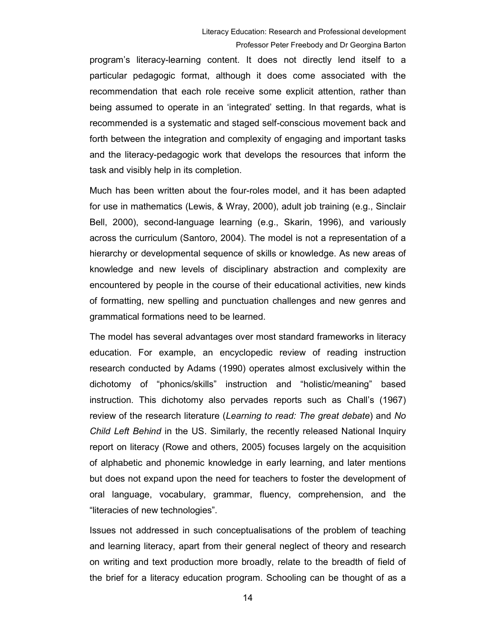program's literacy-learning content. It does not directly lend itself to a particular pedagogic format, although it does come associated with the recommendation that each role receive some explicit attention, rather than being assumed to operate in an 'integrated' setting. In that regards, what is recommended is a systematic and staged self-conscious movement back and forth between the integration and complexity of engaging and important tasks and the literacy-pedagogic work that develops the resources that inform the task and visibly help in its completion.

Much has been written about the four-roles model, and it has been adapted for use in mathematics (Lewis, & Wray, 2000), adult job training (e.g., Sinclair Bell, 2000), second-language learning (e.g., Skarin, 1996), and variously across the curriculum (Santoro, 2004). The model is not a representation of a hierarchy or developmental sequence of skills or knowledge. As new areas of knowledge and new levels of disciplinary abstraction and complexity are encountered by people in the course of their educational activities, new kinds of formatting, new spelling and punctuation challenges and new genres and grammatical formations need to be learned.

The model has several advantages over most standard frameworks in literacy education. For example, an encyclopedic review of reading instruction research conducted by Adams (1990) operates almost exclusively within the dichotomy of "phonics/skills" instruction and "holistic/meaning" based instruction. This dichotomy also pervades reports such as Chall's (1967) review of the research literature (Learning to read: The great debate) and No Child Left Behind in the US. Similarly, the recently released National Inquiry report on literacy (Rowe and others, 2005) focuses largely on the acquisition of alphabetic and phonemic knowledge in early learning, and later mentions but does not expand upon the need for teachers to foster the development of oral language, vocabulary, grammar, fluency, comprehension, and the "literacies of new technologies".

Issues not addressed in such conceptualisations of the problem of teaching and learning literacy, apart from their general neglect of theory and research on writing and text production more broadly, relate to the breadth of field of the brief for a literacy education program. Schooling can be thought of as a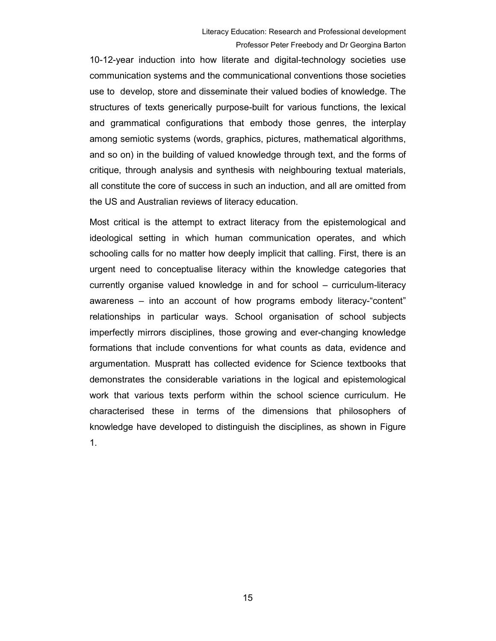10-12-year induction into how literate and digital-technology societies use communication systems and the communicational conventions those societies use to develop, store and disseminate their valued bodies of knowledge. The structures of texts generically purpose-built for various functions, the lexical and grammatical configurations that embody those genres, the interplay among semiotic systems (words, graphics, pictures, mathematical algorithms, and so on) in the building of valued knowledge through text, and the forms of critique, through analysis and synthesis with neighbouring textual materials, all constitute the core of success in such an induction, and all are omitted from the US and Australian reviews of literacy education.

Most critical is the attempt to extract literacy from the epistemological and ideological setting in which human communication operates, and which schooling calls for no matter how deeply implicit that calling. First, there is an urgent need to conceptualise literacy within the knowledge categories that currently organise valued knowledge in and for school – curriculum-literacy awareness – into an account of how programs embody literacy-"content" relationships in particular ways. School organisation of school subjects imperfectly mirrors disciplines, those growing and ever-changing knowledge formations that include conventions for what counts as data, evidence and argumentation. Muspratt has collected evidence for Science textbooks that demonstrates the considerable variations in the logical and epistemological work that various texts perform within the school science curriculum. He characterised these in terms of the dimensions that philosophers of knowledge have developed to distinguish the disciplines, as shown in Figure 1.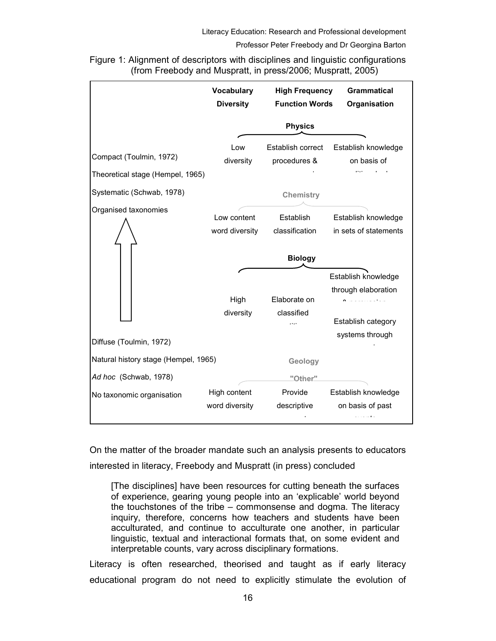Figure 1: Alignment of descriptors with disciplines and linguistic configurations (from Freebody and Muspratt, in press/2006; Muspratt, 2005)

|                                                               | <b>Vocabulary</b><br><b>Diversity</b> | <b>High Frequency</b><br><b>Function Words</b> | <b>Grammatical</b><br>Organisation                               |
|---------------------------------------------------------------|---------------------------------------|------------------------------------------------|------------------------------------------------------------------|
|                                                               | <b>Physics</b>                        |                                                |                                                                  |
| Compact (Toulmin, 1972)<br>Theoretical stage (Hempel, 1965)   | Low<br>diversity                      | Establish correct<br>procedures &              | Establish knowledge<br>on basis of                               |
| Systematic (Schwab, 1978)                                     |                                       | <b>Chemistry</b>                               |                                                                  |
| Organised taxonomies                                          | Low content<br>word diversity         | Establish<br>classification                    | Establish knowledge<br>in sets of statements                     |
|                                                               |                                       | <b>Biology</b>                                 |                                                                  |
|                                                               | High<br>diversity                     | Elaborate on<br>classified                     | Establish knowledge<br>through elaboration<br>Establish category |
| Diffuse (Toulmin, 1972)                                       |                                       |                                                | systems through                                                  |
| Natural history stage (Hempel, 1965)<br>Ad hoc (Schwab, 1978) |                                       | Geology                                        |                                                                  |
| No taxonomic organisation                                     | High content<br>word diversity        | <u>"Other"</u><br>Provide<br>descriptive       | Establish knowledge<br>on basis of past                          |

On the matter of the broader mandate such an analysis presents to educators interested in literacy, Freebody and Muspratt (in press) concluded

[The disciplines] have been resources for cutting beneath the surfaces of experience, gearing young people into an 'explicable' world beyond the touchstones of the tribe – commonsense and dogma. The literacy inquiry, therefore, concerns how teachers and students have been acculturated, and continue to acculturate one another, in particular linguistic, textual and interactional formats that, on some evident and interpretable counts, vary across disciplinary formations.

Literacy is often researched, theorised and taught as if early literacy educational program do not need to explicitly stimulate the evolution of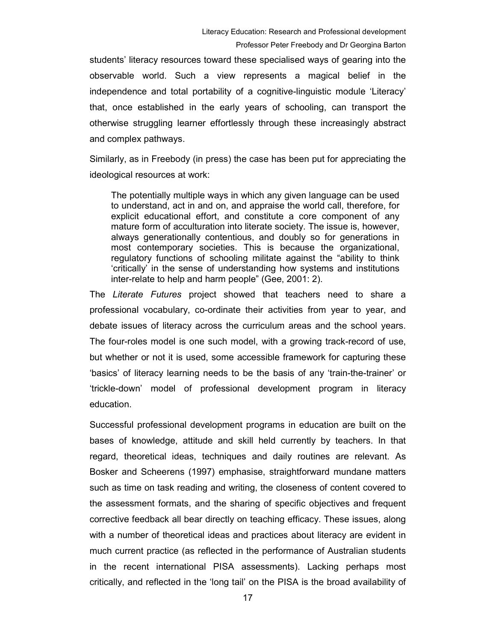students' literacy resources toward these specialised ways of gearing into the observable world. Such a view represents a magical belief in the independence and total portability of a cognitive-linguistic module 'Literacy' that, once established in the early years of schooling, can transport the otherwise struggling learner effortlessly through these increasingly abstract and complex pathways.

Similarly, as in Freebody (in press) the case has been put for appreciating the ideological resources at work:

The potentially multiple ways in which any given language can be used to understand, act in and on, and appraise the world call, therefore, for explicit educational effort, and constitute a core component of any mature form of acculturation into literate society. The issue is, however, always generationally contentious, and doubly so for generations in most contemporary societies. This is because the organizational, regulatory functions of schooling militate against the "ability to think 'critically' in the sense of understanding how systems and institutions inter-relate to help and harm people" (Gee, 2001: 2).

The Literate Futures project showed that teachers need to share a professional vocabulary, co-ordinate their activities from year to year, and debate issues of literacy across the curriculum areas and the school years. The four-roles model is one such model, with a growing track-record of use, but whether or not it is used, some accessible framework for capturing these 'basics' of literacy learning needs to be the basis of any 'train-the-trainer' or 'trickle-down' model of professional development program in literacy education.

Successful professional development programs in education are built on the bases of knowledge, attitude and skill held currently by teachers. In that regard, theoretical ideas, techniques and daily routines are relevant. As Bosker and Scheerens (1997) emphasise, straightforward mundane matters such as time on task reading and writing, the closeness of content covered to the assessment formats, and the sharing of specific objectives and frequent corrective feedback all bear directly on teaching efficacy. These issues, along with a number of theoretical ideas and practices about literacy are evident in much current practice (as reflected in the performance of Australian students in the recent international PISA assessments). Lacking perhaps most critically, and reflected in the 'long tail' on the PISA is the broad availability of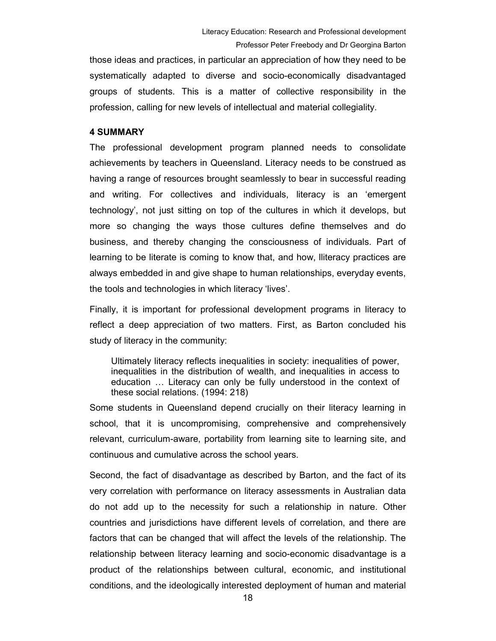those ideas and practices, in particular an appreciation of how they need to be systematically adapted to diverse and socio-economically disadvantaged groups of students. This is a matter of collective responsibility in the profession, calling for new levels of intellectual and material collegiality.

### 4 SUMMARY

The professional development program planned needs to consolidate achievements by teachers in Queensland. Literacy needs to be construed as having a range of resources brought seamlessly to bear in successful reading and writing. For collectives and individuals, literacy is an 'emergent technology', not just sitting on top of the cultures in which it develops, but more so changing the ways those cultures define themselves and do business, and thereby changing the consciousness of individuals. Part of learning to be literate is coming to know that, and how, lliteracy practices are always embedded in and give shape to human relationships, everyday events, the tools and technologies in which literacy 'lives'.

Finally, it is important for professional development programs in literacy to reflect a deep appreciation of two matters. First, as Barton concluded his study of literacy in the community:

Ultimately literacy reflects inequalities in society: inequalities of power, inequalities in the distribution of wealth, and inequalities in access to education … Literacy can only be fully understood in the context of these social relations. (1994: 218)

Some students in Queensland depend crucially on their literacy learning in school, that it is uncompromising, comprehensive and comprehensively relevant, curriculum-aware, portability from learning site to learning site, and continuous and cumulative across the school years.

Second, the fact of disadvantage as described by Barton, and the fact of its very correlation with performance on literacy assessments in Australian data do not add up to the necessity for such a relationship in nature. Other countries and jurisdictions have different levels of correlation, and there are factors that can be changed that will affect the levels of the relationship. The relationship between literacy learning and socio-economic disadvantage is a product of the relationships between cultural, economic, and institutional conditions, and the ideologically interested deployment of human and material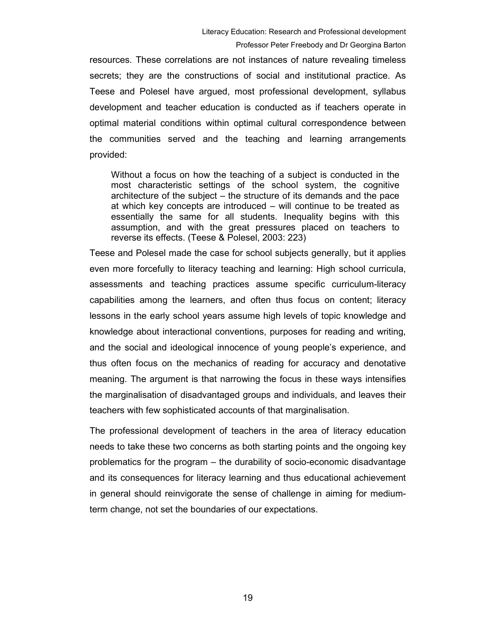resources. These correlations are not instances of nature revealing timeless secrets; they are the constructions of social and institutional practice. As Teese and Polesel have argued, most professional development, syllabus development and teacher education is conducted as if teachers operate in optimal material conditions within optimal cultural correspondence between the communities served and the teaching and learning arrangements provided:

Without a focus on how the teaching of a subject is conducted in the most characteristic settings of the school system, the cognitive architecture of the subject – the structure of its demands and the pace at which key concepts are introduced – will continue to be treated as essentially the same for all students. Inequality begins with this assumption, and with the great pressures placed on teachers to reverse its effects. (Teese & Polesel, 2003: 223)

Teese and Polesel made the case for school subjects generally, but it applies even more forcefully to literacy teaching and learning: High school curricula, assessments and teaching practices assume specific curriculum-literacy capabilities among the learners, and often thus focus on content; literacy lessons in the early school years assume high levels of topic knowledge and knowledge about interactional conventions, purposes for reading and writing, and the social and ideological innocence of young people's experience, and thus often focus on the mechanics of reading for accuracy and denotative meaning. The argument is that narrowing the focus in these ways intensifies the marginalisation of disadvantaged groups and individuals, and leaves their teachers with few sophisticated accounts of that marginalisation.

The professional development of teachers in the area of literacy education needs to take these two concerns as both starting points and the ongoing key problematics for the program – the durability of socio-economic disadvantage and its consequences for literacy learning and thus educational achievement in general should reinvigorate the sense of challenge in aiming for mediumterm change, not set the boundaries of our expectations.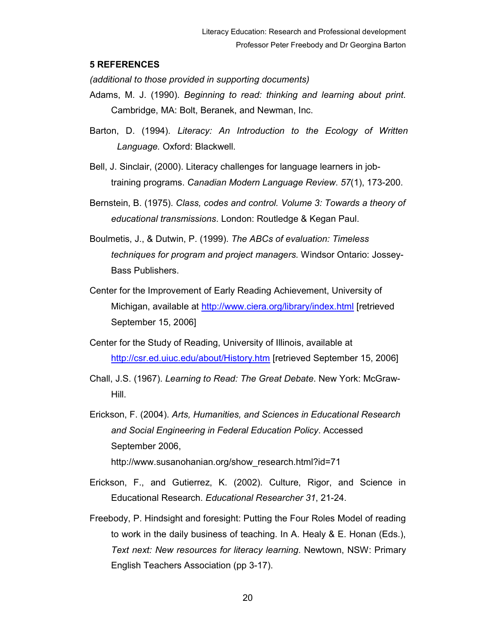## 5 REFERENCES

(additional to those provided in supporting documents)

- Adams, M. J. (1990). Beginning to read: thinking and learning about print. Cambridge, MA: Bolt, Beranek, and Newman, Inc.
- Barton, D. (1994). Literacy: An Introduction to the Ecology of Written Language. Oxford: Blackwell.
- Bell, J. Sinclair, (2000). Literacy challenges for language learners in jobtraining programs. Canadian Modern Language Review. 57(1), 173-200.
- Bernstein, B. (1975). Class, codes and control. Volume 3: Towards a theory of educational transmissions. London: Routledge & Kegan Paul.
- Boulmetis, J., & Dutwin, P. (1999). The ABCs of evaluation: Timeless techniques for program and project managers. Windsor Ontario: Jossey-Bass Publishers.
- Center for the Improvement of Early Reading Achievement, University of Michigan, available at http://www.ciera.org/library/index.html [retrieved September 15, 2006]
- Center for the Study of Reading, University of Illinois, available at http://csr.ed.uiuc.edu/about/History.htm [retrieved September 15, 2006]
- Chall, J.S. (1967). Learning to Read: The Great Debate. New York: McGraw-Hill.
- Erickson, F. (2004). Arts, Humanities, and Sciences in Educational Research and Social Engineering in Federal Education Policy. Accessed September 2006, http://www.susanohanian.org/show\_research.html?id=71
- Erickson, F., and Gutierrez, K. (2002). Culture, Rigor, and Science in Educational Research. Educational Researcher 31, 21-24.
- Freebody, P. Hindsight and foresight: Putting the Four Roles Model of reading to work in the daily business of teaching. In A. Healy & E. Honan (Eds.), Text next: New resources for literacy learning. Newtown, NSW: Primary English Teachers Association (pp 3-17).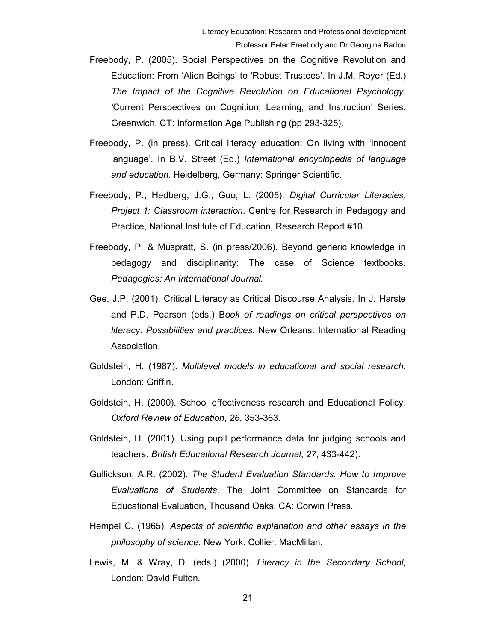- Freebody, P. (2005). Social Perspectives on the Cognitive Revolution and Education: From 'Alien Beings' to 'Robust Trustees'. In J.M. Royer (Ed.) The Impact of the Cognitive Revolution on Educational Psychology. 'Current Perspectives on Cognition, Learning, and Instruction' Series. Greenwich, CT: Information Age Publishing (pp 293-325).
- Freebody, P. (in press). Critical literacy education: On living with 'innocent language'. In B.V. Street (Ed.) International encyclopedia of language and education. Heidelberg, Germany: Springer Scientific.
- Freebody, P., Hedberg, J.G., Guo, L. (2005). Digital Curricular Literacies, Project 1: Classroom interaction. Centre for Research in Pedagogy and Practice, National Institute of Education, Research Report #10.
- Freebody, P. & Muspratt, S. (in press/2006). Beyond generic knowledge in pedagogy and disciplinarity: The case of Science textbooks. Pedagogies: An International Journal.
- Gee, J.P. (2001). Critical Literacy as Critical Discourse Analysis. In J. Harste and P.D. Pearson (eds.) Book of readings on critical perspectives on literacy: Possibilities and practices. New Orleans: International Reading Association.
- Goldstein, H. (1987). Multilevel models in educational and social research. London: Griffin.
- Goldstein, H. (2000). School effectiveness research and Educational Policy. Oxford Review of Education, 26, 353-363.
- Goldstein, H. (2001). Using pupil performance data for judging schools and teachers. British Educational Research Journal, 27, 433-442).
- Gullickson, A.R. (2002). The Student Evaluation Standards: How to Improve Evaluations of Students. The Joint Committee on Standards for Educational Evaluation, Thousand Oaks, CA: Corwin Press.
- Hempel C. (1965). Aspects of scientific explanation and other essays in the philosophy of science. New York: Collier: MacMillan.
- Lewis, M. & Wray, D. (eds.) (2000). Literacy in the Secondary School, London: David Fulton.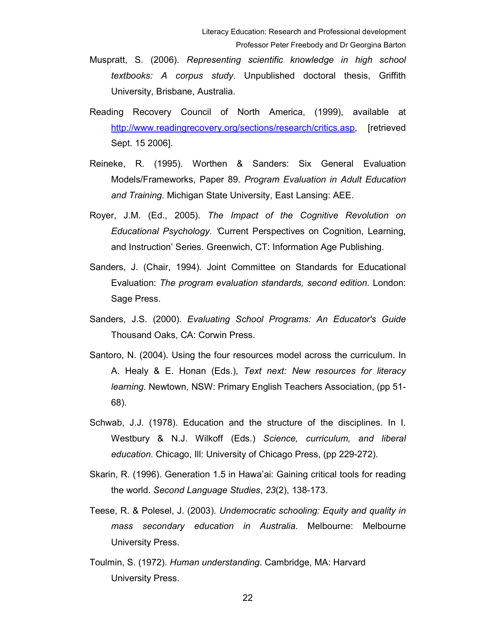- Muspratt, S. (2006). Representing scientific knowledge in high school textbooks: A corpus study. Unpublished doctoral thesis, Griffith University, Brisbane, Australia.
- Reading Recovery Council of North America, (1999), available at http://www.readingrecovery.org/sections/research/critics.asp, [retrieved Sept. 15 2006].
- Reineke, R. (1995). Worthen & Sanders: Six General Evaluation Models/Frameworks, Paper 89. Program Evaluation in Adult Education and Training. Michigan State University, East Lansing: AEE.
- Royer, J.M. (Ed., 2005). The Impact of the Cognitive Revolution on Educational Psychology. 'Current Perspectives on Cognition, Learning, and Instruction' Series. Greenwich, CT: Information Age Publishing.
- Sanders, J. (Chair, 1994). Joint Committee on Standards for Educational Evaluation: The program evaluation standards, second edition. London: Sage Press.
- Sanders, J.S. (2000). Evaluating School Programs: An Educator's Guide Thousand Oaks, CA: Corwin Press.
- Santoro, N. (2004). Using the four resources model across the curriculum. In A. Healy & E. Honan (Eds.), Text next: New resources for literacy learning. Newtown, NSW: Primary English Teachers Association, (pp 51- 68).
- Schwab, J.J. (1978). Education and the structure of the disciplines. In I. Westbury & N.J. Wilkoff (Eds.) Science, curriculum, and liberal education. Chicago, Ill: University of Chicago Press, (pp 229-272).
- Skarin, R. (1996). Generation 1.5 in Hawa'ai: Gaining critical tools for reading the world. Second Language Studies, 23(2), 138-173.
- Teese, R. & Polesel, J. (2003). Undemocratic schooling: Equity and quality in mass secondary education in Australia. Melbourne: Melbourne University Press.
- Toulmin, S. (1972). Human understanding. Cambridge, MA: Harvard University Press.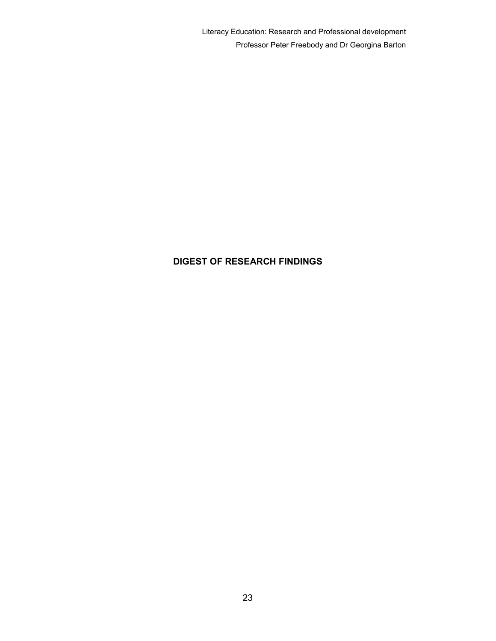Literacy Education: Research and Professional development Professor Peter Freebody and Dr Georgina Barton

## DIGEST OF RESEARCH FINDINGS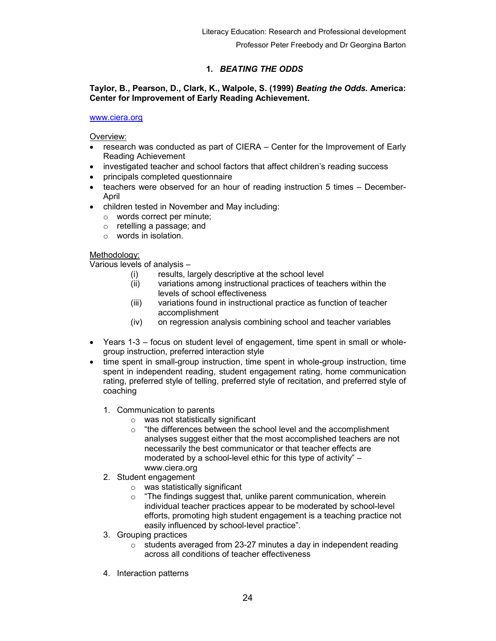## 1. BEATING THE ODDS

## Taylor, B., Pearson, D., Clark, K., Walpole, S. (1999) Beating the Odds. America: Center for Improvement of Early Reading Achievement.

#### www.ciera.org

Overview:

- research was conducted as part of CIERA Center for the Improvement of Early Reading Achievement
- investigated teacher and school factors that affect children's reading success
- principals completed questionnaire
- teachers were observed for an hour of reading instruction 5 times December-April
- children tested in November and May including:
	- o words correct per minute;
	- o retelling a passage; and
	- o words in isolation.

## Methodology:

Various levels of analysis –

- (i) results, largely descriptive at the school level
- (ii) variations among instructional practices of teachers within the levels of school effectiveness
- (iii) variations found in instructional practice as function of teacher accomplishment
- (iv) on regression analysis combining school and teacher variables
- Years 1-3 focus on student level of engagement, time spent in small or wholegroup instruction, preferred interaction style
- time spent in small-group instruction, time spent in whole-group instruction, time spent in independent reading, student engagement rating, home communication rating, preferred style of telling, preferred style of recitation, and preferred style of coaching
	- 1. Communication to parents
		- o was not statistically significant
		- $\circ$  "the differences between the school level and the accomplishment analyses suggest either that the most accomplished teachers are not necessarily the best communicator or that teacher effects are moderated by a school-level ethic for this type of activity" – www.ciera.org
	- 2. Student engagement
		- $\circ$  was statistically significant
		- $\circ$  "The findings suggest that, unlike parent communication, wherein individual teacher practices appear to be moderated by school-level efforts, promoting high student engagement is a teaching practice not easily influenced by school-level practice".
	- 3. Grouping practices
		- $\circ$  students averaged from 23-27 minutes a day in independent reading across all conditions of teacher effectiveness
	- 4. Interaction patterns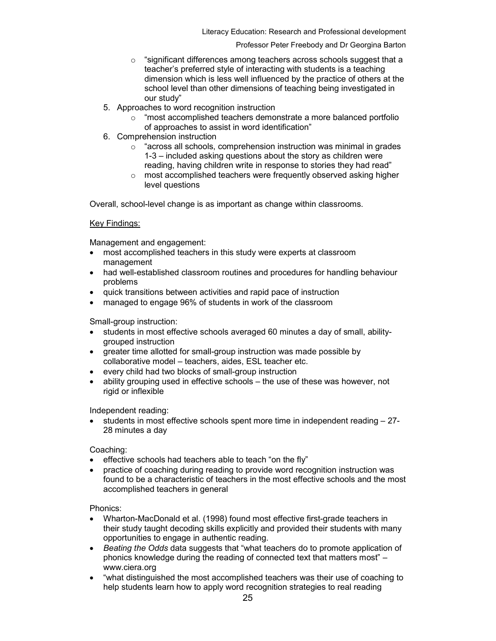Literacy Education: Research and Professional development

#### Professor Peter Freebody and Dr Georgina Barton

- o "significant differences among teachers across schools suggest that a teacher's preferred style of interacting with students is a teaching dimension which is less well influenced by the practice of others at the school level than other dimensions of teaching being investigated in our study"
- 5. Approaches to word recognition instruction
	- $\circ$  "most accomplished teachers demonstrate a more balanced portfolio of approaches to assist in word identification"
- 6. Comprehension instruction
	- o "across all schools, comprehension instruction was minimal in grades 1-3 – included asking questions about the story as children were reading, having children write in response to stories they had read"
	- o most accomplished teachers were frequently observed asking higher level questions

Overall, school-level change is as important as change within classrooms.

## Key Findings:

Management and engagement:

- most accomplished teachers in this study were experts at classroom management
- had well-established classroom routines and procedures for handling behaviour problems
- quick transitions between activities and rapid pace of instruction
- managed to engage 96% of students in work of the classroom

Small-group instruction:

- students in most effective schools averaged 60 minutes a day of small, abilitygrouped instruction
- greater time allotted for small-group instruction was made possible by collaborative model – teachers, aides, ESL teacher etc.
- every child had two blocks of small-group instruction
- ability grouping used in effective schools the use of these was however, not rigid or inflexible

Independent reading:

• students in most effective schools spent more time in independent reading – 27- 28 minutes a day

Coaching:

- effective schools had teachers able to teach "on the fly"
- practice of coaching during reading to provide word recognition instruction was found to be a characteristic of teachers in the most effective schools and the most accomplished teachers in general

Phonics:

- Wharton-MacDonald et al. (1998) found most effective first-grade teachers in their study taught decoding skills explicitly and provided their students with many opportunities to engage in authentic reading.
- Beating the Odds data suggests that "what teachers do to promote application of phonics knowledge during the reading of connected text that matters most" – www.ciera.org
- "what distinguished the most accomplished teachers was their use of coaching to help students learn how to apply word recognition strategies to real reading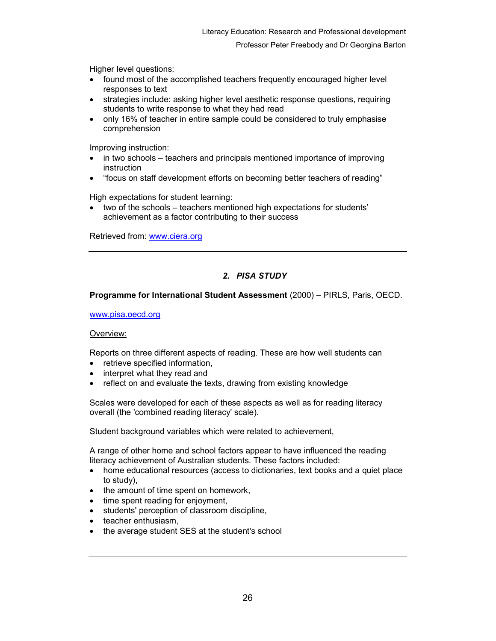Higher level questions:

- found most of the accomplished teachers frequently encouraged higher level responses to text
- strategies include: asking higher level aesthetic response questions, requiring students to write response to what they had read
- only 16% of teacher in entire sample could be considered to truly emphasise comprehension

Improving instruction:

- in two schools teachers and principals mentioned importance of improving instruction
- "focus on staff development efforts on becoming better teachers of reading"

High expectations for student learning:

• two of the schools – teachers mentioned high expectations for students' achievement as a factor contributing to their success

Retrieved from: www.ciera.org

## 2. PISA STUDY

#### Programme for International Student Assessment (2000) – PIRLS, Paris, OECD.

#### www.pisa.oecd.org

#### Overview:

Reports on three different aspects of reading. These are how well students can

- retrieve specified information,
- interpret what they read and
- reflect on and evaluate the texts, drawing from existing knowledge

Scales were developed for each of these aspects as well as for reading literacy overall (the 'combined reading literacy' scale).

Student background variables which were related to achievement,

A range of other home and school factors appear to have influenced the reading literacy achievement of Australian students. These factors included:

- home educational resources (access to dictionaries, text books and a quiet place to study),
- the amount of time spent on homework,
- time spent reading for enjoyment,
- students' perception of classroom discipline,
- teacher enthusiasm,
- the average student SES at the student's school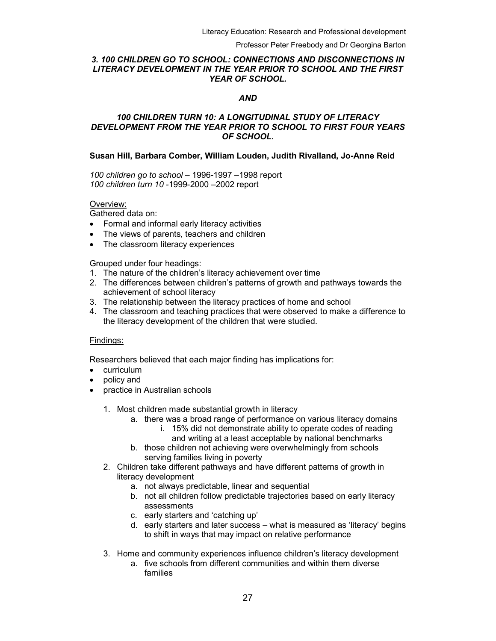## 3. 100 CHILDREN GO TO SCHOOL: CONNECTIONS AND DISCONNECTIONS IN LITERACY DEVELOPMENT IN THE YEAR PRIOR TO SCHOOL AND THE FIRST YEAR OF SCHOOL.

#### AND

### 100 CHILDREN TURN 10: A LONGITUDINAL STUDY OF LITERACY DEVELOPMENT FROM THE YEAR PRIOR TO SCHOOL TO FIRST FOUR YEARS OF SCHOOL.

### Susan Hill, Barbara Comber, William Louden, Judith Rivalland, Jo-Anne Reid

100 children go to school – 1996-1997 –1998 report 100 children turn 10 -1999-2000 –2002 report

#### Overview:

Gathered data on:

- Formal and informal early literacy activities
- The views of parents, teachers and children
- The classroom literacy experiences

Grouped under four headings:

- 1. The nature of the children's literacy achievement over time
- 2. The differences between children's patterns of growth and pathways towards the achievement of school literacy
- 3. The relationship between the literacy practices of home and school
- 4. The classroom and teaching practices that were observed to make a difference to the literacy development of the children that were studied.

#### Findings:

Researchers believed that each major finding has implications for:

- curriculum
- policy and
- practice in Australian schools
	- 1. Most children made substantial growth in literacy
		- a. there was a broad range of performance on various literacy domains
			- i. 15% did not demonstrate ability to operate codes of reading and writing at a least acceptable by national benchmarks
		- b. those children not achieving were overwhelmingly from schools serving families living in poverty
	- 2. Children take different pathways and have different patterns of growth in literacy development
		- a. not always predictable, linear and sequential
		- b. not all children follow predictable trajectories based on early literacy assessments
		- c. early starters and 'catching up'
		- d. early starters and later success what is measured as 'literacy' begins to shift in ways that may impact on relative performance
	- 3. Home and community experiences influence children's literacy development
		- a. five schools from different communities and within them diverse families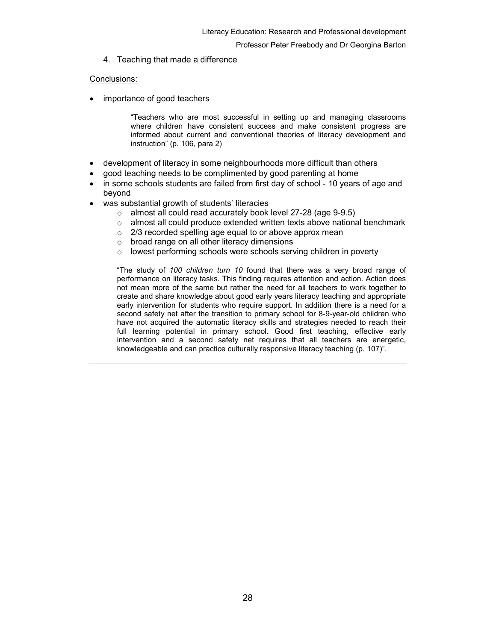4. Teaching that made a difference

#### Conclusions:

importance of good teachers

"Teachers who are most successful in setting up and managing classrooms where children have consistent success and make consistent progress are informed about current and conventional theories of literacy development and instruction" (p. 106, para 2)

- development of literacy in some neighbourhoods more difficult than others
- good teaching needs to be complimented by good parenting at home
- in some schools students are failed from first day of school 10 years of age and beyond
- was substantial growth of students' literacies
	- o almost all could read accurately book level 27-28 (age 9-9.5)
	- o almost all could produce extended written texts above national benchmark
	- $\circ$  2/3 recorded spelling age equal to or above approx mean
	- o broad range on all other literacy dimensions
	- $\circ$  lowest performing schools were schools serving children in poverty

"The study of 100 children turn 10 found that there was a very broad range of performance on literacy tasks. This finding requires attention and action. Action does not mean more of the same but rather the need for all teachers to work together to create and share knowledge about good early years literacy teaching and appropriate early intervention for students who require support. In addition there is a need for a second safety net after the transition to primary school for 8-9-year-old children who have not acquired the automatic literacy skills and strategies needed to reach their full learning potential in primary school. Good first teaching, effective early intervention and a second safety net requires that all teachers are energetic, knowledgeable and can practice culturally responsive literacy teaching (p. 107)".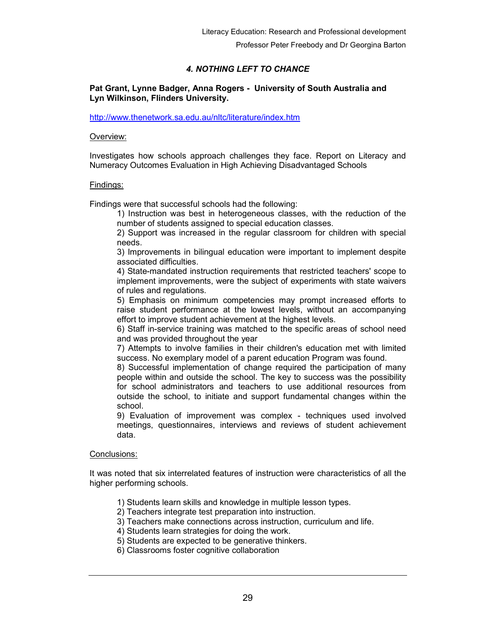## 4. NOTHING LEFT TO CHANCE

## Pat Grant, Lynne Badger, Anna Rogers - University of South Australia and Lyn Wilkinson, Flinders University.

#### http://www.thenetwork.sa.edu.au/nltc/literature/index.htm

#### Overview:

Investigates how schools approach challenges they face. Report on Literacy and Numeracy Outcomes Evaluation in High Achieving Disadvantaged Schools

#### Findings:

Findings were that successful schools had the following:

1) Instruction was best in heterogeneous classes, with the reduction of the number of students assigned to special education classes.

2) Support was increased in the regular classroom for children with special needs.

3) Improvements in bilingual education were important to implement despite associated difficulties.

4) State-mandated instruction requirements that restricted teachers' scope to implement improvements, were the subject of experiments with state waivers of rules and regulations.

5) Emphasis on minimum competencies may prompt increased efforts to raise student performance at the lowest levels, without an accompanying effort to improve student achievement at the highest levels.

6) Staff in-service training was matched to the specific areas of school need and was provided throughout the year

7) Attempts to involve families in their children's education met with limited success. No exemplary model of a parent education Program was found.

8) Successful implementation of change required the participation of many people within and outside the school. The key to success was the possibility for school administrators and teachers to use additional resources from outside the school, to initiate and support fundamental changes within the school.

9) Evaluation of improvement was complex - techniques used involved meetings, questionnaires, interviews and reviews of student achievement data.

#### Conclusions:

It was noted that six interrelated features of instruction were characteristics of all the higher performing schools.

- 1) Students learn skills and knowledge in multiple lesson types.
- 2) Teachers integrate test preparation into instruction.
- 3) Teachers make connections across instruction, curriculum and life.
- 4) Students learn strategies for doing the work.
- 5) Students are expected to be generative thinkers.
- 6) Classrooms foster cognitive collaboration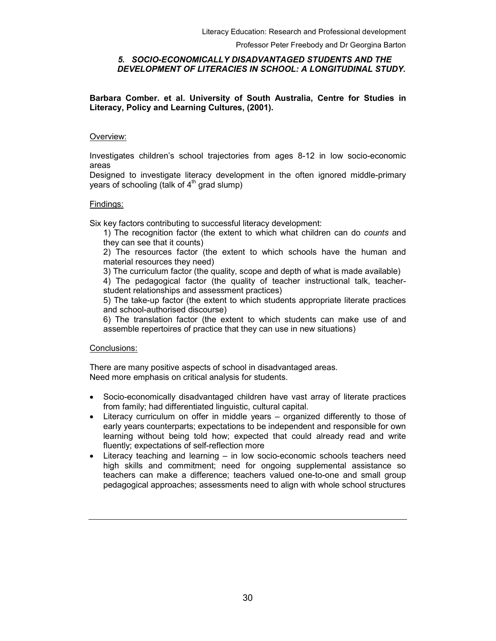#### 5. SOCIO-ECONOMICALLY DISADVANTAGED STUDENTS AND THE DEVELOPMENT OF LITERACIES IN SCHOOL: A LONGITUDINAL STUDY.

Barbara Comber. et al. University of South Australia, Centre for Studies in Literacy, Policy and Learning Cultures, (2001).

#### Overview:

Investigates children's school trajectories from ages 8-12 in low socio-economic areas

Designed to investigate literacy development in the often ignored middle-primary years of schooling (talk of  $4<sup>th</sup>$  grad slump)

#### Findings:

Six key factors contributing to successful literacy development:

1) The recognition factor (the extent to which what children can do *counts* and they can see that it counts)

2) The resources factor (the extent to which schools have the human and material resources they need)

3) The curriculum factor (the quality, scope and depth of what is made available)

4) The pedagogical factor (the quality of teacher instructional talk, teacherstudent relationships and assessment practices)

5) The take-up factor (the extent to which students appropriate literate practices and school-authorised discourse)

6) The translation factor (the extent to which students can make use of and assemble repertoires of practice that they can use in new situations)

## Conclusions:

There are many positive aspects of school in disadvantaged areas. Need more emphasis on critical analysis for students.

- Socio-economically disadvantaged children have vast array of literate practices from family; had differentiated linguistic, cultural capital.
- Literacy curriculum on offer in middle years organized differently to those of early years counterparts; expectations to be independent and responsible for own learning without being told how; expected that could already read and write fluently; expectations of self-reflection more
- Literacy teaching and learning in low socio-economic schools teachers need high skills and commitment; need for ongoing supplemental assistance so teachers can make a difference; teachers valued one-to-one and small group pedagogical approaches; assessments need to align with whole school structures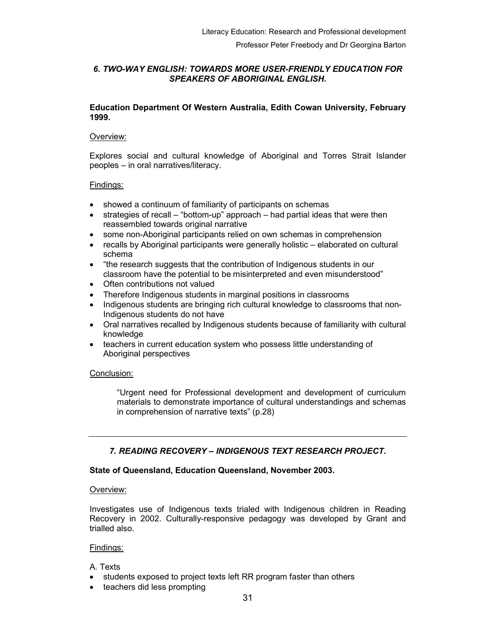## 6. TWO-WAY ENGLISH: TOWARDS MORE USER-FRIENDLY EDUCATION FOR SPEAKERS OF ABORIGINAL ENGLISH.

## Education Department Of Western Australia, Edith Cowan University, February 1999.

## Overview:

Explores social and cultural knowledge of Aboriginal and Torres Strait Islander peoples – in oral narratives/literacy.

## Findings:

- showed a continuum of familiarity of participants on schemas
- strategies of recall "bottom-up" approach had partial ideas that were then reassembled towards original narrative
- some non-Aboriginal participants relied on own schemas in comprehension
- recalls by Aboriginal participants were generally holistic elaborated on cultural schema
- "the research suggests that the contribution of Indigenous students in our classroom have the potential to be misinterpreted and even misunderstood"
- Often contributions not valued
- Therefore Indigenous students in marginal positions in classrooms
- Indigenous students are bringing rich cultural knowledge to classrooms that non-Indigenous students do not have
- Oral narratives recalled by Indigenous students because of familiarity with cultural knowledge
- teachers in current education system who possess little understanding of Aboriginal perspectives

## Conclusion:

"Urgent need for Professional development and development of curriculum materials to demonstrate importance of cultural understandings and schemas in comprehension of narrative texts" (p.28)

## 7. READING RECOVERY – INDIGENOUS TEXT RESEARCH PROJECT.

## State of Queensland, Education Queensland, November 2003.

#### Overview:

Investigates use of Indigenous texts trialed with Indigenous children in Reading Recovery in 2002. Culturally-responsive pedagogy was developed by Grant and trialled also.

## Findings:

## A. Texts

- students exposed to project texts left RR program faster than others
- teachers did less prompting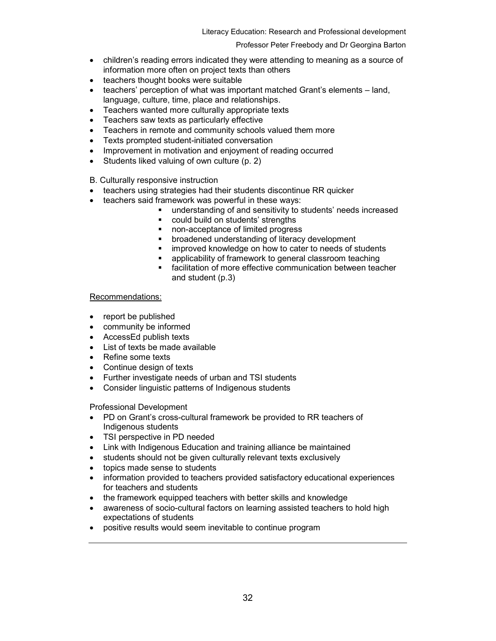- children's reading errors indicated they were attending to meaning as a source of information more often on project texts than others
- teachers thought books were suitable
- teachers' perception of what was important matched Grant's elements land, language, culture, time, place and relationships.
- Teachers wanted more culturally appropriate texts
- Teachers saw texts as particularly effective
- Teachers in remote and community schools valued them more
- Texts prompted student-initiated conversation
- Improvement in motivation and enjoyment of reading occurred
- Students liked valuing of own culture (p. 2)
- B. Culturally responsive instruction
- teachers using strategies had their students discontinue RR quicker
- teachers said framework was powerful in these ways:
	- understanding of and sensitivity to students' needs increased
		- could build on students' strengths
		- non-acceptance of limited progress
		- **EXECUTE:** broadened understanding of literacy development
		- **EXECT** improved knowledge on how to cater to needs of students
		- **EXECT** applicability of framework to general classroom teaching
		- facilitation of more effective communication between teacher and student (p.3)

#### Recommendations:

- report be published
- community be informed
- AccessEd publish texts
- List of texts be made available
- Refine some texts
- Continue design of texts
- Further investigate needs of urban and TSI students
- Consider linguistic patterns of Indigenous students

Professional Development

- PD on Grant's cross-cultural framework be provided to RR teachers of Indigenous students
- TSI perspective in PD needed
- Link with Indigenous Education and training alliance be maintained
- students should not be given culturally relevant texts exclusively
- topics made sense to students
- information provided to teachers provided satisfactory educational experiences for teachers and students
- the framework equipped teachers with better skills and knowledge
- awareness of socio-cultural factors on learning assisted teachers to hold high expectations of students
- positive results would seem inevitable to continue program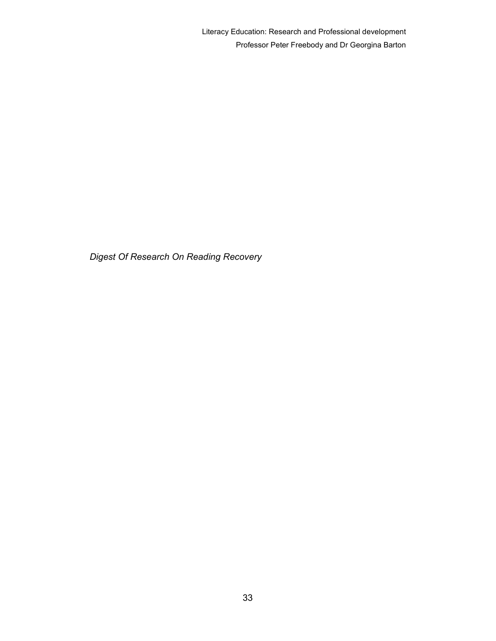Digest Of Research On Reading Recovery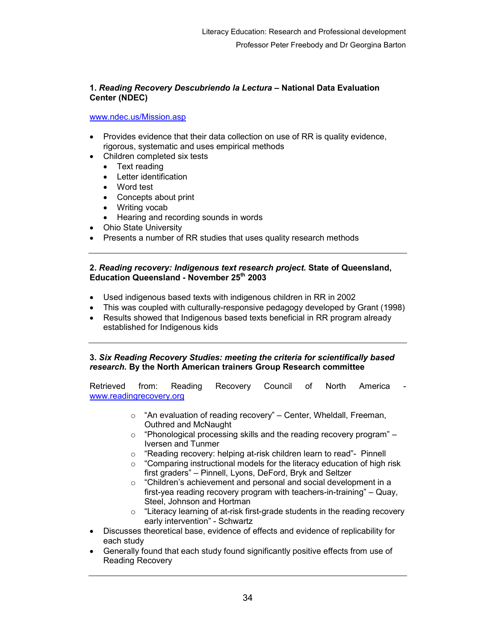## 1. Reading Recovery Descubriendo la Lectura – National Data Evaluation Center (NDEC)

### www.ndec.us/Mission.asp

- Provides evidence that their data collection on use of RR is quality evidence, rigorous, systematic and uses empirical methods
- Children completed six tests
	- Text reading
	- Letter identification
	- Word test
	- Concepts about print
	- Writing vocab
	- Hearing and recording sounds in words
- Ohio State University
- Presents a number of RR studies that uses quality research methods

## 2. Reading recovery: Indigenous text research project. State of Queensland, Education Queensland - November 25th 2003

- Used indigenous based texts with indigenous children in RR in 2002
- This was coupled with culturally-responsive pedagogy developed by Grant (1998)
- Results showed that Indigenous based texts beneficial in RR program already established for Indigenous kids

## 3. Six Reading Recovery Studies: meeting the criteria for scientifically based research. By the North American trainers Group Research committee

Retrieved from: Reading Recovery Council of North America www.readingrecovery.org

- $\circ$  "An evaluation of reading recovery" Center, Wheldall, Freeman, Outhred and McNaught
- $\circ$  "Phonological processing skills and the reading recovery program" Iversen and Tunmer
- o "Reading recovery: helping at-risk children learn to read"- Pinnell
- o "Comparing instructional models for the literacy education of high risk first graders" – Pinnell, Lyons, DeFord, Bryk and Seltzer
- $\circ$  "Children's achievement and personal and social development in a first-yea reading recovery program with teachers-in-training" – Quay, Steel, Johnson and Hortman
- o "Literacy learning of at-risk first-grade students in the reading recovery early intervention" - Schwartz
- Discusses theoretical base, evidence of effects and evidence of replicability for each study
- Generally found that each study found significantly positive effects from use of Reading Recovery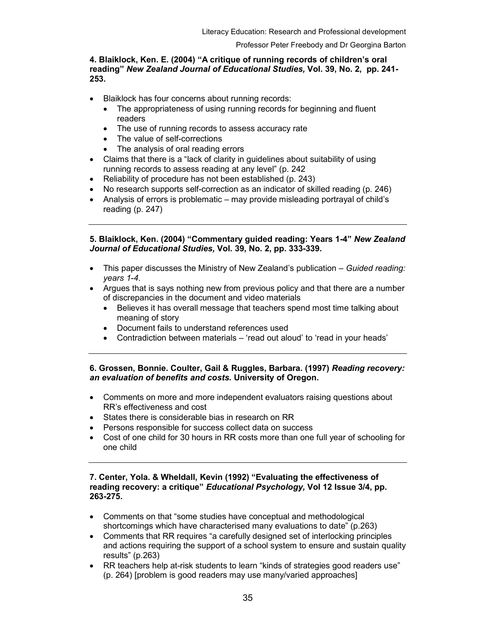## 4. Blaiklock, Ken. E. (2004) "A critique of running records of children's oral reading" New Zealand Journal of Educational Studies, Vol. 39, No. 2, pp. 241- 253.

- Blaiklock has four concerns about running records:
	- The appropriateness of using running records for beginning and fluent readers
	- The use of running records to assess accuracy rate
	- The value of self-corrections
	- The analysis of oral reading errors
- Claims that there is a "lack of clarity in guidelines about suitability of using running records to assess reading at any level" (p. 242
- Reliability of procedure has not been established (p. 243)
- No research supports self-correction as an indicator of skilled reading (p. 246)
- Analysis of errors is problematic may provide misleading portrayal of child's reading (p. 247)

5. Blaiklock, Ken. (2004) "Commentary guided reading: Years 1-4" New Zealand Journal of Educational Studies, Vol. 39, No. 2, pp. 333-339.

- This paper discusses the Ministry of New Zealand's publication Guided reading: years 1-4.
- Argues that is says nothing new from previous policy and that there are a number of discrepancies in the document and video materials
	- Believes it has overall message that teachers spend most time talking about meaning of story
	- Document fails to understand references used
	- Contradiction between materials 'read out aloud' to 'read in your heads'

#### 6. Grossen, Bonnie. Coulter, Gail & Ruggles, Barbara. (1997) Reading recovery: an evaluation of benefits and costs. University of Oregon.

- Comments on more and more independent evaluators raising questions about RR's effectiveness and cost
- States there is considerable bias in research on RR
- Persons responsible for success collect data on success
- Cost of one child for 30 hours in RR costs more than one full year of schooling for one child

## 7. Center, Yola. & Wheldall, Kevin (1992) "Evaluating the effectiveness of reading recovery: a critique" Educational Psychology, Vol 12 Issue 3/4, pp. 263-275.

- Comments on that "some studies have conceptual and methodological shortcomings which have characterised many evaluations to date" (p.263)
- Comments that RR requires "a carefully designed set of interlocking principles and actions requiring the support of a school system to ensure and sustain quality results" (p.263)
- RR teachers help at-risk students to learn "kinds of strategies good readers use" (p. 264) [problem is good readers may use many/varied approaches]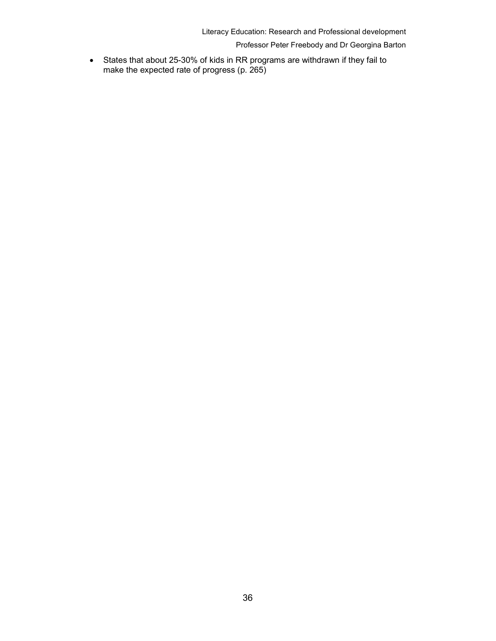Literacy Education: Research and Professional development

Professor Peter Freebody and Dr Georgina Barton

• States that about 25-30% of kids in RR programs are withdrawn if they fail to make the expected rate of progress (p. 265)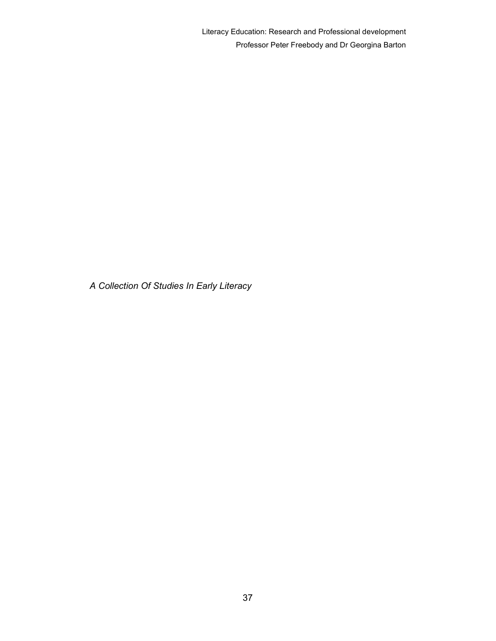Literacy Education: Research and Professional development Professor Peter Freebody and Dr Georgina Barton

A Collection Of Studies In Early Literacy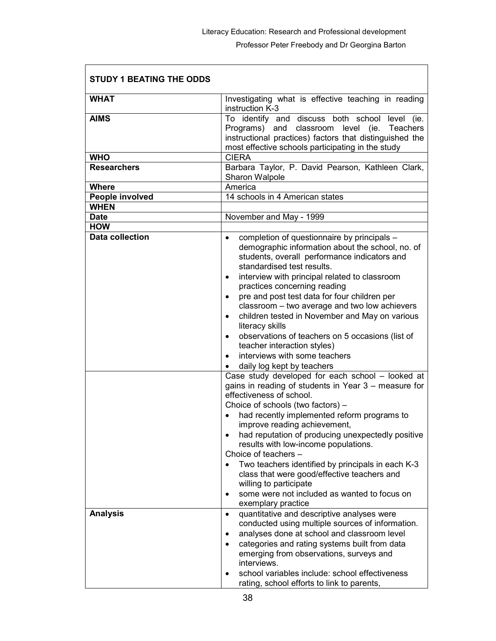| <b>STUDY 1 BEATING THE ODDS</b> |                                                                                                                                                                                                                                                                                                                                                                                                                                                                                                                                                                                                                                                                                                                               |  |  |
|---------------------------------|-------------------------------------------------------------------------------------------------------------------------------------------------------------------------------------------------------------------------------------------------------------------------------------------------------------------------------------------------------------------------------------------------------------------------------------------------------------------------------------------------------------------------------------------------------------------------------------------------------------------------------------------------------------------------------------------------------------------------------|--|--|
| <b>WHAT</b>                     | Investigating what is effective teaching in reading<br>instruction K-3                                                                                                                                                                                                                                                                                                                                                                                                                                                                                                                                                                                                                                                        |  |  |
| <b>AIMS</b>                     | To identify and discuss both school<br>level (ie.<br>Programs) and classroom level (ie.<br>Teachers<br>instructional practices) factors that distinguished the<br>most effective schools participating in the study                                                                                                                                                                                                                                                                                                                                                                                                                                                                                                           |  |  |
| <b>WHO</b>                      | <b>CIERA</b>                                                                                                                                                                                                                                                                                                                                                                                                                                                                                                                                                                                                                                                                                                                  |  |  |
| <b>Researchers</b>              | Barbara Taylor, P. David Pearson, Kathleen Clark,<br>Sharon Walpole                                                                                                                                                                                                                                                                                                                                                                                                                                                                                                                                                                                                                                                           |  |  |
| <b>Where</b>                    | America                                                                                                                                                                                                                                                                                                                                                                                                                                                                                                                                                                                                                                                                                                                       |  |  |
| People involved                 | 14 schools in 4 American states                                                                                                                                                                                                                                                                                                                                                                                                                                                                                                                                                                                                                                                                                               |  |  |
| <b>WHEN</b>                     |                                                                                                                                                                                                                                                                                                                                                                                                                                                                                                                                                                                                                                                                                                                               |  |  |
| <b>Date</b>                     | November and May - 1999                                                                                                                                                                                                                                                                                                                                                                                                                                                                                                                                                                                                                                                                                                       |  |  |
| <b>HOW</b>                      |                                                                                                                                                                                                                                                                                                                                                                                                                                                                                                                                                                                                                                                                                                                               |  |  |
| <b>Data collection</b>          | completion of questionnaire by principals -<br>$\bullet$<br>demographic information about the school, no. of<br>students, overall performance indicators and<br>standardised test results.<br>interview with principal related to classroom<br>٠<br>practices concerning reading<br>pre and post test data for four children per<br>$\bullet$<br>classroom - two average and two low achievers<br>children tested in November and May on various<br>$\bullet$<br>literacy skills<br>observations of teachers on 5 occasions (list of<br>$\bullet$<br>teacher interaction styles)<br>interviews with some teachers<br>$\bullet$<br>daily log kept by teachers<br>$\bullet$<br>Case study developed for each school - looked at |  |  |
|                                 | gains in reading of students in Year 3 – measure for<br>effectiveness of school.<br>Choice of schools (two factors) -<br>had recently implemented reform programs to<br>improve reading achievement,<br>had reputation of producing unexpectedly positive<br>$\bullet$<br>results with low-income populations.<br>Choice of teachers -<br>Two teachers identified by principals in each K-3<br>class that were good/effective teachers and<br>willing to participate<br>some were not included as wanted to focus on<br>$\bullet$<br>exemplary practice                                                                                                                                                                       |  |  |
| <b>Analysis</b>                 | quantitative and descriptive analyses were<br>$\bullet$<br>conducted using multiple sources of information.<br>analyses done at school and classroom level<br>٠<br>categories and rating systems built from data<br>emerging from observations, surveys and<br>interviews.<br>school variables include: school effectiveness<br>rating, school efforts to link to parents,                                                                                                                                                                                                                                                                                                                                                    |  |  |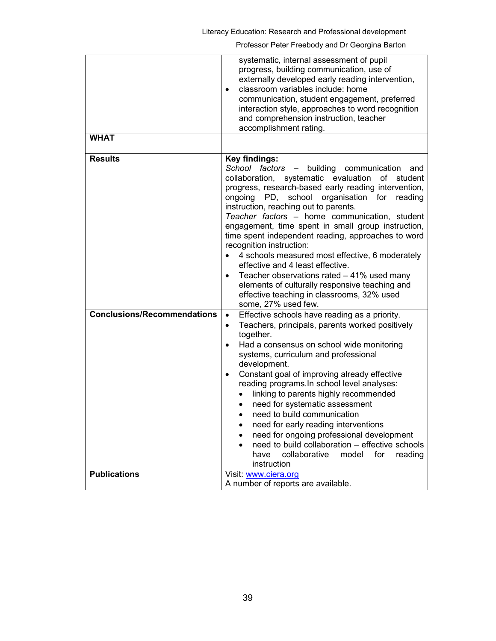|                                    | systematic, internal assessment of pupil<br>progress, building communication, use of<br>externally developed early reading intervention,<br>classroom variables include: home<br>$\bullet$<br>communication, student engagement, preferred<br>interaction style, approaches to word recognition<br>and comprehension instruction, teacher<br>accomplishment rating.                                                                                                                                                                                                                                                                                                                                                                    |
|------------------------------------|----------------------------------------------------------------------------------------------------------------------------------------------------------------------------------------------------------------------------------------------------------------------------------------------------------------------------------------------------------------------------------------------------------------------------------------------------------------------------------------------------------------------------------------------------------------------------------------------------------------------------------------------------------------------------------------------------------------------------------------|
| <b>WHAT</b>                        |                                                                                                                                                                                                                                                                                                                                                                                                                                                                                                                                                                                                                                                                                                                                        |
| <b>Results</b>                     | Key findings:<br>School factors -<br>building<br>communication<br>and<br>collaboration, systematic evaluation<br>of<br>student<br>progress, research-based early reading intervention,<br>ongoing PD, school organisation for<br>reading<br>instruction, reaching out to parents.<br>Teacher factors - home communication, student<br>engagement, time spent in small group instruction,<br>time spent independent reading, approaches to word<br>recognition instruction:<br>4 schools measured most effective, 6 moderately<br>effective and 4 least effective.<br>Teacher observations rated - 41% used many<br>elements of culturally responsive teaching and<br>effective teaching in classrooms, 32% used<br>some, 27% used few. |
| <b>Conclusions/Recommendations</b> | Effective schools have reading as a priority.<br>$\bullet$<br>Teachers, principals, parents worked positively<br>$\bullet$<br>together.<br>Had a consensus on school wide monitoring<br>$\bullet$<br>systems, curriculum and professional<br>development.<br>Constant goal of improving already effective<br>$\bullet$<br>reading programs. In school level analyses:<br>linking to parents highly recommended<br>$\bullet$<br>need for systematic assessment<br>$\bullet$<br>need to build communication<br>need for early reading interventions<br>need for ongoing professional development<br>٠<br>need to build collaboration - effective schools<br>collaborative<br>for<br>model<br>have<br>reading<br>instruction              |
| <b>Publications</b>                | Visit: www.ciera.org<br>A number of reports are available.                                                                                                                                                                                                                                                                                                                                                                                                                                                                                                                                                                                                                                                                             |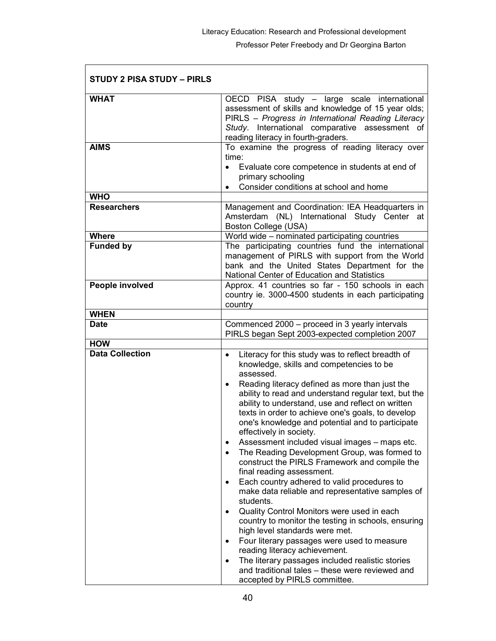| STUDY 2 PISA STUDY - PIRLS |                                                                                                                                                                                                                                                                                                                                                                                                                                                                                                                                                                                                                                                                                                                                                                                                                                                                                                                                                                                                                                                                                              |
|----------------------------|----------------------------------------------------------------------------------------------------------------------------------------------------------------------------------------------------------------------------------------------------------------------------------------------------------------------------------------------------------------------------------------------------------------------------------------------------------------------------------------------------------------------------------------------------------------------------------------------------------------------------------------------------------------------------------------------------------------------------------------------------------------------------------------------------------------------------------------------------------------------------------------------------------------------------------------------------------------------------------------------------------------------------------------------------------------------------------------------|
| <b>WHAT</b>                | OECD PISA study - large scale international<br>assessment of skills and knowledge of 15 year olds;<br>PIRLS - Progress in International Reading Literacy<br>Study. International comparative assessment of<br>reading literacy in fourth-graders.                                                                                                                                                                                                                                                                                                                                                                                                                                                                                                                                                                                                                                                                                                                                                                                                                                            |
| <b>AIMS</b>                | To examine the progress of reading literacy over<br>time:<br>Evaluate core competence in students at end of<br>$\bullet$<br>primary schooling<br>Consider conditions at school and home                                                                                                                                                                                                                                                                                                                                                                                                                                                                                                                                                                                                                                                                                                                                                                                                                                                                                                      |
| <b>WHO</b>                 |                                                                                                                                                                                                                                                                                                                                                                                                                                                                                                                                                                                                                                                                                                                                                                                                                                                                                                                                                                                                                                                                                              |
| <b>Researchers</b>         | Management and Coordination: IEA Headquarters in<br>Amsterdam (NL) International Study Center at<br>Boston College (USA)                                                                                                                                                                                                                                                                                                                                                                                                                                                                                                                                                                                                                                                                                                                                                                                                                                                                                                                                                                     |
| <b>Where</b>               | World wide - nominated participating countries                                                                                                                                                                                                                                                                                                                                                                                                                                                                                                                                                                                                                                                                                                                                                                                                                                                                                                                                                                                                                                               |
| <b>Funded by</b>           | The participating countries fund the international<br>management of PIRLS with support from the World<br>bank and the United States Department for the<br>National Center of Education and Statistics                                                                                                                                                                                                                                                                                                                                                                                                                                                                                                                                                                                                                                                                                                                                                                                                                                                                                        |
| People involved            | Approx. 41 countries so far - 150 schools in each<br>country ie. 3000-4500 students in each participating<br>country                                                                                                                                                                                                                                                                                                                                                                                                                                                                                                                                                                                                                                                                                                                                                                                                                                                                                                                                                                         |
| <b>WHEN</b>                |                                                                                                                                                                                                                                                                                                                                                                                                                                                                                                                                                                                                                                                                                                                                                                                                                                                                                                                                                                                                                                                                                              |
| <b>Date</b>                | Commenced 2000 - proceed in 3 yearly intervals<br>PIRLS began Sept 2003-expected completion 2007                                                                                                                                                                                                                                                                                                                                                                                                                                                                                                                                                                                                                                                                                                                                                                                                                                                                                                                                                                                             |
| <b>HOW</b>                 |                                                                                                                                                                                                                                                                                                                                                                                                                                                                                                                                                                                                                                                                                                                                                                                                                                                                                                                                                                                                                                                                                              |
| <b>Data Collection</b>     | Literacy for this study was to reflect breadth of<br>$\bullet$<br>knowledge, skills and competencies to be<br>assessed.<br>Reading literacy defined as more than just the<br>ability to read and understand regular text, but the<br>ability to understand, use and reflect on written<br>texts in order to achieve one's goals, to develop<br>one's knowledge and potential and to participate<br>effectively in society.<br>Assessment included visual images - maps etc.<br>The Reading Development Group, was formed to<br>construct the PIRLS Framework and compile the<br>final reading assessment.<br>Each country adhered to valid procedures to<br>٠<br>make data reliable and representative samples of<br>students.<br>Quality Control Monitors were used in each<br>country to monitor the testing in schools, ensuring<br>high level standards were met.<br>Four literary passages were used to measure<br>reading literacy achievement.<br>The literary passages included realistic stories<br>and traditional tales - these were reviewed and<br>accepted by PIRLS committee. |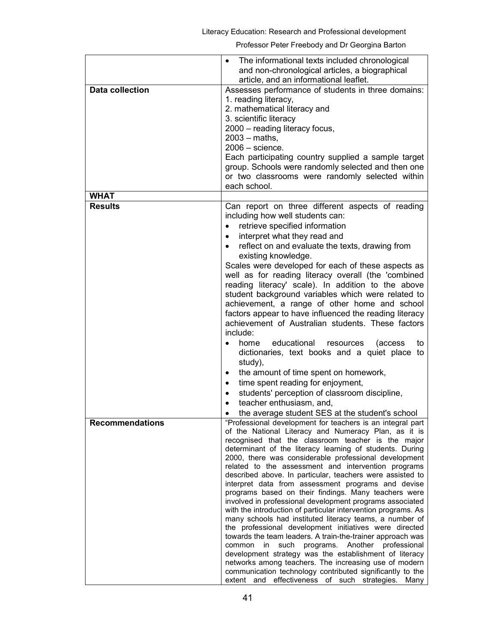|                        | The informational texts included chronological<br>$\bullet$<br>and non-chronological articles, a biographical<br>article, and an informational leaflet.                                                                                                                                                                                                                                                                                                                                                                                                                                                                                                                                                                                                                                                                                                                                                                                                                                                                                                                                                                                        |
|------------------------|------------------------------------------------------------------------------------------------------------------------------------------------------------------------------------------------------------------------------------------------------------------------------------------------------------------------------------------------------------------------------------------------------------------------------------------------------------------------------------------------------------------------------------------------------------------------------------------------------------------------------------------------------------------------------------------------------------------------------------------------------------------------------------------------------------------------------------------------------------------------------------------------------------------------------------------------------------------------------------------------------------------------------------------------------------------------------------------------------------------------------------------------|
| <b>Data collection</b> | Assesses performance of students in three domains:<br>1. reading literacy,<br>2. mathematical literacy and<br>3. scientific literacy<br>2000 - reading literacy focus,<br>$2003 - \text{maths}$ ,<br>$2006 -$ science.<br>Each participating country supplied a sample target<br>group. Schools were randomly selected and then one<br>or two classrooms were randomly selected within<br>each school.                                                                                                                                                                                                                                                                                                                                                                                                                                                                                                                                                                                                                                                                                                                                         |
| <b>WHAT</b>            |                                                                                                                                                                                                                                                                                                                                                                                                                                                                                                                                                                                                                                                                                                                                                                                                                                                                                                                                                                                                                                                                                                                                                |
| <b>Results</b>         | Can report on three different aspects of reading<br>including how well students can:<br>retrieve specified information<br>$\bullet$<br>interpret what they read and<br>$\bullet$<br>reflect on and evaluate the texts, drawing from<br>existing knowledge.<br>Scales were developed for each of these aspects as<br>well as for reading literacy overall (the 'combined<br>reading literacy' scale). In addition to the above<br>student background variables which were related to<br>achievement, a range of other home and school<br>factors appear to have influenced the reading literacy<br>achievement of Australian students. These factors<br>include:<br>educational<br>home<br>resources<br>(access)<br>to<br>dictionaries, text books and a quiet place to<br>study),<br>the amount of time spent on homework,<br>time spent reading for enjoyment,<br>$\bullet$<br>students' perception of classroom discipline,<br>$\bullet$<br>teacher enthusiasm, and,<br>٠<br>the average student SES at the student's school                                                                                                                 |
| <b>Recommendations</b> | "Professional development for teachers is an integral part<br>of the National Literacy and Numeracy Plan, as it is<br>recognised that the classroom teacher is the major<br>determinant of the literacy learning of students. During<br>2000, there was considerable professional development<br>related to the assessment and intervention programs<br>described above. In particular, teachers were assisted to<br>interpret data from assessment programs and devise<br>programs based on their findings. Many teachers were<br>involved in professional development programs associated<br>with the introduction of particular intervention programs. As<br>many schools had instituted literacy teams, a number of<br>the professional development initiatives were directed<br>towards the team leaders. A train-the-trainer approach was<br>programs. Another professional<br>common<br>in<br>such<br>development strategy was the establishment of literacy<br>networks among teachers. The increasing use of modern<br>communication technology contributed significantly to the<br>extent and effectiveness of such strategies. Many |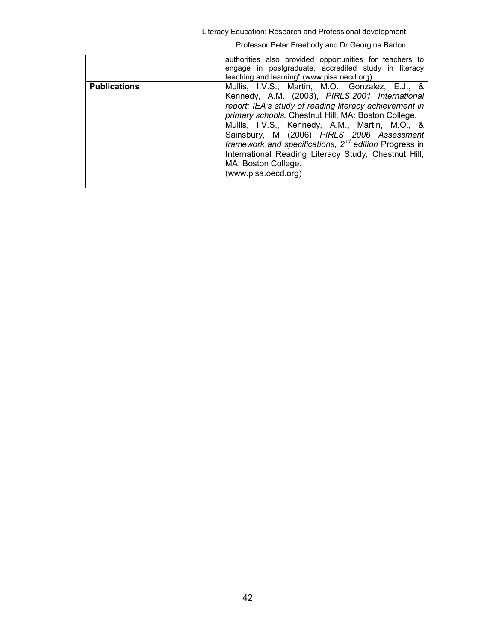Literacy Education: Research and Professional development

|                     | authorities also provided opportunities for teachers to<br>engage in postgraduate, accredited study in literacy<br>teaching and learning" (www.pisa.oecd.org)                                                                                                                                                                                                                                                                                                                         |
|---------------------|---------------------------------------------------------------------------------------------------------------------------------------------------------------------------------------------------------------------------------------------------------------------------------------------------------------------------------------------------------------------------------------------------------------------------------------------------------------------------------------|
| <b>Publications</b> | Mullis, I.V.S., Martin, M.O., Gonzalez, E.J., &<br>Kennedy, A.M. (2003), PIRLS 2001 International<br>report: IEA's study of reading literacy achievement in<br>primary schools. Chestnut Hill, MA: Boston College.<br>Mullis, I.V.S., Kennedy, A.M., Martin, M.O., &<br>Sainsbury, M (2006) PIRLS 2006 Assessment<br>framework and specifications, $2^{nd}$ edition Progress in<br>International Reading Literacy Study, Chestnut Hill,<br>MA: Boston College.<br>(www.pisa.oecd.org) |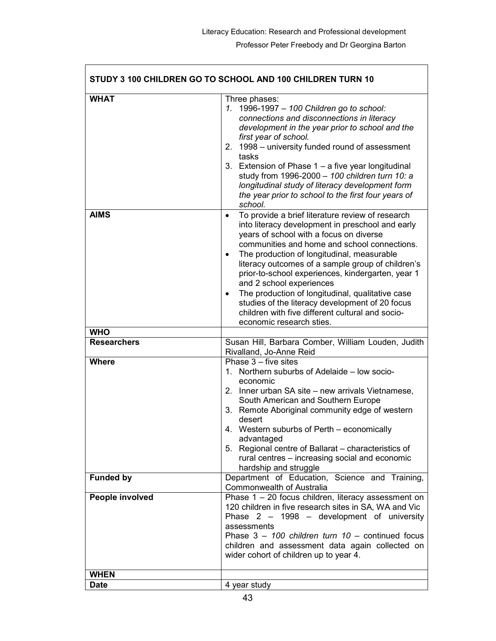|                           | STUDY 3 100 CHILDREN GO TO SCHOOL AND 100 CHILDREN TURN 10                                                                                                                                                                                                                                                                                                                                                                                                                                                                                                                                                        |
|---------------------------|-------------------------------------------------------------------------------------------------------------------------------------------------------------------------------------------------------------------------------------------------------------------------------------------------------------------------------------------------------------------------------------------------------------------------------------------------------------------------------------------------------------------------------------------------------------------------------------------------------------------|
| <b>WHAT</b>               | Three phases:<br>1. 1996-1997 - 100 Children go to school:<br>connections and disconnections in literacy<br>development in the year prior to school and the<br>first year of school.<br>2. 1998 – university funded round of assessment<br>tasks<br>3. Extension of Phase 1 - a five year longitudinal<br>study from 1996-2000 - 100 children turn 10: a<br>longitudinal study of literacy development form<br>the year prior to school to the first four years of<br>school.                                                                                                                                     |
| <b>AIMS</b><br><b>WHO</b> | To provide a brief literature review of research<br>$\bullet$<br>into literacy development in preschool and early<br>years of school with a focus on diverse<br>communities and home and school connections.<br>The production of longitudinal, measurable<br>$\bullet$<br>literacy outcomes of a sample group of children's<br>prior-to-school experiences, kindergarten, year 1<br>and 2 school experiences<br>The production of longitudinal, qualitative case<br>$\bullet$<br>studies of the literacy development of 20 focus<br>children with five different cultural and socio-<br>economic research sties. |
| <b>Researchers</b>        | Susan Hill, Barbara Comber, William Louden, Judith                                                                                                                                                                                                                                                                                                                                                                                                                                                                                                                                                                |
|                           | Rivalland, Jo-Anne Reid                                                                                                                                                                                                                                                                                                                                                                                                                                                                                                                                                                                           |
| <b>Where</b>              | Phase $3$ – five sites<br>1. Northern suburbs of Adelaide - low socio-<br>economic<br>2. Inner urban SA site – new arrivals Vietnamese,<br>South American and Southern Europe<br>3. Remote Aboriginal community edge of western<br>desert<br>4. Western suburbs of Perth – economically<br>advantaged<br>5. Regional centre of Ballarat - characteristics of<br>rural centres – increasing social and economic<br>hardship and struggle                                                                                                                                                                           |
| <b>Funded by</b>          | Department of Education, Science and Training,<br><b>Commonwealth of Australia</b>                                                                                                                                                                                                                                                                                                                                                                                                                                                                                                                                |
| People involved           | Phase $1 - 20$ focus children, literacy assessment on<br>120 children in five research sites in SA, WA and Vic<br>Phase 2 - 1998 - development of university<br>assessments<br>Phase $3 - 100$ children turn $10 -$ continued focus<br>children and assessment data again collected on<br>wider cohort of children up to year 4.                                                                                                                                                                                                                                                                                  |
| <b>WHEN</b>               |                                                                                                                                                                                                                                                                                                                                                                                                                                                                                                                                                                                                                   |
| <b>Date</b>               | 4 year study                                                                                                                                                                                                                                                                                                                                                                                                                                                                                                                                                                                                      |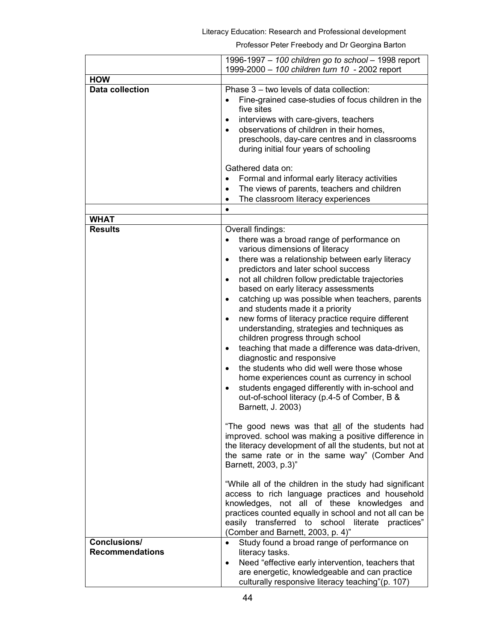|                                        | 1996-1997 - 100 children go to school - 1998 report                                                                                                                                                                                                                                                                                                                                                                                                                                                                                                                                                                                                                                                                                                                                                                                                                                                                  |
|----------------------------------------|----------------------------------------------------------------------------------------------------------------------------------------------------------------------------------------------------------------------------------------------------------------------------------------------------------------------------------------------------------------------------------------------------------------------------------------------------------------------------------------------------------------------------------------------------------------------------------------------------------------------------------------------------------------------------------------------------------------------------------------------------------------------------------------------------------------------------------------------------------------------------------------------------------------------|
| <b>HOW</b>                             | 1999-2000 - 100 children turn 10 - 2002 report                                                                                                                                                                                                                                                                                                                                                                                                                                                                                                                                                                                                                                                                                                                                                                                                                                                                       |
| <b>Data collection</b>                 | Phase 3 - two levels of data collection:<br>Fine-grained case-studies of focus children in the<br>five sites<br>interviews with care-givers, teachers<br>$\bullet$<br>observations of children in their homes,<br>$\bullet$<br>preschools, day-care centres and in classrooms<br>during initial four years of schooling                                                                                                                                                                                                                                                                                                                                                                                                                                                                                                                                                                                              |
|                                        | Gathered data on:<br>Formal and informal early literacy activities<br>$\bullet$<br>The views of parents, teachers and children<br>$\bullet$<br>The classroom literacy experiences<br>$\bullet$                                                                                                                                                                                                                                                                                                                                                                                                                                                                                                                                                                                                                                                                                                                       |
| <b>WHAT</b>                            | $\bullet$                                                                                                                                                                                                                                                                                                                                                                                                                                                                                                                                                                                                                                                                                                                                                                                                                                                                                                            |
| <b>Results</b>                         | Overall findings:<br>there was a broad range of performance on<br>various dimensions of literacy<br>there was a relationship between early literacy<br>$\bullet$<br>predictors and later school success<br>not all children follow predictable trajectories<br>$\bullet$<br>based on early literacy assessments<br>catching up was possible when teachers, parents<br>$\bullet$<br>and students made it a priority<br>new forms of literacy practice require different<br>$\bullet$<br>understanding, strategies and techniques as<br>children progress through school<br>teaching that made a difference was data-driven,<br>$\bullet$<br>diagnostic and responsive<br>the students who did well were those whose<br>$\bullet$<br>home experiences count as currency in school<br>students engaged differently with in-school and<br>$\bullet$<br>out-of-school literacy (p.4-5 of Comber, B &<br>Barnett, J. 2003) |
|                                        | "The good news was that all of the students had<br>improved. school was making a positive difference in<br>the literacy development of all the students, but not at<br>the same rate or in the same way" (Comber And<br>Barnett, 2003, p.3)"<br>"While all of the children in the study had significant<br>access to rich language practices and household<br>knowledges, not all of these knowledges and<br>practices counted equally in school and not all can be<br>easily transferred to school literate<br>practices"<br>(Comber and Barnett, 2003, p. 4)"                                                                                                                                                                                                                                                                                                                                                      |
| Conclusions/<br><b>Recommendations</b> | Study found a broad range of performance on<br>$\bullet$<br>literacy tasks.<br>Need "effective early intervention, teachers that<br>$\bullet$<br>are energetic, knowledgeable and can practice<br>culturally responsive literacy teaching"(p. 107)                                                                                                                                                                                                                                                                                                                                                                                                                                                                                                                                                                                                                                                                   |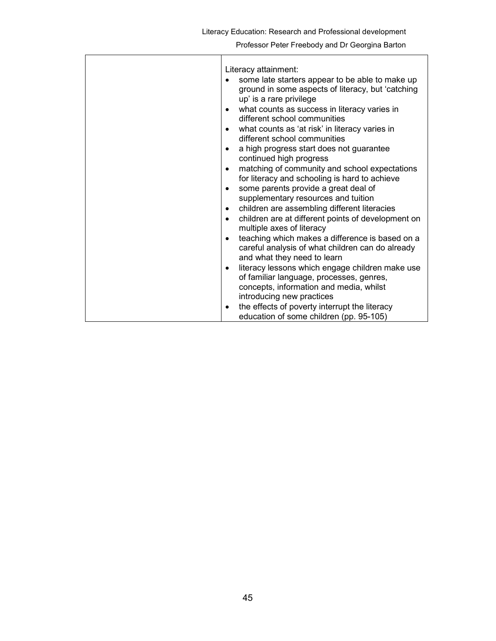| Literacy attainment:<br>some late starters appear to be able to make up<br>ground in some aspects of literacy, but 'catching<br>up' is a rare privilege<br>what counts as success in literacy varies in<br>different school communities<br>what counts as 'at risk' in literacy varies in<br>different school communities<br>a high progress start does not guarantee<br>continued high progress<br>matching of community and school expectations<br>for literacy and schooling is hard to achieve<br>some parents provide a great deal of<br>supplementary resources and tuition<br>children are assembling different literacies |
|-----------------------------------------------------------------------------------------------------------------------------------------------------------------------------------------------------------------------------------------------------------------------------------------------------------------------------------------------------------------------------------------------------------------------------------------------------------------------------------------------------------------------------------------------------------------------------------------------------------------------------------|
| children are at different points of development on<br>multiple axes of literacy                                                                                                                                                                                                                                                                                                                                                                                                                                                                                                                                                   |
| teaching which makes a difference is based on a<br>careful analysis of what children can do already<br>and what they need to learn                                                                                                                                                                                                                                                                                                                                                                                                                                                                                                |
| literacy lessons which engage children make use<br>٠<br>of familiar language, processes, genres,<br>concepts, information and media, whilst<br>introducing new practices                                                                                                                                                                                                                                                                                                                                                                                                                                                          |
| the effects of poverty interrupt the literacy<br>٠<br>education of some children (pp. 95-105)                                                                                                                                                                                                                                                                                                                                                                                                                                                                                                                                     |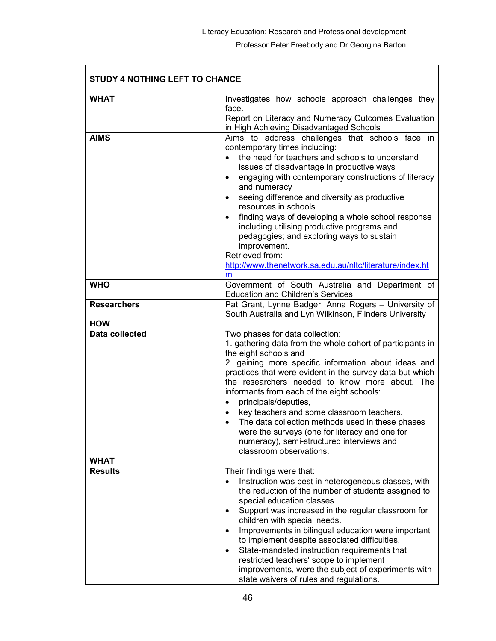| <b>STUDY 4 NOTHING LEFT TO CHANCE</b> |                                                                                                                                          |
|---------------------------------------|------------------------------------------------------------------------------------------------------------------------------------------|
| <b>WHAT</b>                           | Investigates how schools approach challenges they                                                                                        |
|                                       | face.<br>Report on Literacy and Numeracy Outcomes Evaluation                                                                             |
|                                       | in High Achieving Disadvantaged Schools                                                                                                  |
| <b>AIMS</b>                           | Aims to address challenges that schools face in                                                                                          |
|                                       | contemporary times including:<br>the need for teachers and schools to understand<br>$\bullet$                                            |
|                                       | issues of disadvantage in productive ways                                                                                                |
|                                       | engaging with contemporary constructions of literacy<br>$\bullet$<br>and numeracy                                                        |
|                                       | seeing difference and diversity as productive<br>$\bullet$                                                                               |
|                                       | resources in schools                                                                                                                     |
|                                       | finding ways of developing a whole school response<br>including utilising productive programs and                                        |
|                                       | pedagogies; and exploring ways to sustain                                                                                                |
|                                       | improvement.                                                                                                                             |
|                                       | Retrieved from:                                                                                                                          |
|                                       | http://www.thenetwork.sa.edu.au/nltc/literature/index.ht<br>m                                                                            |
| <b>WHO</b>                            | Government of South Australia and Department of                                                                                          |
|                                       | <b>Education and Children's Services</b>                                                                                                 |
| <b>Researchers</b>                    | Pat Grant, Lynne Badger, Anna Rogers - University of<br>South Australia and Lyn Wilkinson, Flinders University                           |
| <b>HOW</b>                            |                                                                                                                                          |
| <b>Data collected</b>                 | Two phases for data collection:<br>1. gathering data from the whole cohort of participants in                                            |
|                                       | the eight schools and                                                                                                                    |
|                                       | 2. gaining more specific information about ideas and                                                                                     |
|                                       | practices that were evident in the survey data but which<br>the researchers needed to know more about. The                               |
|                                       | informants from each of the eight schools:                                                                                               |
|                                       | principals/deputies,<br>$\bullet$                                                                                                        |
|                                       | key teachers and some classroom teachers.                                                                                                |
|                                       | The data collection methods used in these phases<br>were the surveys (one for literacy and one for                                       |
|                                       | numeracy), semi-structured interviews and                                                                                                |
|                                       | classroom observations.                                                                                                                  |
| <b>WHAT</b>                           |                                                                                                                                          |
| <b>Results</b>                        | Their findings were that:                                                                                                                |
|                                       | Instruction was best in heterogeneous classes, with<br>the reduction of the number of students assigned to<br>special education classes. |
|                                       | Support was increased in the regular classroom for<br>٠                                                                                  |
|                                       | children with special needs.<br>Improvements in bilingual education were important<br>۰                                                  |
|                                       | to implement despite associated difficulties.                                                                                            |
|                                       | State-mandated instruction requirements that<br>$\bullet$                                                                                |
|                                       | restricted teachers' scope to implement                                                                                                  |
|                                       | improvements, were the subject of experiments with<br>state waivers of rules and regulations.                                            |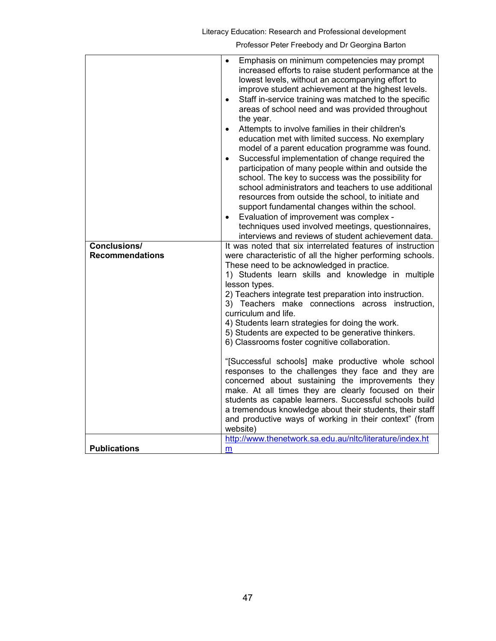Literacy Education: Research and Professional development

| Conclusions/           | Emphasis on minimum competencies may prompt<br>increased efforts to raise student performance at the<br>lowest levels, without an accompanying effort to<br>improve student achievement at the highest levels.<br>Staff in-service training was matched to the specific<br>$\bullet$<br>areas of school need and was provided throughout<br>the year.<br>Attempts to involve families in their children's<br>$\bullet$<br>education met with limited success. No exemplary<br>model of a parent education programme was found.<br>Successful implementation of change required the<br>participation of many people within and outside the<br>school. The key to success was the possibility for<br>school administrators and teachers to use additional<br>resources from outside the school, to initiate and<br>support fundamental changes within the school.<br>Evaluation of improvement was complex -<br>$\bullet$<br>techniques used involved meetings, questionnaires,<br>interviews and reviews of student achievement data.<br>It was noted that six interrelated features of instruction |
|------------------------|----------------------------------------------------------------------------------------------------------------------------------------------------------------------------------------------------------------------------------------------------------------------------------------------------------------------------------------------------------------------------------------------------------------------------------------------------------------------------------------------------------------------------------------------------------------------------------------------------------------------------------------------------------------------------------------------------------------------------------------------------------------------------------------------------------------------------------------------------------------------------------------------------------------------------------------------------------------------------------------------------------------------------------------------------------------------------------------------------|
| <b>Recommendations</b> | were characteristic of all the higher performing schools.                                                                                                                                                                                                                                                                                                                                                                                                                                                                                                                                                                                                                                                                                                                                                                                                                                                                                                                                                                                                                                          |
|                        | These need to be acknowledged in practice.<br>1) Students learn skills and knowledge in multiple<br>lesson types.<br>2) Teachers integrate test preparation into instruction.<br>3) Teachers make connections across instruction,<br>curriculum and life.<br>4) Students learn strategies for doing the work.<br>5) Students are expected to be generative thinkers.<br>6) Classrooms foster cognitive collaboration.                                                                                                                                                                                                                                                                                                                                                                                                                                                                                                                                                                                                                                                                              |
|                        | "[Successful schools] make productive whole school<br>responses to the challenges they face and they are<br>concerned about sustaining the improvements they<br>make. At all times they are clearly focused on their<br>students as capable learners. Successful schools build<br>a tremendous knowledge about their students, their staff<br>and productive ways of working in their context" (from<br>website)                                                                                                                                                                                                                                                                                                                                                                                                                                                                                                                                                                                                                                                                                   |
| <b>Publications</b>    | http://www.thenetwork.sa.edu.au/nltc/literature/index.ht<br>m                                                                                                                                                                                                                                                                                                                                                                                                                                                                                                                                                                                                                                                                                                                                                                                                                                                                                                                                                                                                                                      |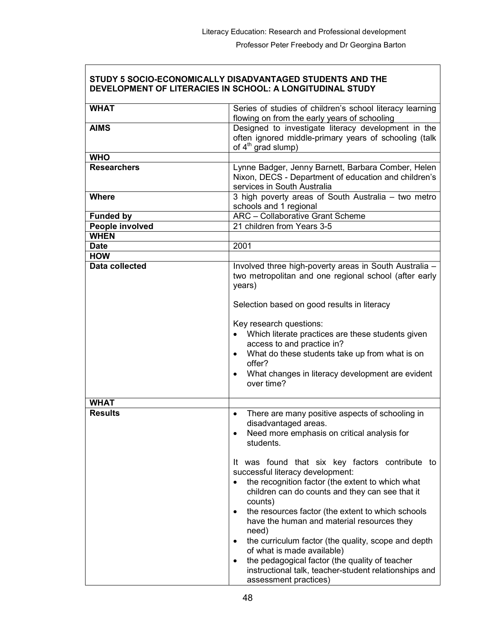٦

|                       | STUDY 5 SOCIO-ECONOMICALLY DISADVANTAGED STUDENTS AND THE<br>DEVELOPMENT OF LITERACIES IN SCHOOL: A LONGITUDINAL STUDY                                                                                                                                                                                                                                                                                                                                                                                                                                  |
|-----------------------|---------------------------------------------------------------------------------------------------------------------------------------------------------------------------------------------------------------------------------------------------------------------------------------------------------------------------------------------------------------------------------------------------------------------------------------------------------------------------------------------------------------------------------------------------------|
| <b>WHAT</b>           | Series of studies of children's school literacy learning<br>flowing on from the early years of schooling                                                                                                                                                                                                                                                                                                                                                                                                                                                |
| <b>AIMS</b>           | Designed to investigate literacy development in the<br>often ignored middle-primary years of schooling (talk<br>of 4 <sup>th</sup> grad slump)                                                                                                                                                                                                                                                                                                                                                                                                          |
| <b>WHO</b>            |                                                                                                                                                                                                                                                                                                                                                                                                                                                                                                                                                         |
| <b>Researchers</b>    | Lynne Badger, Jenny Barnett, Barbara Comber, Helen<br>Nixon, DECS - Department of education and children's<br>services in South Australia                                                                                                                                                                                                                                                                                                                                                                                                               |
| <b>Where</b>          | 3 high poverty areas of South Australia - two metro<br>schools and 1 regional                                                                                                                                                                                                                                                                                                                                                                                                                                                                           |
| <b>Funded by</b>      | <b>ARC</b> - Collaborative Grant Scheme                                                                                                                                                                                                                                                                                                                                                                                                                                                                                                                 |
| People involved       | 21 children from Years 3-5                                                                                                                                                                                                                                                                                                                                                                                                                                                                                                                              |
| <b>WHEN</b>           |                                                                                                                                                                                                                                                                                                                                                                                                                                                                                                                                                         |
| <b>Date</b>           | 2001                                                                                                                                                                                                                                                                                                                                                                                                                                                                                                                                                    |
| <b>HOW</b>            |                                                                                                                                                                                                                                                                                                                                                                                                                                                                                                                                                         |
| <b>Data collected</b> | Involved three high-poverty areas in South Australia -<br>two metropolitan and one regional school (after early<br>years)<br>Selection based on good results in literacy<br>Key research questions:<br>Which literate practices are these students given<br>access to and practice in?<br>What do these students take up from what is on<br>offer?<br>What changes in literacy development are evident<br>over time?                                                                                                                                    |
| <b>WHAT</b>           |                                                                                                                                                                                                                                                                                                                                                                                                                                                                                                                                                         |
| <b>Results</b>        | There are many positive aspects of schooling in<br>disadvantaged areas.<br>Need more emphasis on critical analysis for<br>students.                                                                                                                                                                                                                                                                                                                                                                                                                     |
|                       | It was found that six key factors contribute to<br>successful literacy development:<br>the recognition factor (the extent to which what<br>children can do counts and they can see that it<br>counts)<br>the resources factor (the extent to which schools<br>have the human and material resources they<br>need)<br>the curriculum factor (the quality, scope and depth<br>of what is made available)<br>the pedagogical factor (the quality of teacher<br>$\bullet$<br>instructional talk, teacher-student relationships and<br>assessment practices) |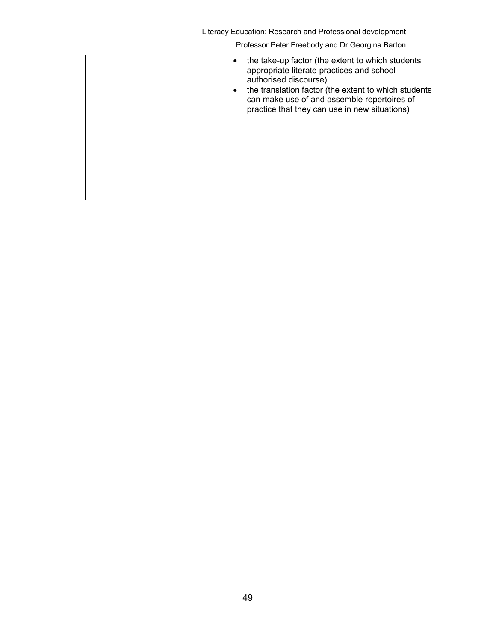| $\bullet$<br>$\bullet$ | the take-up factor (the extent to which students<br>appropriate literate practices and school-<br>authorised discourse)<br>the translation factor (the extent to which students<br>can make use of and assemble repertoires of<br>practice that they can use in new situations) |
|------------------------|---------------------------------------------------------------------------------------------------------------------------------------------------------------------------------------------------------------------------------------------------------------------------------|
|                        |                                                                                                                                                                                                                                                                                 |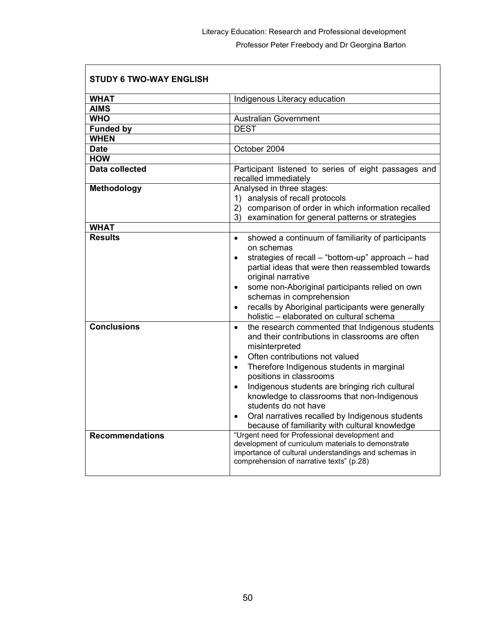| <b>STUDY 6 TWO-WAY ENGLISH</b> |                                                                                                                                                                                                                                                                                                                                                                                                                                                                                                     |
|--------------------------------|-----------------------------------------------------------------------------------------------------------------------------------------------------------------------------------------------------------------------------------------------------------------------------------------------------------------------------------------------------------------------------------------------------------------------------------------------------------------------------------------------------|
| <b>WHAT</b>                    | Indigenous Literacy education                                                                                                                                                                                                                                                                                                                                                                                                                                                                       |
| <b>AIMS</b>                    |                                                                                                                                                                                                                                                                                                                                                                                                                                                                                                     |
| <b>WHO</b>                     | <b>Australian Government</b>                                                                                                                                                                                                                                                                                                                                                                                                                                                                        |
| <b>Funded by</b>               | <b>DEST</b>                                                                                                                                                                                                                                                                                                                                                                                                                                                                                         |
| <b>WHEN</b>                    |                                                                                                                                                                                                                                                                                                                                                                                                                                                                                                     |
| <b>Date</b>                    | October 2004                                                                                                                                                                                                                                                                                                                                                                                                                                                                                        |
| <b>HOW</b>                     |                                                                                                                                                                                                                                                                                                                                                                                                                                                                                                     |
| <b>Data collected</b>          | Participant listened to series of eight passages and<br>recalled immediately                                                                                                                                                                                                                                                                                                                                                                                                                        |
| <b>Methodology</b>             | Analysed in three stages:<br>1) analysis of recall protocols<br>2) comparison of order in which information recalled<br>3)<br>examination for general patterns or strategies                                                                                                                                                                                                                                                                                                                        |
| <b>WHAT</b>                    |                                                                                                                                                                                                                                                                                                                                                                                                                                                                                                     |
| <b>Results</b>                 | showed a continuum of familiarity of participants<br>$\bullet$<br>on schemas<br>strategies of recall - "bottom-up" approach - had<br>$\bullet$<br>partial ideas that were then reassembled towards<br>original narrative<br>some non-Aboriginal participants relied on own<br>schemas in comprehension<br>recalls by Aboriginal participants were generally<br>$\bullet$<br>holistic - elaborated on cultural schema                                                                                |
| <b>Conclusions</b>             | the research commented that Indigenous students<br>$\bullet$<br>and their contributions in classrooms are often<br>misinterpreted<br>Often contributions not valued<br>$\bullet$<br>Therefore Indigenous students in marginal<br>$\bullet$<br>positions in classrooms<br>Indigenous students are bringing rich cultural<br>knowledge to classrooms that non-Indigenous<br>students do not have<br>Oral narratives recalled by Indigenous students<br>because of familiarity with cultural knowledge |
| <b>Recommendations</b>         | "Urgent need for Professional development and<br>development of curriculum materials to demonstrate<br>importance of cultural understandings and schemas in<br>comprehension of narrative texts" (p.28)                                                                                                                                                                                                                                                                                             |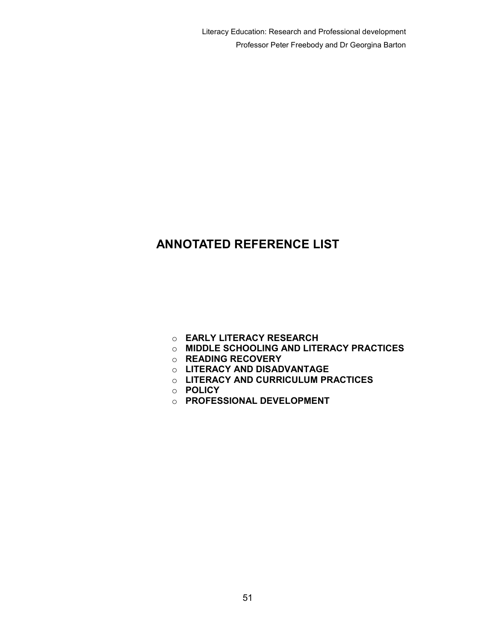# ANNOTATED REFERENCE LIST

- o EARLY LITERACY RESEARCH
- o MIDDLE SCHOOLING AND LITERACY PRACTICES
- o READING RECOVERY
- o LITERACY AND DISADVANTAGE
- o LITERACY AND CURRICULUM PRACTICES
- o POLICY
- o PROFESSIONAL DEVELOPMENT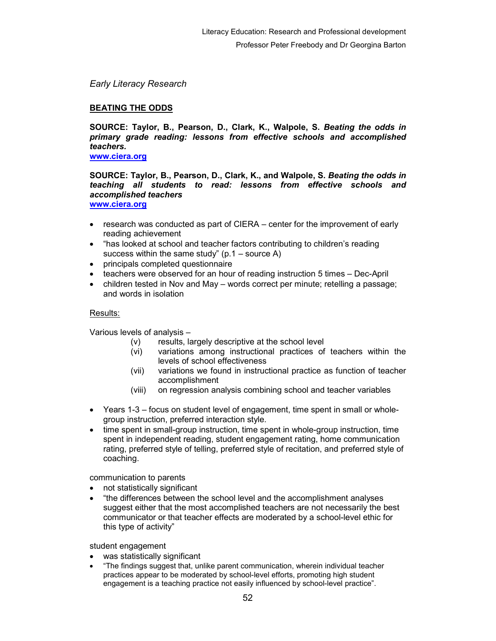Early Literacy Research

# BEATING THE ODDS

SOURCE: Taylor, B., Pearson, D., Clark, K., Walpole, S. Beating the odds in primary grade reading: lessons from effective schools and accomplished teachers.

www.ciera.org

SOURCE: Taylor, B., Pearson, D., Clark, K., and Walpole, S. Beating the odds in teaching all students to read: lessons from effective schools and accomplished teachers

www.ciera.org

- research was conducted as part of CIERA center for the improvement of early reading achievement
- "has looked at school and teacher factors contributing to children's reading success within the same study"  $(p.1 - source A)$
- principals completed questionnaire
- teachers were observed for an hour of reading instruction 5 times Dec-April
- children tested in Nov and May words correct per minute; retelling a passage; and words in isolation

## Results:

Various levels of analysis –

- (v) results, largely descriptive at the school level
- (vi) variations among instructional practices of teachers within the levels of school effectiveness
- (vii) variations we found in instructional practice as function of teacher accomplishment
- (viii) on regression analysis combining school and teacher variables
- Years 1-3 focus on student level of engagement, time spent in small or wholegroup instruction, preferred interaction style.
- time spent in small-group instruction, time spent in whole-group instruction, time spent in independent reading, student engagement rating, home communication rating, preferred style of telling, preferred style of recitation, and preferred style of coaching.

communication to parents

- not statistically significant
- "the differences between the school level and the accomplishment analyses suggest either that the most accomplished teachers are not necessarily the best communicator or that teacher effects are moderated by a school-level ethic for this type of activity"

student engagement

- was statistically significant
- "The findings suggest that, unlike parent communication, wherein individual teacher practices appear to be moderated by school-level efforts, promoting high student engagement is a teaching practice not easily influenced by school-level practice".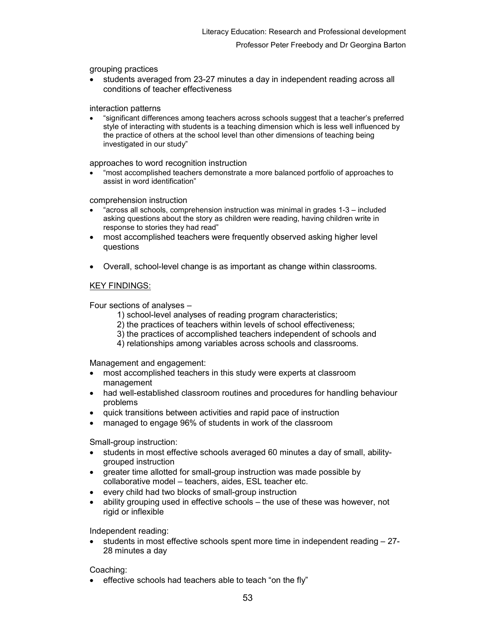grouping practices

• students averaged from 23-27 minutes a day in independent reading across all conditions of teacher effectiveness

interaction patterns

• "significant differences among teachers across schools suggest that a teacher's preferred style of interacting with students is a teaching dimension which is less well influenced by the practice of others at the school level than other dimensions of teaching being investigated in our study"

approaches to word recognition instruction

• "most accomplished teachers demonstrate a more balanced portfolio of approaches to assist in word identification"

comprehension instruction

- "across all schools, comprehension instruction was minimal in grades 1-3 included asking questions about the story as children were reading, having children write in response to stories they had read"
- most accomplished teachers were frequently observed asking higher level questions
- Overall, school-level change is as important as change within classrooms.

### KEY FINDINGS:

Four sections of analyses –

- 1) school-level analyses of reading program characteristics;
- 2) the practices of teachers within levels of school effectiveness;
- 3) the practices of accomplished teachers independent of schools and
- 4) relationships among variables across schools and classrooms.

Management and engagement:

- most accomplished teachers in this study were experts at classroom management
- had well-established classroom routines and procedures for handling behaviour problems
- quick transitions between activities and rapid pace of instruction
- managed to engage 96% of students in work of the classroom

Small-group instruction:

- students in most effective schools averaged 60 minutes a day of small, abilitygrouped instruction
- greater time allotted for small-group instruction was made possible by collaborative model – teachers, aides, ESL teacher etc.
- every child had two blocks of small-group instruction
- ability grouping used in effective schools the use of these was however, not rigid or inflexible

Independent reading:

• students in most effective schools spent more time in independent reading – 27- 28 minutes a day

Coaching:

effective schools had teachers able to teach "on the fly"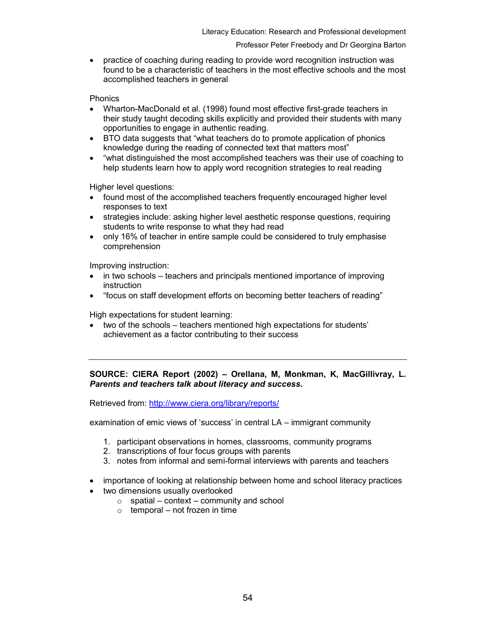• practice of coaching during reading to provide word recognition instruction was found to be a characteristic of teachers in the most effective schools and the most accomplished teachers in general

Phonics

- Wharton-MacDonald et al. (1998) found most effective first-grade teachers in their study taught decoding skills explicitly and provided their students with many opportunities to engage in authentic reading.
- BTO data suggests that "what teachers do to promote application of phonics knowledge during the reading of connected text that matters most"
- "what distinguished the most accomplished teachers was their use of coaching to help students learn how to apply word recognition strategies to real reading

Higher level questions:

- found most of the accomplished teachers frequently encouraged higher level responses to text
- strategies include: asking higher level aesthetic response questions, requiring students to write response to what they had read
- only 16% of teacher in entire sample could be considered to truly emphasise comprehension

Improving instruction:

- in two schools teachers and principals mentioned importance of improving instruction
- "focus on staff development efforts on becoming better teachers of reading"

High expectations for student learning:

• two of the schools – teachers mentioned high expectations for students' achievement as a factor contributing to their success

SOURCE: CIERA Report (2002) – Orellana, M, Monkman, K, MacGillivray, L. Parents and teachers talk about literacy and success.

Retrieved from: http://www.ciera.org/library/reports/

examination of emic views of 'success' in central LA – immigrant community

- 1. participant observations in homes, classrooms, community programs
- 2. transcriptions of four focus groups with parents
- 3. notes from informal and semi-formal interviews with parents and teachers
- importance of looking at relationship between home and school literacy practices
- two dimensions usually overlooked
	- $\circ$  spatial context community and school
	- $\circ$  temporal not frozen in time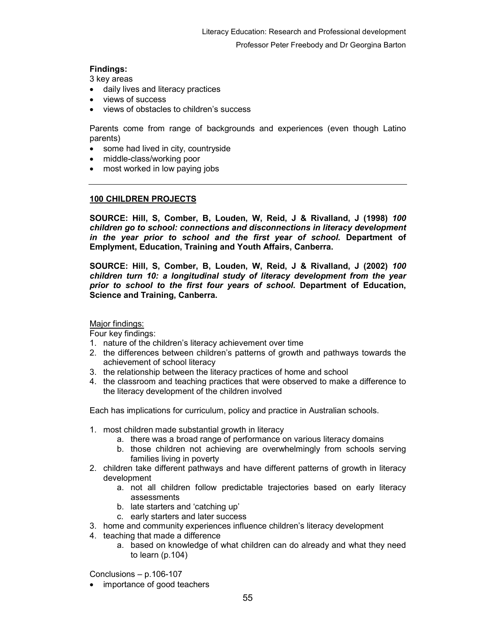# Findings:

3 key areas

- daily lives and literacy practices
- views of success
- views of obstacles to children's success

Parents come from range of backgrounds and experiences (even though Latino parents)

- some had lived in city, countryside
- middle-class/working poor
- most worked in low paying jobs

# 100 CHILDREN PROJECTS

SOURCE: Hill, S, Comber, B, Louden, W, Reid, J & Rivalland, J (1998) 100 children go to school: connections and disconnections in literacy development in the year prior to school and the first year of school. Department of Emplyment, Education, Training and Youth Affairs, Canberra.

SOURCE: Hill, S, Comber, B, Louden, W, Reid, J & Rivalland, J (2002) 100 children turn 10: a longitudinal study of literacy development from the year prior to school to the first four years of school. Department of Education, Science and Training, Canberra.

Major findings:

Four key findings:

- 1. nature of the children's literacy achievement over time
- 2. the differences between children's patterns of growth and pathways towards the achievement of school literacy
- 3. the relationship between the literacy practices of home and school
- 4. the classroom and teaching practices that were observed to make a difference to the literacy development of the children involved

Each has implications for curriculum, policy and practice in Australian schools.

- 1. most children made substantial growth in literacy
	- a. there was a broad range of performance on various literacy domains
	- b. those children not achieving are overwhelmingly from schools serving families living in poverty
- 2. children take different pathways and have different patterns of growth in literacy development
	- a. not all children follow predictable trajectories based on early literacy assessments
	- b. late starters and 'catching up'
	- c. early starters and later success
- 3. home and community experiences influence children's literacy development
- 4. teaching that made a difference
	- a. based on knowledge of what children can do already and what they need to learn (p.104)

Conclusions – p.106-107

importance of good teachers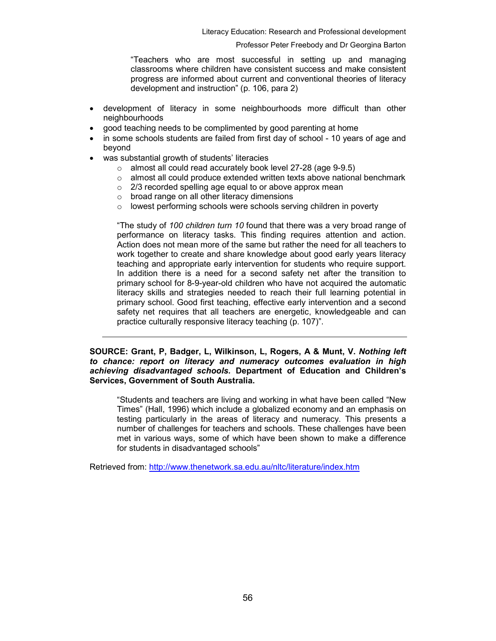"Teachers who are most successful in setting up and managing classrooms where children have consistent success and make consistent progress are informed about current and conventional theories of literacy development and instruction" (p. 106, para 2)

- development of literacy in some neighbourhoods more difficult than other neighbourhoods
- good teaching needs to be complimented by good parenting at home
- in some schools students are failed from first day of school 10 years of age and beyond
- was substantial growth of students' literacies
	- o almost all could read accurately book level 27-28 (age 9-9.5)
	- $\circ$  almost all could produce extended written texts above national benchmark
	- o 2/3 recorded spelling age equal to or above approx mean
	- o broad range on all other literacy dimensions
	- o lowest performing schools were schools serving children in poverty

"The study of 100 children turn 10 found that there was a very broad range of performance on literacy tasks. This finding requires attention and action. Action does not mean more of the same but rather the need for all teachers to work together to create and share knowledge about good early years literacy teaching and appropriate early intervention for students who require support. In addition there is a need for a second safety net after the transition to primary school for 8-9-year-old children who have not acquired the automatic literacy skills and strategies needed to reach their full learning potential in primary school. Good first teaching, effective early intervention and a second safety net requires that all teachers are energetic, knowledgeable and can practice culturally responsive literacy teaching (p. 107)".

### SOURCE: Grant, P, Badger, L, Wilkinson, L, Rogers, A & Munt, V. Nothing left to chance: report on literacy and numeracy outcomes evaluation in high achieving disadvantaged schools. Department of Education and Children's Services, Government of South Australia.

"Students and teachers are living and working in what have been called "New Times" (Hall, 1996) which include a globalized economy and an emphasis on testing particularly in the areas of literacy and numeracy. This presents a number of challenges for teachers and schools. These challenges have been met in various ways, some of which have been shown to make a difference for students in disadvantaged schools"

Retrieved from: http://www.thenetwork.sa.edu.au/nltc/literature/index.htm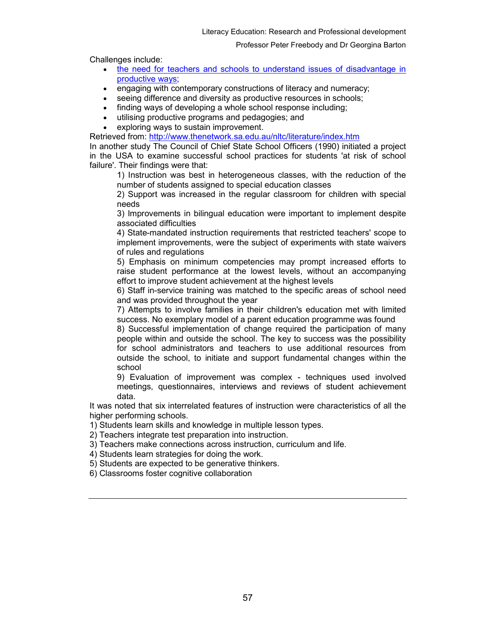Challenges include:

- the need for teachers and schools to understand issues of disadvantage in productive ways;
- engaging with contemporary constructions of literacy and numeracy;
- seeing difference and diversity as productive resources in schools;
- finding ways of developing a whole school response including;
- utilising productive programs and pedagogies; and
- exploring ways to sustain improvement.

Retrieved from: http://www.thenetwork.sa.edu.au/nltc/literature/index.htm

In another study The Council of Chief State School Officers (1990) initiated a project in the USA to examine successful school practices for students 'at risk of school failure'. Their findings were that:

1) Instruction was best in heterogeneous classes, with the reduction of the number of students assigned to special education classes

2) Support was increased in the regular classroom for children with special needs

3) Improvements in bilingual education were important to implement despite associated difficulties

4) State-mandated instruction requirements that restricted teachers' scope to implement improvements, were the subject of experiments with state waivers of rules and regulations

5) Emphasis on minimum competencies may prompt increased efforts to raise student performance at the lowest levels, without an accompanying effort to improve student achievement at the highest levels

6) Staff in-service training was matched to the specific areas of school need and was provided throughout the year

7) Attempts to involve families in their children's education met with limited success. No exemplary model of a parent education programme was found

8) Successful implementation of change required the participation of many people within and outside the school. The key to success was the possibility for school administrators and teachers to use additional resources from outside the school, to initiate and support fundamental changes within the school

9) Evaluation of improvement was complex - techniques used involved meetings, questionnaires, interviews and reviews of student achievement data.

It was noted that six interrelated features of instruction were characteristics of all the higher performing schools.

1) Students learn skills and knowledge in multiple lesson types.

2) Teachers integrate test preparation into instruction.

3) Teachers make connections across instruction, curriculum and life.

4) Students learn strategies for doing the work.

- 5) Students are expected to be generative thinkers.
- 6) Classrooms foster cognitive collaboration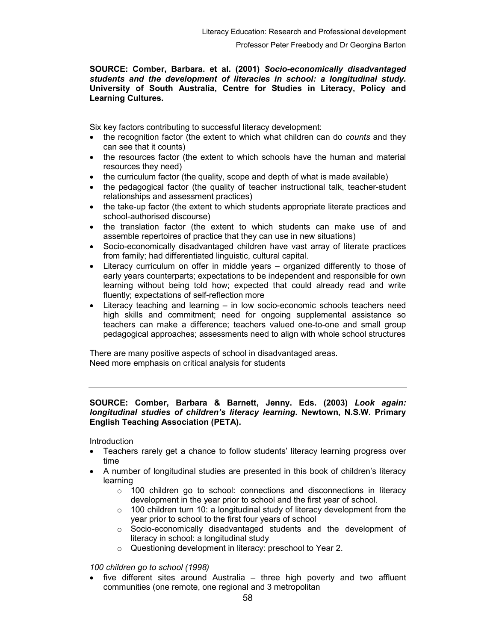### SOURCE: Comber, Barbara. et al. (2001) Socio-economically disadvantaged students and the development of literacies in school: a longitudinal study. University of South Australia, Centre for Studies in Literacy, Policy and Learning Cultures.

Six key factors contributing to successful literacy development:

- the recognition factor (the extent to which what children can do *counts* and they can see that it counts)
- the resources factor (the extent to which schools have the human and material resources they need)
- the curriculum factor (the quality, scope and depth of what is made available)
- the pedagogical factor (the quality of teacher instructional talk, teacher-student relationships and assessment practices)
- the take-up factor (the extent to which students appropriate literate practices and school-authorised discourse)
- the translation factor (the extent to which students can make use of and assemble repertoires of practice that they can use in new situations)
- Socio-economically disadvantaged children have vast array of literate practices from family; had differentiated linguistic, cultural capital.
- Literacy curriculum on offer in middle years organized differently to those of early years counterparts; expectations to be independent and responsible for own learning without being told how; expected that could already read and write fluently; expectations of self-reflection more
- Literacy teaching and learning in low socio-economic schools teachers need high skills and commitment; need for ongoing supplemental assistance so teachers can make a difference; teachers valued one-to-one and small group pedagogical approaches; assessments need to align with whole school structures

There are many positive aspects of school in disadvantaged areas. Need more emphasis on critical analysis for students

## SOURCE: Comber, Barbara & Barnett, Jenny. Eds. (2003) Look again: longitudinal studies of children's literacy learning. Newtown, N.S.W. Primary English Teaching Association (PETA).

**Introduction** 

- Teachers rarely get a chance to follow students' literacy learning progress over time
- A number of longitudinal studies are presented in this book of children's literacy learning
	- o 100 children go to school: connections and disconnections in literacy development in the year prior to school and the first year of school.
	- $\circ$  100 children turn 10: a longitudinal study of literacy development from the year prior to school to the first four years of school
	- $\circ$  Socio-economically disadvantaged students and the development of literacy in school: a longitudinal study
	- o Questioning development in literacy: preschool to Year 2.

100 children go to school (1998)

five different sites around Australia – three high poverty and two affluent communities (one remote, one regional and 3 metropolitan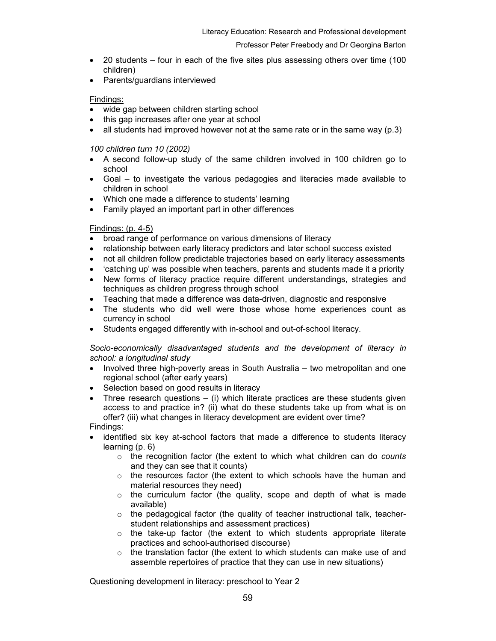- 20 students four in each of the five sites plus assessing others over time (100 children)
- Parents/guardians interviewed

### Findings:

- wide gap between children starting school
- this gap increases after one year at school
- all students had improved however not at the same rate or in the same way  $(p.3)$

## 100 children turn 10 (2002)

- A second follow-up study of the same children involved in 100 children go to school
- Goal to investigate the various pedagogies and literacies made available to children in school
- Which one made a difference to students' learning
- Family played an important part in other differences

# Findings: (p. 4-5)

- broad range of performance on various dimensions of literacy
- relationship between early literacy predictors and later school success existed
- not all children follow predictable trajectories based on early literacy assessments
- 'catching up' was possible when teachers, parents and students made it a priority
- New forms of literacy practice require different understandings, strategies and techniques as children progress through school
- Teaching that made a difference was data-driven, diagnostic and responsive
- The students who did well were those whose home experiences count as currency in school
- Students engaged differently with in-school and out-of-school literacy.

Socio-economically disadvantaged students and the development of literacy in school: a longitudinal study

- Involved three high-poverty areas in South Australia two metropolitan and one regional school (after early years)
- Selection based on good results in literacy
- Three research questions  $-$  (i) which literate practices are these students given access to and practice in? (ii) what do these students take up from what is on offer? (iii) what changes in literacy development are evident over time?
- Findings:
- identified six key at-school factors that made a difference to students literacy learning (p. 6)
	- $\circ$  the recognition factor (the extent to which what children can do counts and they can see that it counts)
	- $\circ$  the resources factor (the extent to which schools have the human and material resources they need)
	- $\circ$  the curriculum factor (the quality, scope and depth of what is made available)
	- $\circ$  the pedagogical factor (the quality of teacher instructional talk, teacherstudent relationships and assessment practices)
	- o the take-up factor (the extent to which students appropriate literate practices and school-authorised discourse)
	- $\circ$  the translation factor (the extent to which students can make use of and assemble repertoires of practice that they can use in new situations)

Questioning development in literacy: preschool to Year 2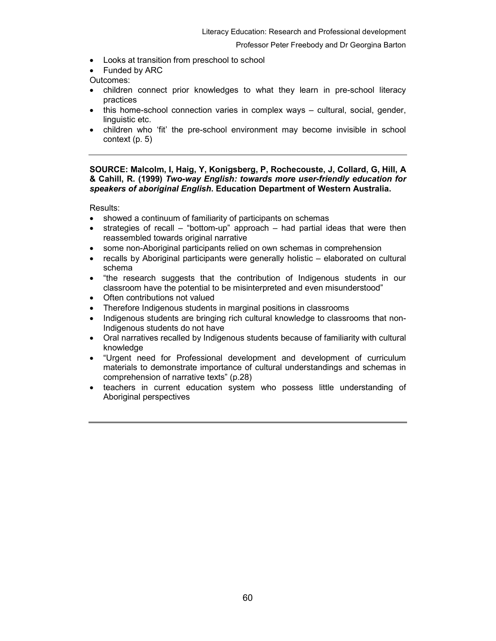- Looks at transition from preschool to school
- Funded by ARC

Outcomes:

- children connect prior knowledges to what they learn in pre-school literacy practices
- this home-school connection varies in complex ways cultural, social, gender, linguistic etc.
- children who 'fit' the pre-school environment may become invisible in school context (p. 5)

### SOURCE: Malcolm, I, Haig, Y, Konigsberg, P, Rochecouste, J, Collard, G, Hill, A & Cahill, R. (1999) Two-way English: towards more user-friendly education for speakers of aboriginal English. Education Department of Western Australia.

Results:

- showed a continuum of familiarity of participants on schemas
- strategies of recall "bottom-up" approach had partial ideas that were then reassembled towards original narrative
- some non-Aboriginal participants relied on own schemas in comprehension
- recalls by Aboriginal participants were generally holistic elaborated on cultural schema
- "the research suggests that the contribution of Indigenous students in our classroom have the potential to be misinterpreted and even misunderstood"
- Often contributions not valued
- Therefore Indigenous students in marginal positions in classrooms
- Indigenous students are bringing rich cultural knowledge to classrooms that non-Indigenous students do not have
- Oral narratives recalled by Indigenous students because of familiarity with cultural knowledge
- "Urgent need for Professional development and development of curriculum materials to demonstrate importance of cultural understandings and schemas in comprehension of narrative texts" (p.28)
- teachers in current education system who possess little understanding of Aboriginal perspectives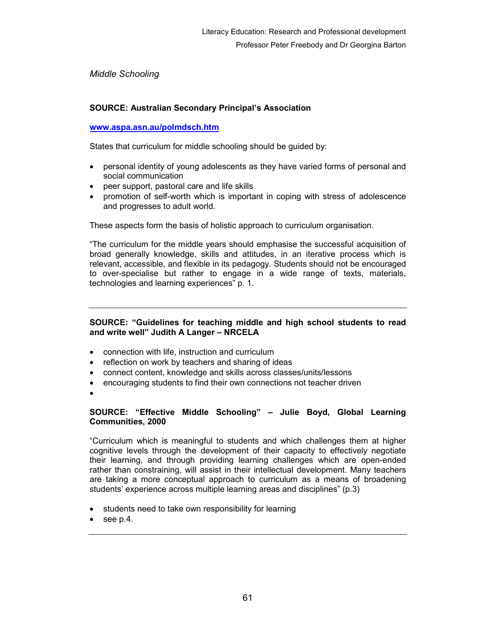Middle Schooling

# SOURCE: Australian Secondary Principal's Association

## www.aspa.asn.au/polmdsch.htm

States that curriculum for middle schooling should be guided by:

- personal identity of young adolescents as they have varied forms of personal and social communication
- peer support, pastoral care and life skills
- promotion of self-worth which is important in coping with stress of adolescence and progresses to adult world.

These aspects form the basis of holistic approach to curriculum organisation.

"The curriculum for the middle years should emphasise the successful acquisition of broad generally knowledge, skills and attitudes, in an iterative process which is relevant, accessible, and flexible in its pedagogy. Students should not be encouraged to over-specialise but rather to engage in a wide range of texts, materials, technologies and learning experiences" p. 1.

## SOURCE: "Guidelines for teaching middle and high school students to read and write well" Judith A Langer – NRCELA

- connection with life, instruction and curriculum
- reflection on work by teachers and sharing of ideas
- connect content, knowledge and skills across classes/units/lessons
- encouraging students to find their own connections not teacher driven
- •

### SOURCE: "Effective Middle Schooling" – Julie Boyd, Global Learning Communities, 2000

"Curriculum which is meaningful to students and which challenges them at higher cognitive levels through the development of their capacity to effectively negotiate their learning, and through providing learning challenges which are open-ended rather than constraining, will assist in their intellectual development. Many teachers are taking a more conceptual approach to curriculum as a means of broadening students' experience across multiple learning areas and disciplines" (p.3)

- students need to take own responsibility for learning
- see p.4.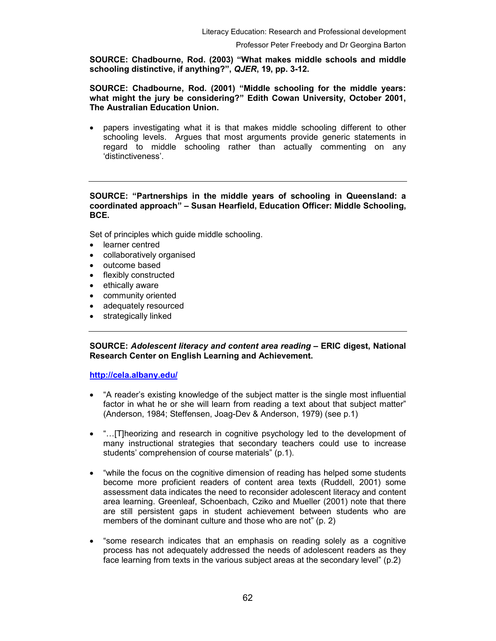SOURCE: Chadbourne, Rod. (2003) "What makes middle schools and middle schooling distinctive, if anything?", QJER, 19, pp. 3-12.

### SOURCE: Chadbourne, Rod. (2001) "Middle schooling for the middle years: what might the jury be considering?" Edith Cowan University, October 2001, The Australian Education Union.

• papers investigating what it is that makes middle schooling different to other schooling levels. Argues that most arguments provide generic statements in regard to middle schooling rather than actually commenting on any 'distinctiveness'.

### SOURCE: "Partnerships in the middle years of schooling in Queensland: a coordinated approach" – Susan Hearfield, Education Officer: Middle Schooling, BCE.

Set of principles which guide middle schooling.

- learner centred
- collaboratively organised
- outcome based
- flexibly constructed
- ethically aware
- community oriented
- adequately resourced
- strategically linked

SOURCE: Adolescent literacy and content area reading – ERIC digest, National Research Center on English Learning and Achievement.

http://cela.albany.edu/

- "A reader's existing knowledge of the subject matter is the single most influential factor in what he or she will learn from reading a text about that subject matter" (Anderson, 1984; Steffensen, Joag-Dev & Anderson, 1979) (see p.1)
- "…[T]heorizing and research in cognitive psychology led to the development of many instructional strategies that secondary teachers could use to increase students' comprehension of course materials" (p.1).
- "while the focus on the cognitive dimension of reading has helped some students become more proficient readers of content area texts (Ruddell, 2001) some assessment data indicates the need to reconsider adolescent literacy and content area learning. Greenleaf, Schoenbach, Cziko and Mueller (2001) note that there are still persistent gaps in student achievement between students who are members of the dominant culture and those who are not" (p. 2)
- "some research indicates that an emphasis on reading solely as a cognitive process has not adequately addressed the needs of adolescent readers as they face learning from texts in the various subject areas at the secondary level" (p.2)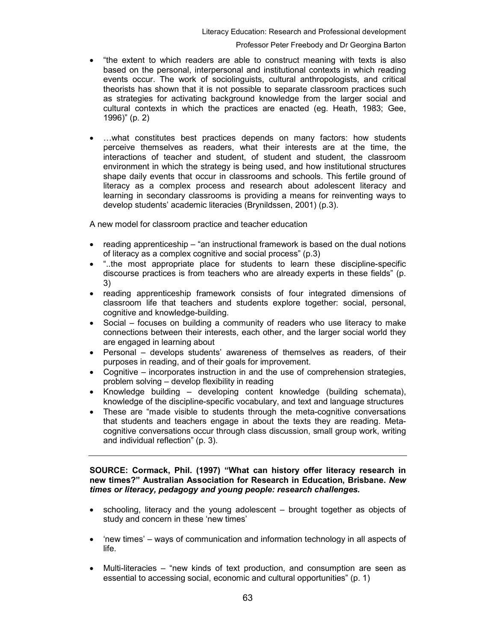- "the extent to which readers are able to construct meaning with texts is also based on the personal, interpersonal and institutional contexts in which reading events occur. The work of sociolinguists, cultural anthropologists, and critical theorists has shown that it is not possible to separate classroom practices such as strategies for activating background knowledge from the larger social and cultural contexts in which the practices are enacted (eg. Heath, 1983; Gee, 1996)" (p. 2)
- …what constitutes best practices depends on many factors: how students perceive themselves as readers, what their interests are at the time, the interactions of teacher and student, of student and student, the classroom environment in which the strategy is being used, and how institutional structures shape daily events that occur in classrooms and schools. This fertile ground of literacy as a complex process and research about adolescent literacy and learning in secondary classrooms is providing a means for reinventing ways to develop students' academic literacies (Brynildssen, 2001) (p.3).

A new model for classroom practice and teacher education

- reading apprenticeship "an instructional framework is based on the dual notions of literacy as a complex cognitive and social process" (p.3)
- "..the most appropriate place for students to learn these discipline-specific discourse practices is from teachers who are already experts in these fields" (p. 3)
- reading apprenticeship framework consists of four integrated dimensions of classroom life that teachers and students explore together: social, personal, cognitive and knowledge-building.
- Social focuses on building a community of readers who use literacy to make connections between their interests, each other, and the larger social world they are engaged in learning about
- Personal develops students' awareness of themselves as readers, of their purposes in reading, and of their goals for improvement.
- Cognitive incorporates instruction in and the use of comprehension strategies, problem solving – develop flexibility in reading
- Knowledge building developing content knowledge (building schemata), knowledge of the discipline-specific vocabulary, and text and language structures
- These are "made visible to students through the meta-cognitive conversations that students and teachers engage in about the texts they are reading. Metacognitive conversations occur through class discussion, small group work, writing and individual reflection" (p. 3).

SOURCE: Cormack, Phil. (1997) "What can history offer literacy research in new times?" Australian Association for Research in Education, Brisbane. New times or literacy, pedagogy and young people: research challenges.

- schooling, literacy and the young adolescent brought together as objects of study and concern in these 'new times'
- 'new times' ways of communication and information technology in all aspects of life.
- Multi-literacies "new kinds of text production, and consumption are seen as essential to accessing social, economic and cultural opportunities" (p. 1)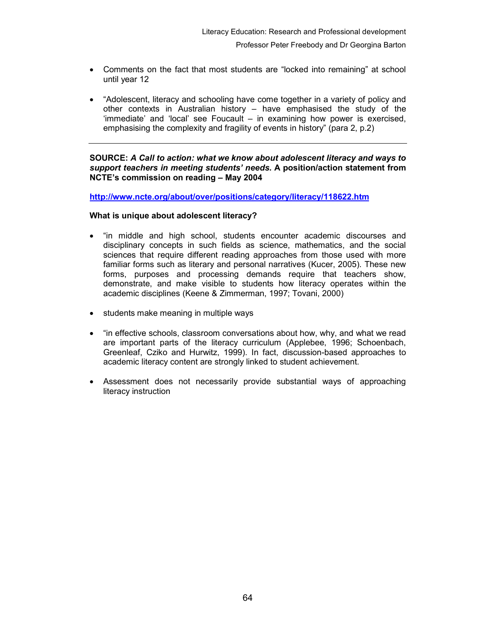- Comments on the fact that most students are "locked into remaining" at school until year 12
- "Adolescent, literacy and schooling have come together in a variety of policy and other contexts in Australian history – have emphasised the study of the 'immediate' and 'local' see Foucault – in examining how power is exercised, emphasising the complexity and fragility of events in history" (para 2, p.2)

SOURCE: A Call to action: what we know about adolescent literacy and ways to support teachers in meeting students' needs. A position/action statement from NCTE's commission on reading – May 2004

http://www.ncte.org/about/over/positions/category/literacy/118622.htm

### What is unique about adolescent literacy?

- "in middle and high school, students encounter academic discourses and disciplinary concepts in such fields as science, mathematics, and the social sciences that require different reading approaches from those used with more familiar forms such as literary and personal narratives (Kucer, 2005). These new forms, purposes and processing demands require that teachers show, demonstrate, and make visible to students how literacy operates within the academic disciplines (Keene & Zimmerman, 1997; Tovani, 2000)
- students make meaning in multiple ways
- "in effective schools, classroom conversations about how, why, and what we read are important parts of the literacy curriculum (Applebee, 1996; Schoenbach, Greenleaf, Cziko and Hurwitz, 1999). In fact, discussion-based approaches to academic literacy content are strongly linked to student achievement.
- Assessment does not necessarily provide substantial ways of approaching literacy instruction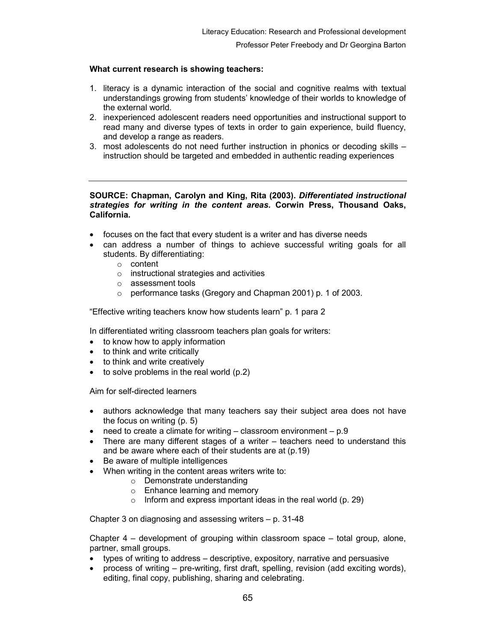# What current research is showing teachers:

- 1. literacy is a dynamic interaction of the social and cognitive realms with textual understandings growing from students' knowledge of their worlds to knowledge of the external world.
- 2. inexperienced adolescent readers need opportunities and instructional support to read many and diverse types of texts in order to gain experience, build fluency, and develop a range as readers.
- 3. most adolescents do not need further instruction in phonics or decoding skills instruction should be targeted and embedded in authentic reading experiences

### SOURCE: Chapman, Carolyn and King, Rita (2003). Differentiated instructional strategies for writing in the content areas. Corwin Press, Thousand Oaks, California.

- focuses on the fact that every student is a writer and has diverse needs
- can address a number of things to achieve successful writing goals for all students. By differentiating:
	- o content
	- o instructional strategies and activities
	- o assessment tools
	- o performance tasks (Gregory and Chapman 2001) p. 1 of 2003.

"Effective writing teachers know how students learn" p. 1 para 2

In differentiated writing classroom teachers plan goals for writers:

- to know how to apply information
- to think and write critically
- to think and write creatively
- to solve problems in the real world (p.2)

Aim for self-directed learners

- authors acknowledge that many teachers say their subject area does not have the focus on writing (p. 5)
- need to create a climate for writing  $-$  classroom environment  $p.9$
- There are many different stages of a writer  $-$  teachers need to understand this and be aware where each of their students are at (p.19)
- Be aware of multiple intelligences
- When writing in the content areas writers write to:
	- o Demonstrate understanding
	- o Enhance learning and memory
	- $\circ$  Inform and express important ideas in the real world (p. 29)

Chapter 3 on diagnosing and assessing writers – p. 31-48

Chapter 4 – development of grouping within classroom space – total group, alone, partner, small groups.

- types of writing to address descriptive, expository, narrative and persuasive
- process of writing pre-writing, first draft, spelling, revision (add exciting words), editing, final copy, publishing, sharing and celebrating.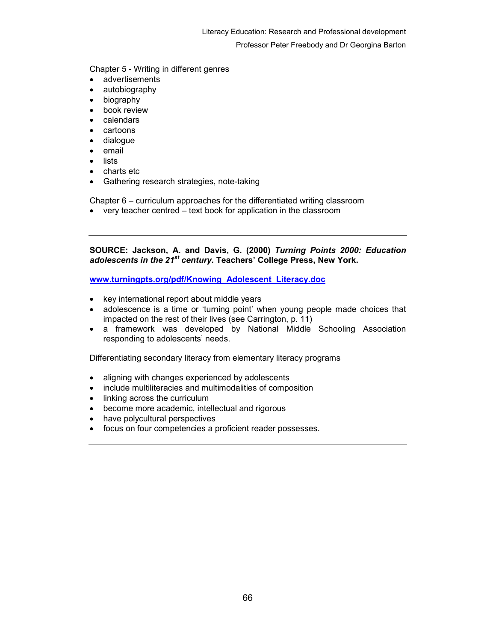Chapter 5 - Writing in different genres

- advertisements
- autobiography
- biography
- book review
- calendars
- cartoons
- dialogue
- email
- lists
- charts etc
- Gathering research strategies, note-taking

Chapter 6 – curriculum approaches for the differentiated writing classroom

• very teacher centred – text book for application in the classroom

SOURCE: Jackson, A. and Davis, G. (2000) Turning Points 2000: Education adolescents in the 21<sup>st</sup> century. Teachers' College Press, New York.

www.turningpts.org/pdf/Knowing\_Adolescent\_Literacy.doc

- key international report about middle years
- adolescence is a time or 'turning point' when young people made choices that impacted on the rest of their lives (see Carrington, p. 11)
- a framework was developed by National Middle Schooling Association responding to adolescents' needs.

Differentiating secondary literacy from elementary literacy programs

- aligning with changes experienced by adolescents
- include multiliteracies and multimodalities of composition
- linking across the curriculum
- become more academic, intellectual and rigorous
- have polycultural perspectives
- focus on four competencies a proficient reader possesses.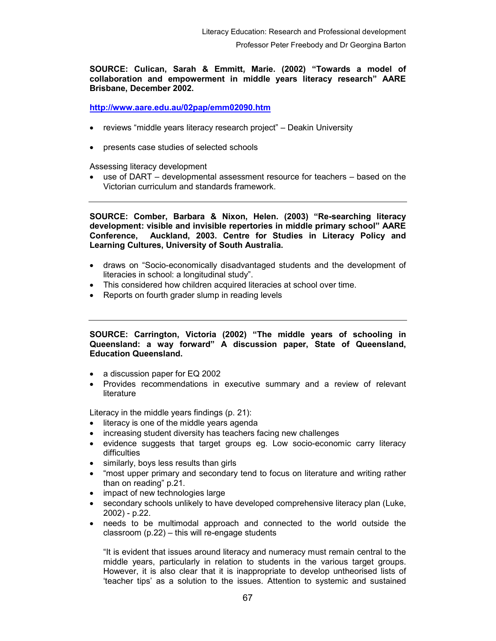SOURCE: Culican, Sarah & Emmitt, Marie. (2002) "Towards a model of collaboration and empowerment in middle years literacy research" AARE Brisbane, December 2002.

http://www.aare.edu.au/02pap/emm02090.htm

- reviews "middle years literacy research project" Deakin University
- presents case studies of selected schools

Assessing literacy development

• use of DART – developmental assessment resource for teachers – based on the Victorian curriculum and standards framework.

SOURCE: Comber, Barbara & Nixon, Helen. (2003) "Re-searching literacy development: visible and invisible repertories in middle primary school" AARE Conference, Auckland, 2003. Centre for Studies in Literacy Policy and Learning Cultures, University of South Australia.

- draws on "Socio-economically disadvantaged students and the development of literacies in school: a longitudinal study".
- This considered how children acquired literacies at school over time.
- Reports on fourth grader slump in reading levels

SOURCE: Carrington, Victoria (2002) "The middle years of schooling in Queensland: a way forward" A discussion paper, State of Queensland, Education Queensland.

- a discussion paper for EQ 2002
- Provides recommendations in executive summary and a review of relevant **literature**

Literacy in the middle years findings (p. 21):

- literacy is one of the middle years agenda
- increasing student diversity has teachers facing new challenges
- evidence suggests that target groups eg. Low socio-economic carry literacy difficulties
- similarly, boys less results than girls
- "most upper primary and secondary tend to focus on literature and writing rather than on reading" p.21.
- impact of new technologies large
- secondary schools unlikely to have developed comprehensive literacy plan (Luke, 2002) - p.22.
- needs to be multimodal approach and connected to the world outside the classroom (p.22) – this will re-engage students

"It is evident that issues around literacy and numeracy must remain central to the middle years, particularly in relation to students in the various target groups. However, it is also clear that it is inappropriate to develop untheorised lists of 'teacher tips' as a solution to the issues. Attention to systemic and sustained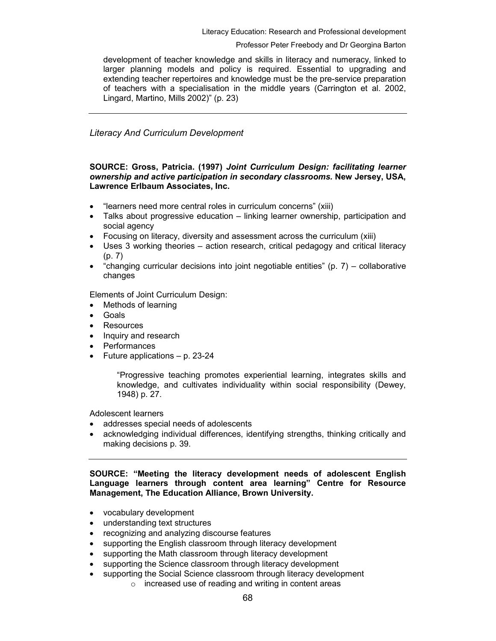Literacy Education: Research and Professional development

### Professor Peter Freebody and Dr Georgina Barton

development of teacher knowledge and skills in literacy and numeracy, linked to larger planning models and policy is required. Essential to upgrading and extending teacher repertoires and knowledge must be the pre-service preparation of teachers with a specialisation in the middle years (Carrington et al. 2002, Lingard, Martino, Mills 2002)" (p. 23)

Literacy And Curriculum Development

### SOURCE: Gross, Patricia. (1997) Joint Curriculum Design: facilitating learner ownership and active participation in secondary classrooms. New Jersey, USA, Lawrence Erlbaum Associates, Inc.

- "learners need more central roles in curriculum concerns" (xiii)
- Talks about progressive education linking learner ownership, participation and social agency
- Focusing on literacy, diversity and assessment across the curriculum (xiii)
- Uses 3 working theories action research, critical pedagogy and critical literacy (p. 7)
- "changing curricular decisions into joint negotiable entities"  $(p. 7)$  collaborative changes

Elements of Joint Curriculum Design:

- Methods of learning
- Goals
- **Resources**
- Inquiry and research
- **Performances**
- Future applications p. 23-24

"Progressive teaching promotes experiential learning, integrates skills and knowledge, and cultivates individuality within social responsibility (Dewey, 1948) p. 27.

Adolescent learners

- addresses special needs of adolescents
- acknowledging individual differences, identifying strengths, thinking critically and making decisions p. 39.

SOURCE: "Meeting the literacy development needs of adolescent English Language learners through content area learning" Centre for Resource Management, The Education Alliance, Brown University.

- vocabulary development
- understanding text structures
- recognizing and analyzing discourse features
- supporting the English classroom through literacy development
- supporting the Math classroom through literacy development
- supporting the Science classroom through literacy development
	- supporting the Social Science classroom through literacy development
		- o increased use of reading and writing in content areas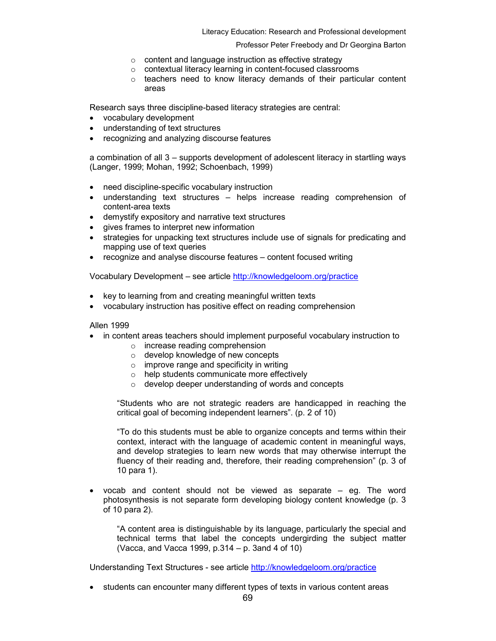Literacy Education: Research and Professional development

#### Professor Peter Freebody and Dr Georgina Barton

- o content and language instruction as effective strategy
- o contextual literacy learning in content-focused classrooms
- o teachers need to know literacy demands of their particular content areas

Research says three discipline-based literacy strategies are central:

- vocabulary development
- understanding of text structures
- recognizing and analyzing discourse features

a combination of all 3 – supports development of adolescent literacy in startling ways (Langer, 1999; Mohan, 1992; Schoenbach, 1999)

- need discipline-specific vocabulary instruction
- understanding text structures helps increase reading comprehension of content-area texts
- demystify expository and narrative text structures
- gives frames to interpret new information
- strategies for unpacking text structures include use of signals for predicating and mapping use of text queries
- recognize and analyse discourse features content focused writing

Vocabulary Development – see article http://knowledgeloom.org/practice

- key to learning from and creating meaningful written texts
- vocabulary instruction has positive effect on reading comprehension

Allen 1999

- in content areas teachers should implement purposeful vocabulary instruction to
	- o increase reading comprehension
	- o develop knowledge of new concepts
	- o improve range and specificity in writing
	- o help students communicate more effectively
	- o develop deeper understanding of words and concepts

"Students who are not strategic readers are handicapped in reaching the critical goal of becoming independent learners". (p. 2 of 10)

"To do this students must be able to organize concepts and terms within their context, interact with the language of academic content in meaningful ways, and develop strategies to learn new words that may otherwise interrupt the fluency of their reading and, therefore, their reading comprehension" (p. 3 of 10 para 1).

• vocab and content should not be viewed as separate – eg. The word photosynthesis is not separate form developing biology content knowledge (p. 3 of 10 para 2).

"A content area is distinguishable by its language, particularly the special and technical terms that label the concepts undergirding the subject matter (Vacca, and Vacca 1999, p.314 – p. 3and 4 of 10)

Understanding Text Structures - see article http://knowledgeloom.org/practice

• students can encounter many different types of texts in various content areas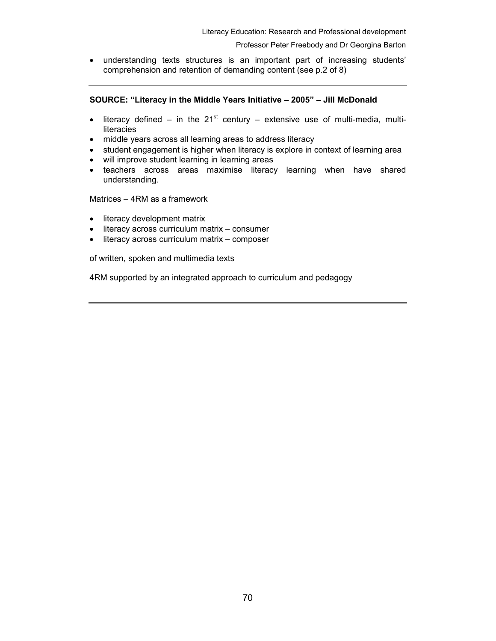• understanding texts structures is an important part of increasing students' comprehension and retention of demanding content (see p.2 of 8)

## SOURCE: "Literacy in the Middle Years Initiative – 2005" – Jill McDonald

- literacy defined in the  $21^{st}$  century extensive use of multi-media, multiliteracies
- middle years across all learning areas to address literacy
- student engagement is higher when literacy is explore in context of learning area
- will improve student learning in learning areas
- teachers across areas maximise literacy learning when have shared understanding.

Matrices – 4RM as a framework

- literacy development matrix
- literacy across curriculum matrix consumer
- literacy across curriculum matrix composer

of written, spoken and multimedia texts

4RM supported by an integrated approach to curriculum and pedagogy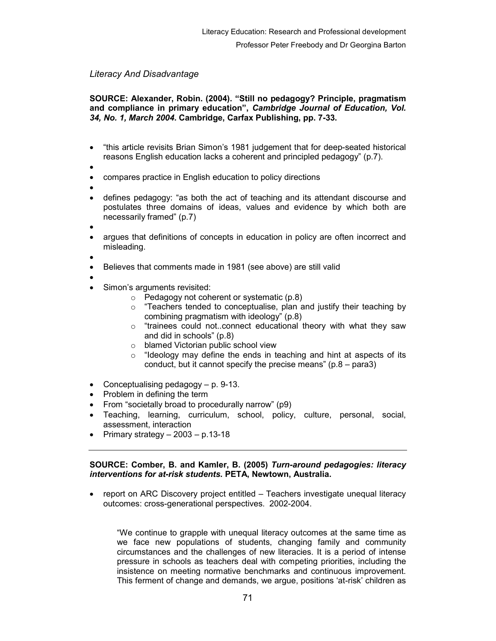# Literacy And Disadvantage

# SOURCE: Alexander, Robin. (2004). "Still no pedagogy? Principle, pragmatism and compliance in primary education", Cambridge Journal of Education, Vol. 34, No. 1, March 2004. Cambridge, Carfax Publishing, pp. 7-33.

- "this article revisits Brian Simon's 1981 judgement that for deep-seated historical reasons English education lacks a coherent and principled pedagogy" (p.7).
- •
- compares practice in English education to policy directions
- •
- defines pedagogy: "as both the act of teaching and its attendant discourse and postulates three domains of ideas, values and evidence by which both are necessarily framed" (p.7)
- •
- argues that definitions of concepts in education in policy are often incorrect and misleading.

•

- Believes that comments made in 1981 (see above) are still valid
- Simon's arguments revisited:
	- $\circ$  Pedagogy not coherent or systematic (p.8)
	- o "Teachers tended to conceptualise, plan and justify their teaching by combining pragmatism with ideology" (p.8)
	- o "trainees could not..connect educational theory with what they saw and did in schools" (p.8)
	- o blamed Victorian public school view
	- $\circ$  "Ideology may define the ends in teaching and hint at aspects of its conduct, but it cannot specify the precise means" (p.8 – para3)
- Conceptualising pedagogy p. 9-13.
- Problem in defining the term
- From "societally broad to procedurally narrow" (p9)
- Teaching, learning, curriculum, school, policy, culture, personal, social, assessment, interaction
- Primary strategy  $-2003 p.13-18$

### SOURCE: Comber, B. and Kamler, B. (2005) Turn-around pedagogies: literacy interventions for at-risk students. PETA, Newtown, Australia.

• report on ARC Discovery project entitled – Teachers investigate unequal literacy outcomes: cross-generational perspectives. 2002-2004.

"We continue to grapple with unequal literacy outcomes at the same time as we face new populations of students, changing family and community circumstances and the challenges of new literacies. It is a period of intense pressure in schools as teachers deal with competing priorities, including the insistence on meeting normative benchmarks and continuous improvement. This ferment of change and demands, we argue, positions 'at-risk' children as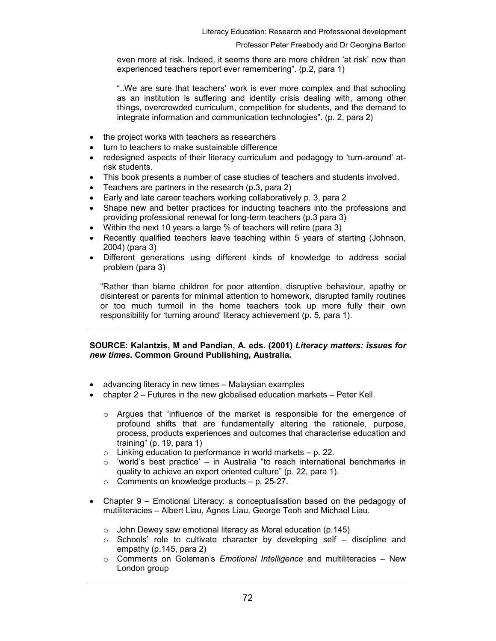even more at risk. Indeed, it seems there are more children 'at risk' now than experienced teachers report ever remembering". (p.2, para 1)

"..We are sure that teachers' work is ever more complex and that schooling as an institution is suffering and identity crisis dealing with, among other things, overcrowded curriculum, competition for students, and the demand to integrate information and communication technologies". (p. 2, para 2)

- the project works with teachers as researchers
- turn to teachers to make sustainable difference
- redesigned aspects of their literacy curriculum and pedagogy to 'turn-around' atrisk students.
- This book presents a number of case studies of teachers and students involved.
- Teachers are partners in the research (p.3, para 2)
- Early and late career teachers working collaboratively p. 3, para 2
- Shape new and better practices for inducting teachers into the professions and providing professional renewal for long-term teachers (p.3 para 3)
- Within the next 10 years a large % of teachers will retire (para 3)
- Recently qualified teachers leave teaching within 5 years of starting (Johnson, 2004) (para 3)
- Different generations using different kinds of knowledge to address social problem (para 3)

"Rather than blame children for poor attention, disruptive behaviour, apathy or disinterest or parents for minimal attention to homework, disrupted family routines or too much turmoil in the home teachers took up more fully their own responsibility for 'turning around' literacy achievement (p. 5, para 1).

## SOURCE: Kalantzis, M and Pandian, A. eds. (2001) Literacy matters: issues for new times. Common Ground Publishing, Australia.

- advancing literacy in new times Malaysian examples
- chapter 2 Futures in the new globalised education markets Peter Kell.
	- $\circ$  Argues that "influence of the market is responsible for the emergence of profound shifts that are fundamentally altering the rationale, purpose, process, products experiences and outcomes that characterise education and training" (p. 19, para 1)
	- $\circ$  Linking education to performance in world markets p. 22.
	- $\circ$  'world's best practice' in Australia "to reach international benchmarks in quality to achieve an export oriented culture" (p. 22, para 1).
	- o Comments on knowledge products p. 25-27.
- Chapter 9 Emotional Literacy: a conceptualisation based on the pedagogy of mutiliteracies – Albert Liau, Agnes Liau, George Teoh and Michael Liau.
	- $\circ$  John Dewey saw emotional literacy as Moral education (p.145)
	- $\circ$  Schools' role to cultivate character by developing self discipline and empathy (p.145, para 2)
	- $\circ$  Comments on Goleman's *Emotional Intelligence* and multiliteracies New London group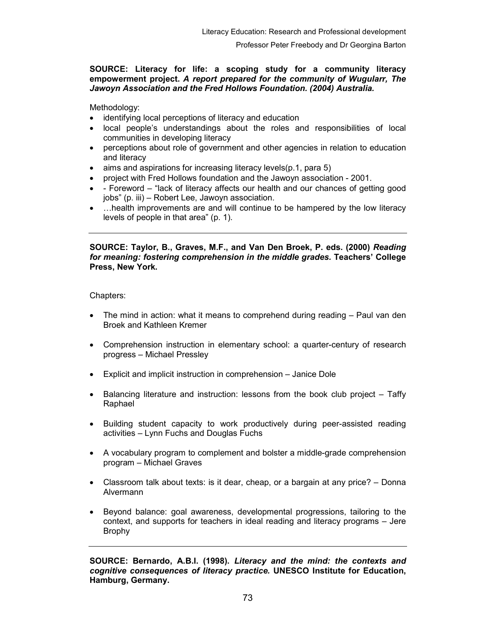# SOURCE: Literacy for life: a scoping study for a community literacy empowerment project. A report prepared for the community of Wugularr, The Jawoyn Association and the Fred Hollows Foundation. (2004) Australia.

Methodology:

- identifying local perceptions of literacy and education
- local people's understandings about the roles and responsibilities of local communities in developing literacy
- perceptions about role of government and other agencies in relation to education and literacy
- aims and aspirations for increasing literacy levels(p.1, para 5)
- project with Fred Hollows foundation and the Jawoyn association 2001.
- - Foreword "lack of literacy affects our health and our chances of getting good jobs" (p. iii) – Robert Lee, Jawoyn association.
- ... health improvements are and will continue to be hampered by the low literacy levels of people in that area" (p. 1).

SOURCE: Taylor, B., Graves, M.F., and Van Den Broek, P. eds. (2000) Reading for meaning: fostering comprehension in the middle grades. Teachers' College Press, New York.

Chapters:

- The mind in action: what it means to comprehend during reading Paul van den Broek and Kathleen Kremer
- Comprehension instruction in elementary school: a quarter-century of research progress – Michael Pressley
- Explicit and implicit instruction in comprehension Janice Dole
- Balancing literature and instruction: lessons from the book club project Taffy Raphael
- Building student capacity to work productively during peer-assisted reading activities – Lynn Fuchs and Douglas Fuchs
- A vocabulary program to complement and bolster a middle-grade comprehension program – Michael Graves
- Classroom talk about texts: is it dear, cheap, or a bargain at any price? Donna Alvermann
- Beyond balance: goal awareness, developmental progressions, tailoring to the context, and supports for teachers in ideal reading and literacy programs – Jere Brophy

SOURCE: Bernardo, A.B.I. (1998). Literacy and the mind: the contexts and cognitive consequences of literacy practice. UNESCO Institute for Education, Hamburg, Germany.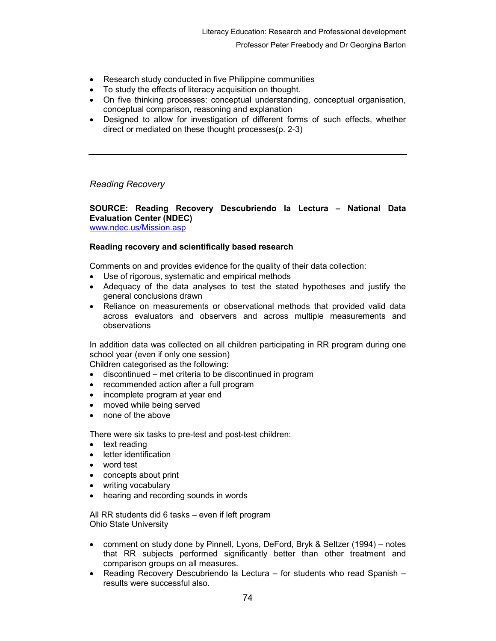- Research study conducted in five Philippine communities
- To study the effects of literacy acquisition on thought.
- On five thinking processes: conceptual understanding, conceptual organisation, conceptual comparison, reasoning and explanation
- Designed to allow for investigation of different forms of such effects, whether direct or mediated on these thought processes(p. 2-3)

Reading Recovery

# SOURCE: Reading Recovery Descubriendo la Lectura – National Data Evaluation Center (NDEC)

www.ndec.us/Mission.asp

# Reading recovery and scientifically based research

Comments on and provides evidence for the quality of their data collection:

- Use of rigorous, systematic and empirical methods
- Adequacy of the data analyses to test the stated hypotheses and justify the general conclusions drawn
- Reliance on measurements or observational methods that provided valid data across evaluators and observers and across multiple measurements and observations

In addition data was collected on all children participating in RR program during one school year (even if only one session)

Children categorised as the following:

- discontinued met criteria to be discontinued in program
- recommended action after a full program
- incomplete program at year end
- moved while being served
- none of the above

There were six tasks to pre-test and post-test children:

- text reading
- letter identification
- word test
- concepts about print
- writing vocabulary
- hearing and recording sounds in words

All RR students did 6 tasks – even if left program Ohio State University

- comment on study done by Pinnell, Lyons, DeFord, Bryk & Seltzer (1994) notes that RR subjects performed significantly better than other treatment and comparison groups on all measures.
- Reading Recovery Descubriendo la Lectura for students who read Spanish results were successful also.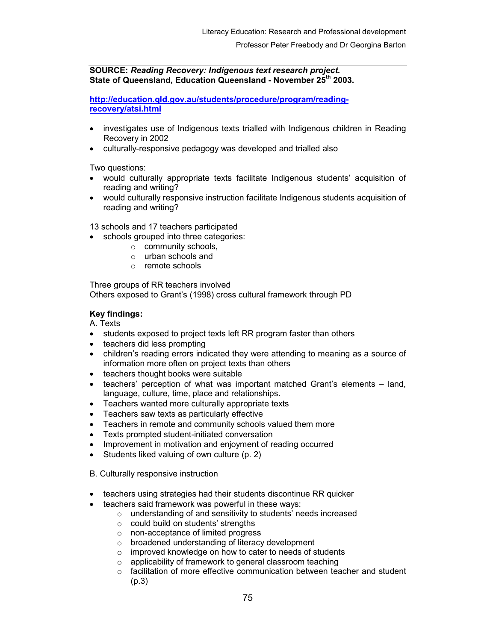# SOURCE: Reading Recovery: Indigenous text research project. State of Queensland, Education Queensland - November 25<sup>th</sup> 2003.

http://education.qld.gov.au/students/procedure/program/readingrecovery/atsi.html

- investigates use of Indigenous texts trialled with Indigenous children in Reading Recovery in 2002
- culturally-responsive pedagogy was developed and trialled also

Two questions:

- would culturally appropriate texts facilitate Indigenous students' acquisition of reading and writing?
- would culturally responsive instruction facilitate Indigenous students acquisition of reading and writing?

13 schools and 17 teachers participated

- schools grouped into three categories:
	- o community schools,
	- o urban schools and
	- o remote schools

Three groups of RR teachers involved Others exposed to Grant's (1998) cross cultural framework through PD

# Key findings:

A. Texts

- students exposed to project texts left RR program faster than others
- teachers did less prompting
- children's reading errors indicated they were attending to meaning as a source of information more often on project texts than others
- teachers thought books were suitable
- teachers' perception of what was important matched Grant's elements land, language, culture, time, place and relationships.
- Teachers wanted more culturally appropriate texts
- Teachers saw texts as particularly effective
- Teachers in remote and community schools valued them more
- Texts prompted student-initiated conversation
- Improvement in motivation and enjoyment of reading occurred
- Students liked valuing of own culture (p. 2)
- B. Culturally responsive instruction
- teachers using strategies had their students discontinue RR quicker
- teachers said framework was powerful in these ways:
	- o understanding of and sensitivity to students' needs increased
	- o could build on students' strengths
	- o non-acceptance of limited progress
	- o broadened understanding of literacy development
	- o improved knowledge on how to cater to needs of students
	- o applicability of framework to general classroom teaching
	- $\circ$  facilitation of more effective communication between teacher and student (p.3)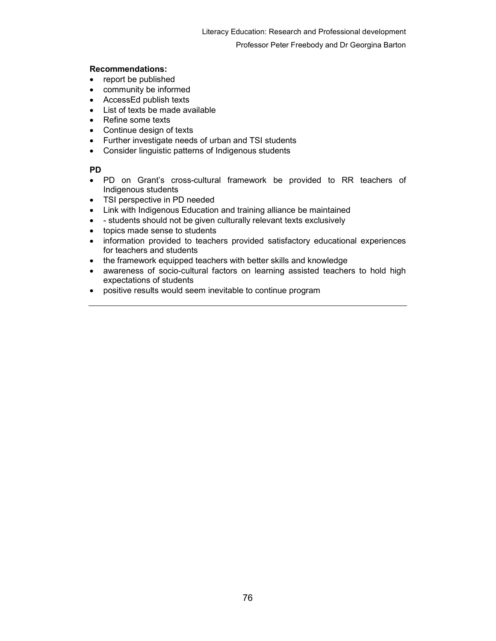# Recommendations:

- report be published
- community be informed
- AccessEd publish texts
- List of texts be made available
- Refine some texts
- Continue design of texts
- Further investigate needs of urban and TSI students
- Consider linguistic patterns of Indigenous students

# PD

- PD on Grant's cross-cultural framework be provided to RR teachers of Indigenous students
- TSI perspective in PD needed
- Link with Indigenous Education and training alliance be maintained
- - students should not be given culturally relevant texts exclusively
- topics made sense to students
- information provided to teachers provided satisfactory educational experiences for teachers and students
- the framework equipped teachers with better skills and knowledge
- awareness of socio-cultural factors on learning assisted teachers to hold high expectations of students
- positive results would seem inevitable to continue program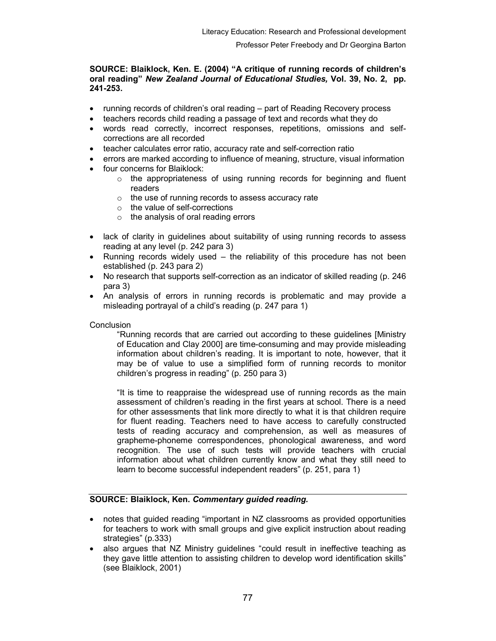# SOURCE: Blaiklock, Ken. E. (2004) "A critique of running records of children's oral reading" New Zealand Journal of Educational Studies, Vol. 39, No. 2, pp. 241-253.

- running records of children's oral reading part of Reading Recovery process
- teachers records child reading a passage of text and records what they do
- words read correctly, incorrect responses, repetitions, omissions and selfcorrections are all recorded
- teacher calculates error ratio, accuracy rate and self-correction ratio
- errors are marked according to influence of meaning, structure, visual information
- four concerns for Blaiklock:
	- $\circ$  the appropriateness of using running records for beginning and fluent readers
	- o the use of running records to assess accuracy rate
	- o the value of self-corrections
	- $\circ$  the analysis of oral reading errors
- lack of clarity in guidelines about suitability of using running records to assess reading at any level (p. 242 para 3)
- Running records widely used the reliability of this procedure has not been established (p. 243 para 2)
- No research that supports self-correction as an indicator of skilled reading (p. 246 para 3)
- An analysis of errors in running records is problematic and may provide a misleading portrayal of a child's reading (p. 247 para 1)

# **Conclusion**

"Running records that are carried out according to these guidelines [Ministry of Education and Clay 2000] are time-consuming and may provide misleading information about children's reading. It is important to note, however, that it may be of value to use a simplified form of running records to monitor children's progress in reading" (p. 250 para 3)

"It is time to reappraise the widespread use of running records as the main assessment of children's reading in the first years at school. There is a need for other assessments that link more directly to what it is that children require for fluent reading. Teachers need to have access to carefully constructed tests of reading accuracy and comprehension, as well as measures of grapheme-phoneme correspondences, phonological awareness, and word recognition. The use of such tests will provide teachers with crucial information about what children currently know and what they still need to learn to become successful independent readers" (p. 251, para 1)

# SOURCE: Blaiklock, Ken. Commentary guided reading.

- notes that guided reading "important in NZ classrooms as provided opportunities for teachers to work with small groups and give explicit instruction about reading strategies" (p.333)
- also argues that NZ Ministry guidelines "could result in ineffective teaching as they gave little attention to assisting children to develop word identification skills" (see Blaiklock, 2001)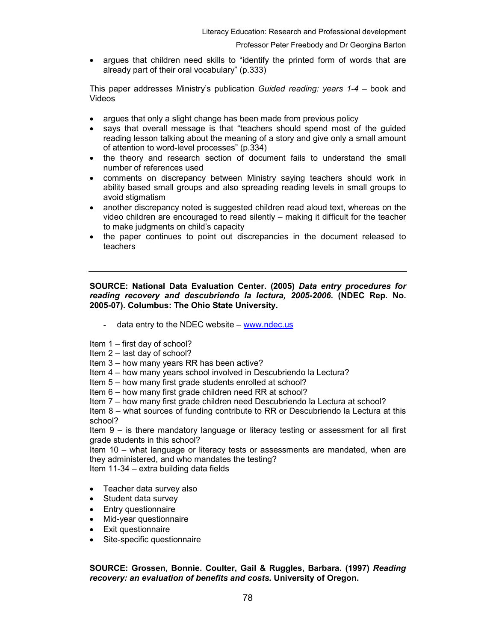• argues that children need skills to "identify the printed form of words that are already part of their oral vocabulary" (p.333)

This paper addresses Ministry's publication Guided reading: years  $1-4$  – book and Videos

- argues that only a slight change has been made from previous policy
- says that overall message is that "teachers should spend most of the guided reading lesson talking about the meaning of a story and give only a small amount of attention to word-level processes" (p.334)
- the theory and research section of document fails to understand the small number of references used
- comments on discrepancy between Ministry saying teachers should work in ability based small groups and also spreading reading levels in small groups to avoid stigmatism
- another discrepancy noted is suggested children read aloud text, whereas on the video children are encouraged to read silently – making it difficult for the teacher to make judgments on child's capacity
- the paper continues to point out discrepancies in the document released to teachers

# SOURCE: National Data Evaluation Center. (2005) Data entry procedures for reading recovery and descubriendo la lectura, 2005-2006. (NDEC Rep. No. 2005-07). Columbus: The Ohio State University.

data entry to the NDEC website  $-$  www.ndec.us

Item 1 – first day of school?

## Item 2 – last day of school?

Item 3 – how many years RR has been active?

Item 4 – how many years school involved in Descubriendo la Lectura?

Item 5 – how many first grade students enrolled at school?

- Item 6 how many first grade children need RR at school?
- Item 7 how many first grade children need Descubriendo la Lectura at school?

Item 8 – what sources of funding contribute to RR or Descubriendo la Lectura at this school?

Item 9 – is there mandatory language or literacy testing or assessment for all first grade students in this school?

Item 10 – what language or literacy tests or assessments are mandated, when are they administered, and who mandates the testing?

Item 11-34 – extra building data fields

- Teacher data survey also
- Student data survey
- Entry questionnaire
- Mid-year questionnaire
- Exit questionnaire
- Site-specific questionnaire

# SOURCE: Grossen, Bonnie. Coulter, Gail & Ruggles, Barbara. (1997) Reading recovery: an evaluation of benefits and costs. University of Oregon.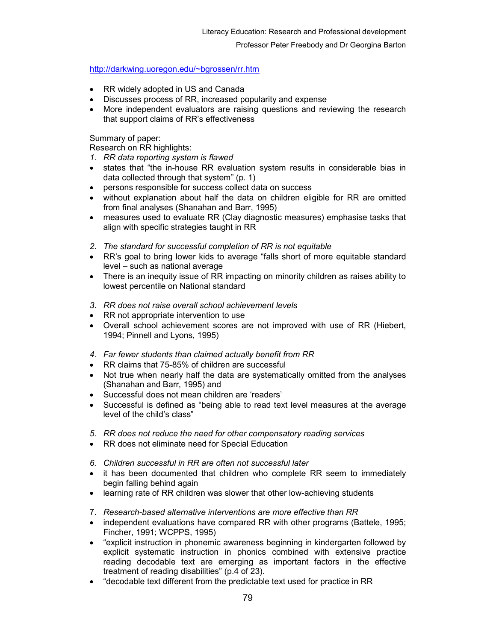http://darkwing.uoregon.edu/~bgrossen/rr.htm

- RR widely adopted in US and Canada
- Discusses process of RR, increased popularity and expense
- More independent evaluators are raising questions and reviewing the research that support claims of RR's effectiveness

Summary of paper:

Research on RR highlights:

- 1. RR data reporting system is flawed
- states that "the in-house RR evaluation system results in considerable bias in data collected through that system" (p. 1)
- persons responsible for success collect data on success
- without explanation about half the data on children eligible for RR are omitted from final analyses (Shanahan and Barr, 1995)
- measures used to evaluate RR (Clay diagnostic measures) emphasise tasks that align with specific strategies taught in RR
- 2. The standard for successful completion of RR is not equitable
- RR's goal to bring lower kids to average "falls short of more equitable standard level – such as national average
- There is an inequity issue of RR impacting on minority children as raises ability to lowest percentile on National standard
- 3. RR does not raise overall school achievement levels
- RR not appropriate intervention to use
- Overall school achievement scores are not improved with use of RR (Hiebert, 1994; Pinnell and Lyons, 1995)
- 4. Far fewer students than claimed actually benefit from RR
- RR claims that 75-85% of children are successful
- Not true when nearly half the data are systematically omitted from the analyses (Shanahan and Barr, 1995) and
- Successful does not mean children are 'readers'
- Successful is defined as "being able to read text level measures at the average level of the child's class"
- 5. RR does not reduce the need for other compensatory reading services
- RR does not eliminate need for Special Education
- 6. Children successful in RR are often not successful later
- it has been documented that children who complete RR seem to immediately begin falling behind again
- learning rate of RR children was slower that other low-achieving students
- 7. Research-based alternative interventions are more effective than RR
- independent evaluations have compared RR with other programs (Battele, 1995; Fincher, 1991; WCPPS, 1995)
- "explicit instruction in phonemic awareness beginning in kindergarten followed by explicit systematic instruction in phonics combined with extensive practice reading decodable text are emerging as important factors in the effective treatment of reading disabilities" (p.4 of 23).
- "decodable text different from the predictable text used for practice in RR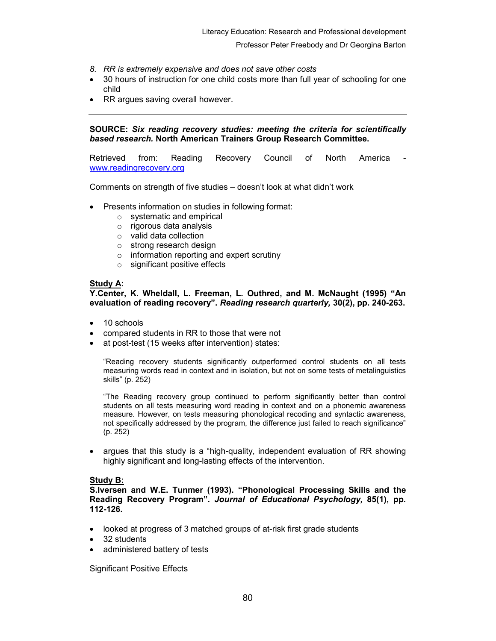- 8. RR is extremely expensive and does not save other costs
- 30 hours of instruction for one child costs more than full year of schooling for one child
- RR argues saving overall however.

SOURCE: Six reading recovery studies: meeting the criteria for scientifically based research. North American Trainers Group Research Committee.

Retrieved from: Reading Recovery Council of North America www.readingrecovery.org

Comments on strength of five studies – doesn't look at what didn't work

- Presents information on studies in following format:
	- o systematic and empirical
	- o rigorous data analysis
	- o valid data collection
	- o strong research design
	- $\circ$  information reporting and expert scrutiny
	- o significant positive effects

# Study A:

Y.Center, K. Wheldall, L. Freeman, L. Outhred, and M. McNaught (1995) "An evaluation of reading recovery". Reading research quarterly, 30(2), pp. 240-263.

- 10 schools
- compared students in RR to those that were not
- at post-test (15 weeks after intervention) states:

"Reading recovery students significantly outperformed control students on all tests measuring words read in context and in isolation, but not on some tests of metalinguistics skills" (p. 252)

"The Reading recovery group continued to perform significantly better than control students on all tests measuring word reading in context and on a phonemic awareness measure. However, on tests measuring phonological recoding and syntactic awareness, not specifically addressed by the program, the difference just failed to reach significance" (p. 252)

• argues that this study is a "high-quality, independent evaluation of RR showing highly significant and long-lasting effects of the intervention.

## Study B:

S.Iversen and W.E. Tunmer (1993). "Phonological Processing Skills and the Reading Recovery Program". Journal of Educational Psychology, 85(1), pp. 112-126.

- looked at progress of 3 matched groups of at-risk first grade students
- 32 students
- administered battery of tests

Significant Positive Effects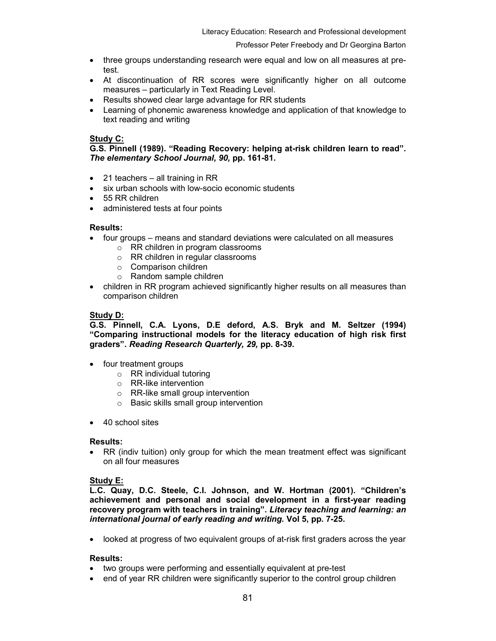- three groups understanding research were equal and low on all measures at pretest.
- At discontinuation of RR scores were significantly higher on all outcome measures – particularly in Text Reading Level.
- Results showed clear large advantage for RR students
- Learning of phonemic awareness knowledge and application of that knowledge to text reading and writing

# Study C:

G.S. Pinnell (1989). "Reading Recovery: helping at-risk children learn to read". The elementary School Journal, 90, pp. 161-81.

- 21 teachers all training in RR
- six urban schools with low-socio economic students
- 55 RR children
- administered tests at four points

## Results:

- four groups means and standard deviations were calculated on all measures
	- o RR children in program classrooms
	- o RR children in regular classrooms
	- o Comparison children
	- o Random sample children
- children in RR program achieved significantly higher results on all measures than comparison children

# Study D:

G.S. Pinnell, C.A. Lyons, D.E deford, A.S. Bryk and M. Seltzer (1994) "Comparing instructional models for the literacy education of high risk first graders". Reading Research Quarterly, 29, pp. 8-39.

- four treatment groups
	- o RR individual tutoring
	- o RR-like intervention
	- o RR-like small group intervention
	- o Basic skills small group intervention
- 40 school sites

## Results:

• RR (indiv tuition) only group for which the mean treatment effect was significant on all four measures

# Study E:

L.C. Quay, D.C. Steele, C.I. Johnson, and W. Hortman (2001). "Children's achievement and personal and social development in a first-year reading recovery program with teachers in training". Literacy teaching and learning: an international journal of early reading and writing. Vol 5, pp. 7-25.

• looked at progress of two equivalent groups of at-risk first graders across the year

## Results:

- two groups were performing and essentially equivalent at pre-test
- end of year RR children were significantly superior to the control group children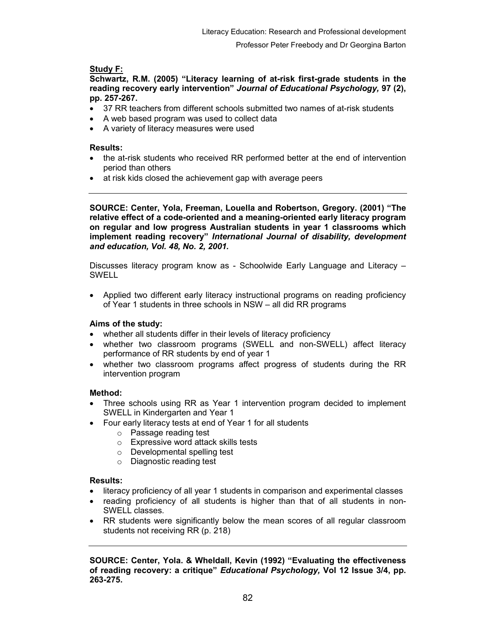# Study F:

Schwartz, R.M. (2005) "Literacy learning of at-risk first-grade students in the reading recovery early intervention" Journal of Educational Psychology, 97 (2), pp. 257-267.

- 37 RR teachers from different schools submitted two names of at-risk students
- A web based program was used to collect data
- A variety of literacy measures were used

# Results:

- the at-risk students who received RR performed better at the end of intervention period than others
- at risk kids closed the achievement gap with average peers

SOURCE: Center, Yola, Freeman, Louella and Robertson, Gregory. (2001) "The relative effect of a code-oriented and a meaning-oriented early literacy program on regular and low progress Australian students in year 1 classrooms which implement reading recovery" International Journal of disability, development and education, Vol. 48, No. 2, 2001.

Discusses literacy program know as - Schoolwide Early Language and Literacy – SWELL

• Applied two different early literacy instructional programs on reading proficiency of Year 1 students in three schools in NSW – all did RR programs

# Aims of the study:

- whether all students differ in their levels of literacy proficiency
- whether two classroom programs (SWELL and non-SWELL) affect literacy performance of RR students by end of year 1
- whether two classroom programs affect progress of students during the RR intervention program

# Method:

- Three schools using RR as Year 1 intervention program decided to implement SWELL in Kindergarten and Year 1
- Four early literacy tests at end of Year 1 for all students
	- o Passage reading test
	- o Expressive word attack skills tests
	- o Developmental spelling test
	- o Diagnostic reading test

## Results:

- literacy proficiency of all year 1 students in comparison and experimental classes
- reading proficiency of all students is higher than that of all students in non-SWELL classes.
- RR students were significantly below the mean scores of all regular classroom students not receiving RR (p. 218)

SOURCE: Center, Yola. & Wheldall, Kevin (1992) "Evaluating the effectiveness of reading recovery: a critique" Educational Psychology, Vol 12 Issue 3/4, pp. 263-275.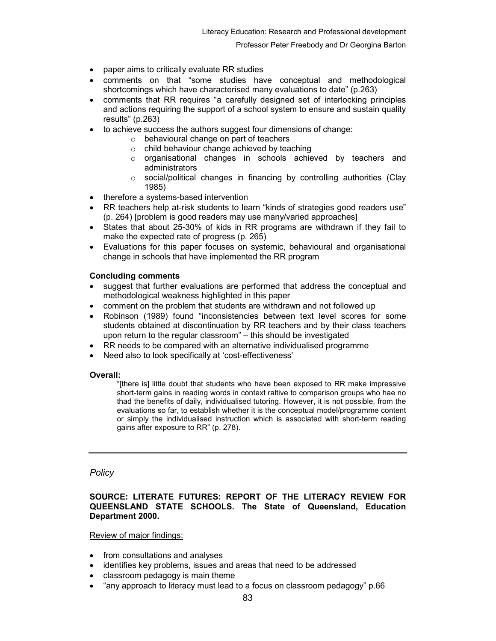- paper aims to critically evaluate RR studies
- comments on that "some studies have conceptual and methodological shortcomings which have characterised many evaluations to date" (p.263)
- comments that RR requires "a carefully designed set of interlocking principles and actions requiring the support of a school system to ensure and sustain quality results" (p.263)
- to achieve success the authors suggest four dimensions of change:
	- $\circ$  behavioural change on part of teachers
	- o child behaviour change achieved by teaching
	- o organisational changes in schools achieved by teachers and administrators
	- o social/political changes in financing by controlling authorities (Clay 1985)
- therefore a systems-based intervention
- RR teachers help at-risk students to learn "kinds of strategies good readers use" (p. 264) [problem is good readers may use many/varied approaches]
- States that about 25-30% of kids in RR programs are withdrawn if they fail to make the expected rate of progress (p. 265)
- Evaluations for this paper focuses on systemic, behavioural and organisational change in schools that have implemented the RR program

# Concluding comments

- suggest that further evaluations are performed that address the conceptual and methodological weakness highlighted in this paper
- comment on the problem that students are withdrawn and not followed up
- Robinson (1989) found "inconsistencies between text level scores for some students obtained at discontinuation by RR teachers and by their class teachers upon return to the regular classroom" – this should be investigated
- RR needs to be compared with an alternative individualised programme
- Need also to look specifically at 'cost-effectiveness'

## Overall:

"[there is] little doubt that students who have been exposed to RR make impressive short-term gains in reading words in context raltive to comparison groups who hae no thad the benefits of daily, individualised tutoring. However, it is not possible, from the evaluations so far, to establish whether it is the conceptual model/programme content or simply the individualised instruction which is associated with short-term reading gains after exposure to RR" (p. 278).

## **Policy**

# SOURCE: LITERATE FUTURES: REPORT OF THE LITERACY REVIEW FOR QUEENSLAND STATE SCHOOLS. The State of Queensland, Education Department 2000.

Review of major findings:

- from consultations and analyses
- identifies key problems, issues and areas that need to be addressed
- classroom pedagogy is main theme
- "any approach to literacy must lead to a focus on classroom pedagogy" p.66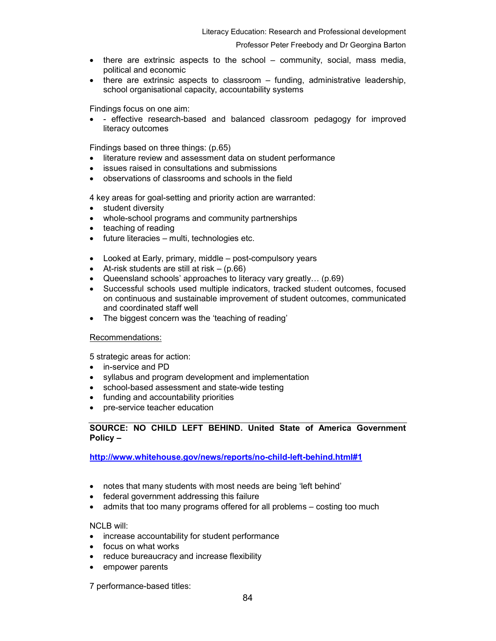- there are extrinsic aspects to the school community, social, mass media, political and economic
- there are extrinsic aspects to classroom funding, administrative leadership, school organisational capacity, accountability systems

Findings focus on one aim:

• - effective research-based and balanced classroom pedagogy for improved literacy outcomes

Findings based on three things: (p.65)

- literature review and assessment data on student performance
- issues raised in consultations and submissions
- observations of classrooms and schools in the field

4 key areas for goal-setting and priority action are warranted:

- student diversity
- whole-school programs and community partnerships
- teaching of reading
- future literacies multi, technologies etc.
- Looked at Early, primary, middle post-compulsory years
- At-risk students are still at risk  $-$  (p.66)
- Queensland schools' approaches to literacy vary greatly… (p.69)
- Successful schools used multiple indicators, tracked student outcomes, focused on continuous and sustainable improvement of student outcomes, communicated and coordinated staff well
- The biggest concern was the 'teaching of reading'

## Recommendations:

5 strategic areas for action:

- in-service and PD
- syllabus and program development and implementation
- school-based assessment and state-wide testing
- funding and accountability priorities
- pre-service teacher education

SOURCE: NO CHILD LEFT BEHIND. United State of America Government Policy –

http://www.whitehouse.gov/news/reports/no-child-left-behind.html#1

- notes that many students with most needs are being 'left behind'
- federal government addressing this failure
- admits that too many programs offered for all problems costing too much

NCLB will:

- increase accountability for student performance
- focus on what works
- reduce bureaucracy and increase flexibility
- empower parents

7 performance-based titles: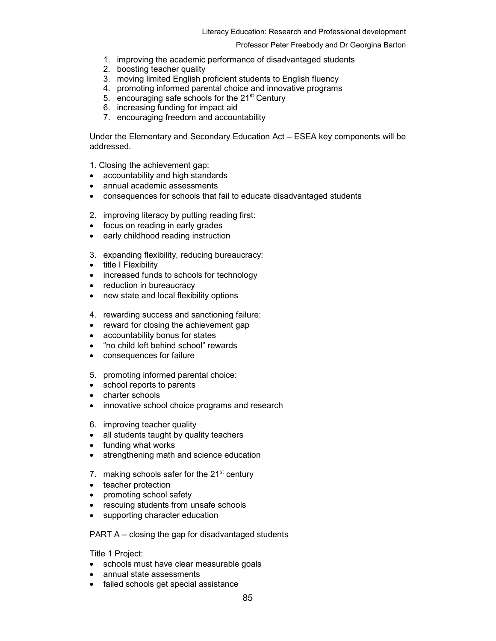- 1. improving the academic performance of disadvantaged students
- 2. boosting teacher quality
- 3. moving limited English proficient students to English fluency
- 4. promoting informed parental choice and innovative programs
- 5. encouraging safe schools for the 21<sup>st</sup> Century
- 6. increasing funding for impact aid
- 7. encouraging freedom and accountability

Under the Elementary and Secondary Education Act – ESEA key components will be addressed.

1. Closing the achievement gap:

- accountability and high standards
- annual academic assessments
- consequences for schools that fail to educate disadvantaged students
- 2. improving literacy by putting reading first:
- focus on reading in early grades
- early childhood reading instruction
- 3. expanding flexibility, reducing bureaucracy:
- title I Flexibility
- increased funds to schools for technology
- reduction in bureaucracy
- new state and local flexibility options
- 4. rewarding success and sanctioning failure:
- reward for closing the achievement gap
- accountability bonus for states
- "no child left behind school" rewards
- consequences for failure
- 5. promoting informed parental choice:
- school reports to parents
- charter schools
- innovative school choice programs and research
- 6. improving teacher quality
- all students taught by quality teachers
- funding what works
- strengthening math and science education
- 7. making schools safer for the  $21<sup>st</sup>$  century
- teacher protection
- promoting school safety
- rescuing students from unsafe schools
- supporting character education

## PART A – closing the gap for disadvantaged students

Title 1 Project:

- schools must have clear measurable goals
- annual state assessments
- failed schools get special assistance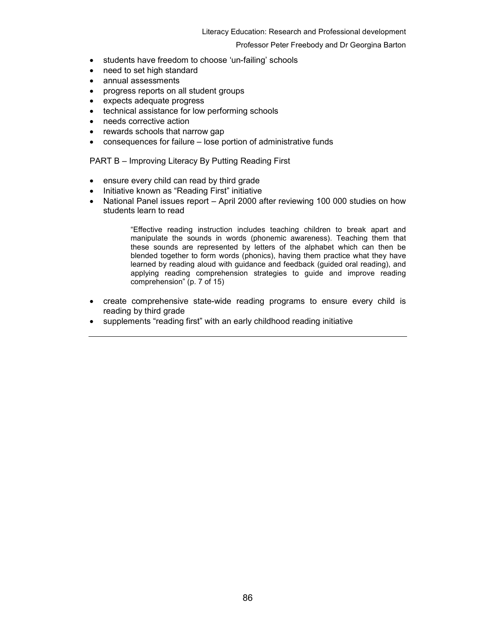#### Literacy Education: Research and Professional development

## Professor Peter Freebody and Dr Georgina Barton

- students have freedom to choose 'un-failing' schools
- need to set high standard
- annual assessments
- progress reports on all student groups
- expects adequate progress
- technical assistance for low performing schools
- needs corrective action
- rewards schools that narrow gap
- consequences for failure lose portion of administrative funds

# PART B – Improving Literacy By Putting Reading First

- ensure every child can read by third grade
- Initiative known as "Reading First" initiative
- National Panel issues report April 2000 after reviewing 100 000 studies on how students learn to read

"Effective reading instruction includes teaching children to break apart and manipulate the sounds in words (phonemic awareness). Teaching them that these sounds are represented by letters of the alphabet which can then be blended together to form words (phonics), having them practice what they have learned by reading aloud with guidance and feedback (guided oral reading), and applying reading comprehension strategies to guide and improve reading comprehension" (p. 7 of 15)

- create comprehensive state-wide reading programs to ensure every child is reading by third grade
- supplements "reading first" with an early childhood reading initiative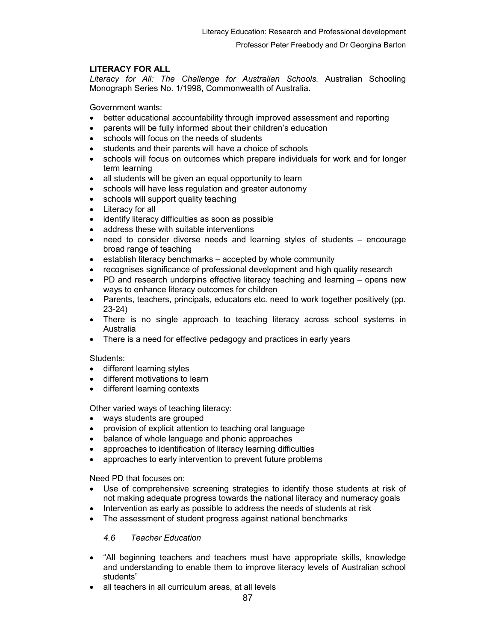# LITERACY FOR ALL

Literacy for All: The Challenge for Australian Schools. Australian Schooling Monograph Series No. 1/1998, Commonwealth of Australia.

Government wants:

- better educational accountability through improved assessment and reporting
- parents will be fully informed about their children's education
- schools will focus on the needs of students
- students and their parents will have a choice of schools
- schools will focus on outcomes which prepare individuals for work and for longer term learning
- all students will be given an equal opportunity to learn
- schools will have less regulation and greater autonomy
- schools will support quality teaching
- Literacy for all
- identify literacy difficulties as soon as possible
- address these with suitable interventions
- need to consider diverse needs and learning styles of students encourage broad range of teaching
- establish literacy benchmarks accepted by whole community
- recognises significance of professional development and high quality research
- PD and research underpins effective literacy teaching and learning opens new ways to enhance literacy outcomes for children
- Parents, teachers, principals, educators etc. need to work together positively (pp. 23-24)
- There is no single approach to teaching literacy across school systems in Australia
- There is a need for effective pedagogy and practices in early years

# Students:

- different learning styles
- different motivations to learn
- different learning contexts

Other varied ways of teaching literacy:

- ways students are grouped
- provision of explicit attention to teaching oral language
- balance of whole language and phonic approaches
- approaches to identification of literacy learning difficulties
- approaches to early intervention to prevent future problems

Need PD that focuses on:

- Use of comprehensive screening strategies to identify those students at risk of not making adequate progress towards the national literacy and numeracy goals
- Intervention as early as possible to address the needs of students at risk
- The assessment of student progress against national benchmarks

# 4.6 Teacher Education

- "All beginning teachers and teachers must have appropriate skills, knowledge and understanding to enable them to improve literacy levels of Australian school students"
- all teachers in all curriculum areas, at all levels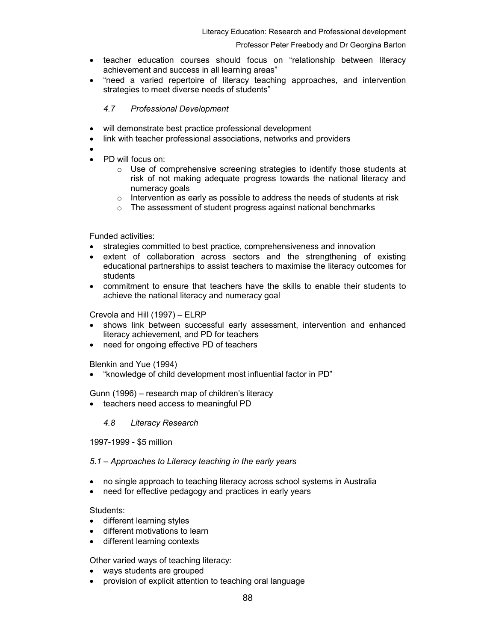- teacher education courses should focus on "relationship between literacy achievement and success in all learning areas"
- "need a varied repertoire of literacy teaching approaches, and intervention strategies to meet diverse needs of students"

# 4.7 Professional Development

- will demonstrate best practice professional development
- link with teacher professional associations, networks and providers
- •
- PD will focus on:
	- $\circ$  Use of comprehensive screening strategies to identify those students at risk of not making adequate progress towards the national literacy and numeracy goals
	- $\circ$  Intervention as early as possible to address the needs of students at risk
	- o The assessment of student progress against national benchmarks

# Funded activities:

- strategies committed to best practice, comprehensiveness and innovation
- extent of collaboration across sectors and the strengthening of existing educational partnerships to assist teachers to maximise the literacy outcomes for students
- commitment to ensure that teachers have the skills to enable their students to achieve the national literacy and numeracy goal

# Crevola and Hill (1997) – ELRP

- shows link between successful early assessment, intervention and enhanced literacy achievement, and PD for teachers
- need for ongoing effective PD of teachers

Blenkin and Yue (1994)

• "knowledge of child development most influential factor in PD"

Gunn (1996) – research map of children's literacy

- teachers need access to meaningful PD
	- 4.8 Literacy Research

## 1997-1999 - \$5 million

## 5.1 – Approaches to Literacy teaching in the early years

- no single approach to teaching literacy across school systems in Australia
- need for effective pedagogy and practices in early years

## Students:

- different learning styles
- different motivations to learn
- different learning contexts

# Other varied ways of teaching literacy:

- ways students are grouped
- provision of explicit attention to teaching oral language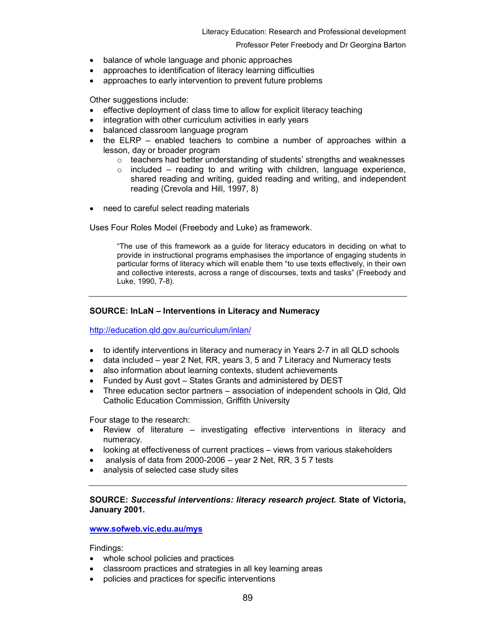#### Literacy Education: Research and Professional development

#### Professor Peter Freebody and Dr Georgina Barton

- balance of whole language and phonic approaches
- approaches to identification of literacy learning difficulties
- approaches to early intervention to prevent future problems

Other suggestions include:

- effective deployment of class time to allow for explicit literacy teaching
- integration with other curriculum activities in early years
- balanced classroom language program
- the ELRP enabled teachers to combine a number of approaches within a lesson, day or broader program
	- $\circ$  teachers had better understanding of students' strengths and weaknesses
	- $\circ$  included reading to and writing with children, language experience, shared reading and writing, guided reading and writing, and independent reading (Crevola and Hill, 1997, 8)
- need to careful select reading materials

Uses Four Roles Model (Freebody and Luke) as framework.

"The use of this framework as a guide for literacy educators in deciding on what to provide in instructional programs emphasises the importance of engaging students in particular forms of literacy which will enable them "to use texts effectively, in their own and collective interests, across a range of discourses, texts and tasks" (Freebody and Luke, 1990, 7-8).

# SOURCE: InLaN – Interventions in Literacy and Numeracy

http://education.qld.gov.au/curriculum/inlan/

- to identify interventions in literacy and numeracy in Years 2-7 in all QLD schools
- data included year 2 Net, RR, years 3, 5 and 7 Literacy and Numeracy tests
- also information about learning contexts, student achievements
- Funded by Aust govt States Grants and administered by DEST
- Three education sector partners association of independent schools in Qld, Qld Catholic Education Commission, Griffith University

Four stage to the research:

- Review of literature investigating effective interventions in literacy and numeracy.
- looking at effectiveness of current practices views from various stakeholders
- analysis of data from 2000-2006 year 2 Net, RR, 3 5 7 tests
- analysis of selected case study sites

# SOURCE: Successful interventions: literacy research project. State of Victoria, January 2001.

## www.sofweb.vic.edu.au/mys

Findings:

- whole school policies and practices
- classroom practices and strategies in all key learning areas
- policies and practices for specific interventions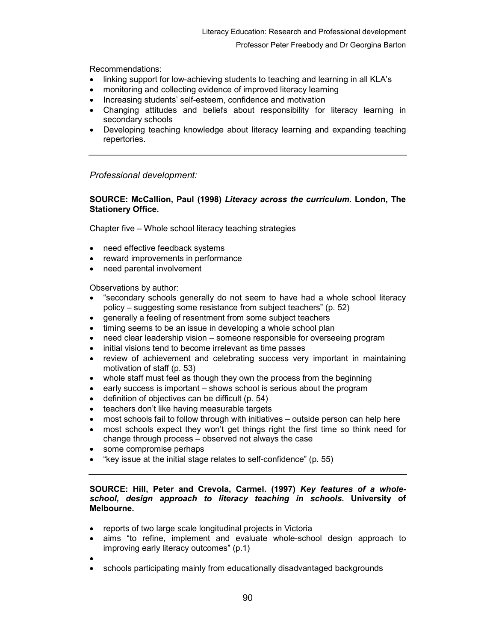Recommendations:

- linking support for low-achieving students to teaching and learning in all KLA's
- monitoring and collecting evidence of improved literacy learning
- Increasing students' self-esteem, confidence and motivation
- Changing attitudes and beliefs about responsibility for literacy learning in secondary schools
- Developing teaching knowledge about literacy learning and expanding teaching repertories.

Professional development:

# SOURCE: McCallion, Paul (1998) Literacy across the curriculum. London, The Stationery Office.

Chapter five – Whole school literacy teaching strategies

- need effective feedback systems
- reward improvements in performance
- need parental involvement

Observations by author:

- "secondary schools generally do not seem to have had a whole school literacy policy – suggesting some resistance from subject teachers" (p. 52)
- generally a feeling of resentment from some subject teachers
- timing seems to be an issue in developing a whole school plan
- need clear leadership vision someone responsible for overseeing program
- initial visions tend to become irrelevant as time passes
- review of achievement and celebrating success very important in maintaining motivation of staff (p. 53)
- whole staff must feel as though they own the process from the beginning
- early success is important shows school is serious about the program
- definition of objectives can be difficult (p. 54)
- teachers don't like having measurable targets
- most schools fail to follow through with initiatives outside person can help here
- most schools expect they won't get things right the first time so think need for change through process – observed not always the case
- some compromise perhaps
- "key issue at the initial stage relates to self-confidence" (p. 55)

## SOURCE: Hill, Peter and Crevola, Carmel. (1997) Key features of a wholeschool, design approach to literacy teaching in schools. University of Melbourne.

- reports of two large scale longitudinal projects in Victoria
- aims "to refine, implement and evaluate whole-school design approach to improving early literacy outcomes" (p.1)
- •
- schools participating mainly from educationally disadvantaged backgrounds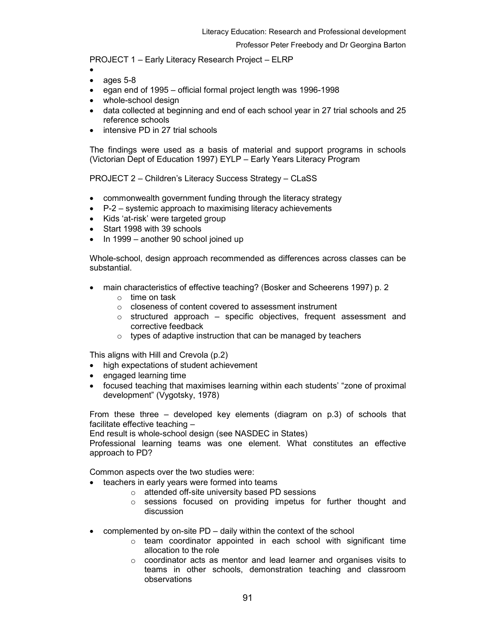PROJECT 1 – Early Literacy Research Project – ELRP

- •
- ages 5-8
- egan end of 1995 official formal project length was 1996-1998
- whole-school design
- data collected at beginning and end of each school year in 27 trial schools and 25 reference schools
- intensive PD in 27 trial schools

The findings were used as a basis of material and support programs in schools (Victorian Dept of Education 1997) EYLP – Early Years Literacy Program

PROJECT 2 – Children's Literacy Success Strategy – CLaSS

- commonwealth government funding through the literacy strategy
- P-2 systemic approach to maximising literacy achievements
- Kids 'at-risk' were targeted group
- Start 1998 with 39 schools
- In 1999 another 90 school joined up

Whole-school, design approach recommended as differences across classes can be substantial.

- main characteristics of effective teaching? (Bosker and Scheerens 1997) p. 2
	- o time on task
	- o closeness of content covered to assessment instrument
	- $\circ$  structured approach specific objectives, frequent assessment and corrective feedback
	- $\circ$  types of adaptive instruction that can be managed by teachers

This aligns with Hill and Crevola (p.2)

- high expectations of student achievement
- engaged learning time
- focused teaching that maximises learning within each students' "zone of proximal development" (Vygotsky, 1978)

From these three – developed key elements (diagram on p.3) of schools that facilitate effective teaching –

End result is whole-school design (see NASDEC in States)

Professional learning teams was one element. What constitutes an effective approach to PD?

Common aspects over the two studies were:

- teachers in early years were formed into teams
	- o attended off-site university based PD sessions
	- $\circ$  sessions focused on providing impetus for further thought and discussion
- complemented by on-site PD daily within the context of the school
	- o team coordinator appointed in each school with significant time allocation to the role
	- o coordinator acts as mentor and lead learner and organises visits to teams in other schools, demonstration teaching and classroom observations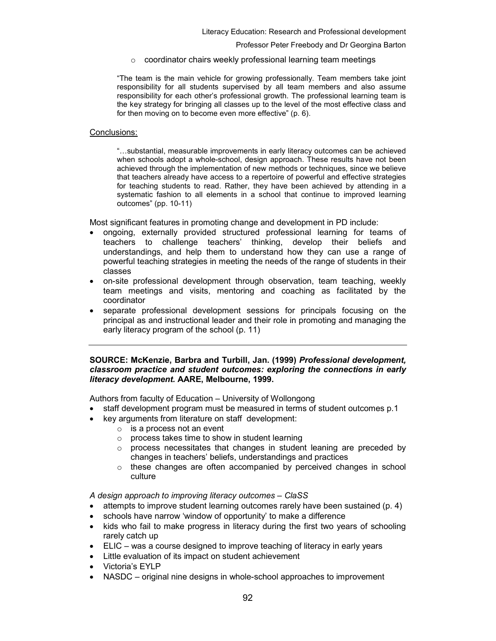$\circ$  coordinator chairs weekly professional learning team meetings

"The team is the main vehicle for growing professionally. Team members take joint responsibility for all students supervised by all team members and also assume responsibility for each other's professional growth. The professional learning team is the key strategy for bringing all classes up to the level of the most effective class and for then moving on to become even more effective" (p. 6).

## Conclusions:

"…substantial, measurable improvements in early literacy outcomes can be achieved when schools adopt a whole-school, design approach. These results have not been achieved through the implementation of new methods or techniques, since we believe that teachers already have access to a repertoire of powerful and effective strategies for teaching students to read. Rather, they have been achieved by attending in a systematic fashion to all elements in a school that continue to improved learning outcomes" (pp. 10-11)

Most significant features in promoting change and development in PD include:

- ongoing, externally provided structured professional learning for teams of teachers to challenge teachers' thinking, develop their beliefs and understandings, and help them to understand how they can use a range of powerful teaching strategies in meeting the needs of the range of students in their classes
- on-site professional development through observation, team teaching, weekly team meetings and visits, mentoring and coaching as facilitated by the coordinator
- separate professional development sessions for principals focusing on the principal as and instructional leader and their role in promoting and managing the early literacy program of the school (p. 11)

## SOURCE: McKenzie, Barbra and Turbill, Jan. (1999) Professional development, classroom practice and student outcomes: exploring the connections in early literacy development. AARE, Melbourne, 1999.

Authors from faculty of Education – University of Wollongong

- staff development program must be measured in terms of student outcomes p.1
- key arguments from literature on staff development:
	- $\circ$  is a process not an event
	- $\circ$  process takes time to show in student learning
	- $\circ$  process necessitates that changes in student leaning are preceded by changes in teachers' beliefs, understandings and practices
	- o these changes are often accompanied by perceived changes in school culture

A design approach to improving literacy outcomes – ClaSS

- attempts to improve student learning outcomes rarely have been sustained (p. 4)
- schools have narrow 'window of opportunity' to make a difference
- kids who fail to make progress in literacy during the first two years of schooling rarely catch up
- ELIC was a course designed to improve teaching of literacy in early years
- Little evaluation of its impact on student achievement
- Victoria's EYLP
- NASDC original nine designs in whole-school approaches to improvement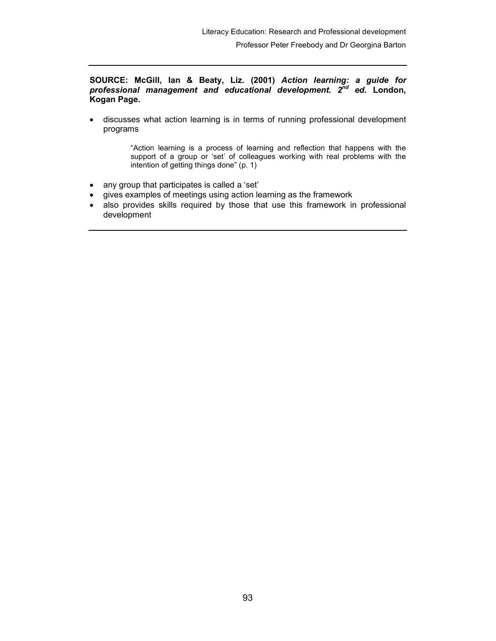SOURCE: McGill, Ian & Beaty, Liz. (2001) Action learning: a guide for professional management and educational development.  $2^{nd}$  ed. London, Kogan Page.

• discusses what action learning is in terms of running professional development programs

> "Action learning is a process of learning and reflection that happens with the support of a group or 'set' of colleagues working with real problems with the intention of getting things done" (p. 1)

- any group that participates is called a 'set'
- gives examples of meetings using action learning as the framework
- also provides skills required by those that use this framework in professional development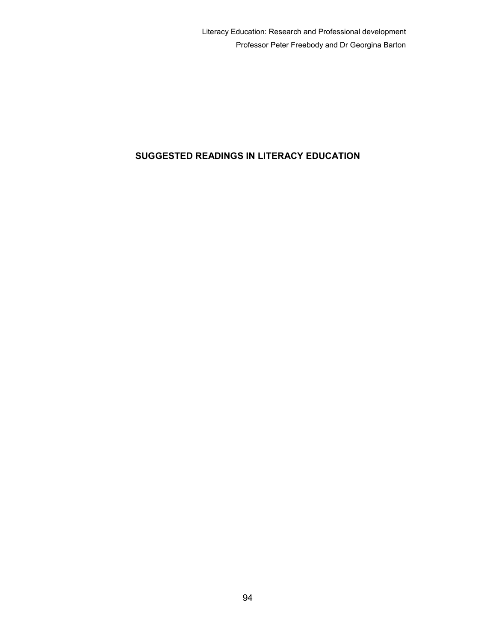# SUGGESTED READINGS IN LITERACY EDUCATION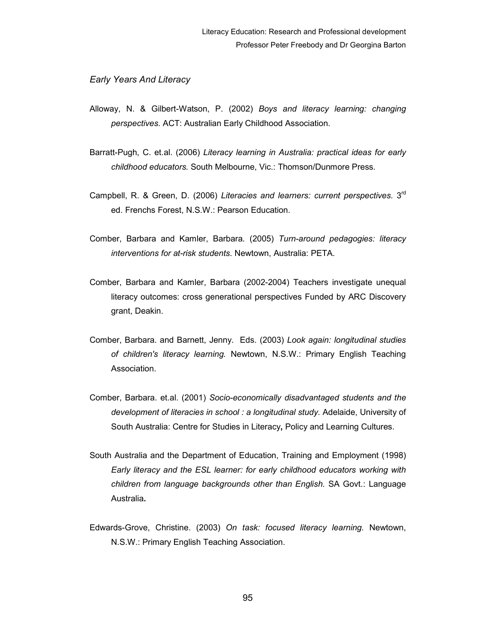# Early Years And Literacy

- Alloway, N. & Gilbert-Watson, P. (2002) Boys and literacy learning: changing perspectives. ACT: Australian Early Childhood Association.
- Barratt-Pugh, C. et.al. (2006) Literacy learning in Australia: practical ideas for early childhood educators. South Melbourne, Vic.: Thomson/Dunmore Press.
- Campbell, R. & Green, D. (2006) Literacies and learners: current perspectives. 3<sup>rd</sup> ed. Frenchs Forest, N.S.W.: Pearson Education.
- Comber, Barbara and Kamler, Barbara. (2005) Turn-around pedagogies: literacy interventions for at-risk students. Newtown, Australia: PETA.
- Comber, Barbara and Kamler, Barbara (2002-2004) Teachers investigate unequal literacy outcomes: cross generational perspectives Funded by ARC Discovery grant, Deakin.
- Comber, Barbara. and Barnett, Jenny. Eds. (2003) Look again: longitudinal studies of children's literacy learning. Newtown, N.S.W.: Primary English Teaching Association.
- Comber, Barbara. et.al. (2001) Socio-economically disadvantaged students and the development of literacies in school : a longitudinal study. Adelaide, University of South Australia: Centre for Studies in Literacy, Policy and Learning Cultures.
- South Australia and the Department of Education, Training and Employment (1998) Early literacy and the ESL learner: for early childhood educators working with children from language backgrounds other than English. SA Govt.: Language Australia.
- Edwards-Grove, Christine. (2003) On task: focused literacy learning. Newtown, N.S.W.: Primary English Teaching Association.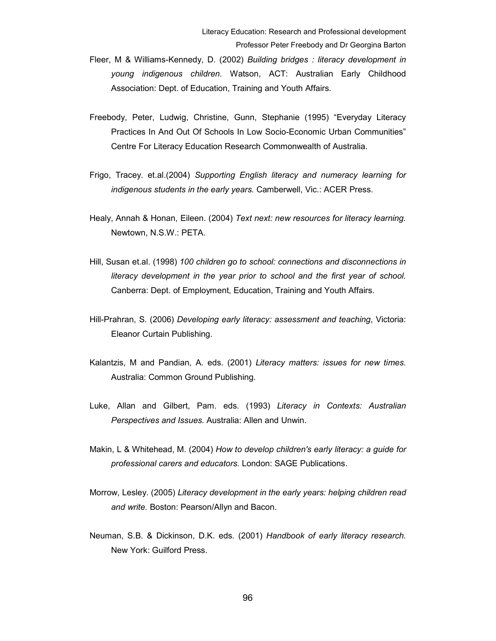- Fleer, M & Williams-Kennedy, D. (2002) Building bridges : literacy development in young indigenous children. Watson, ACT: Australian Early Childhood Association: Dept. of Education, Training and Youth Affairs.
- Freebody, Peter, Ludwig, Christine, Gunn, Stephanie (1995) "Everyday Literacy Practices In And Out Of Schools In Low Socio-Economic Urban Communities" Centre For Literacy Education Research Commonwealth of Australia.
- Frigo, Tracey. et.al.(2004) Supporting English literacy and numeracy learning for indigenous students in the early years. Camberwell, Vic.: ACER Press.
- Healy, Annah & Honan, Eileen. (2004) Text next: new resources for literacy learning. Newtown, N.S.W.: PETA.
- Hill, Susan et.al. (1998) 100 children go to school: connections and disconnections in literacy development in the year prior to school and the first year of school. Canberra: Dept. of Employment, Education, Training and Youth Affairs.
- Hill-Prahran, S. (2006) Developing early literacy: assessment and teaching, Victoria: Eleanor Curtain Publishing.
- Kalantzis, M and Pandian, A. eds. (2001) Literacy matters: issues for new times. Australia: Common Ground Publishing.
- Luke, Allan and Gilbert, Pam. eds. (1993) Literacy in Contexts: Australian Perspectives and Issues. Australia: Allen and Unwin.
- Makin, L & Whitehead, M. (2004) How to develop children's early literacy: a guide for professional carers and educators. London: SAGE Publications.
- Morrow, Lesley. (2005) Literacy development in the early years: helping children read and write. Boston: Pearson/Allyn and Bacon.
- Neuman, S.B. & Dickinson, D.K. eds. (2001) Handbook of early literacy research. New York: Guilford Press.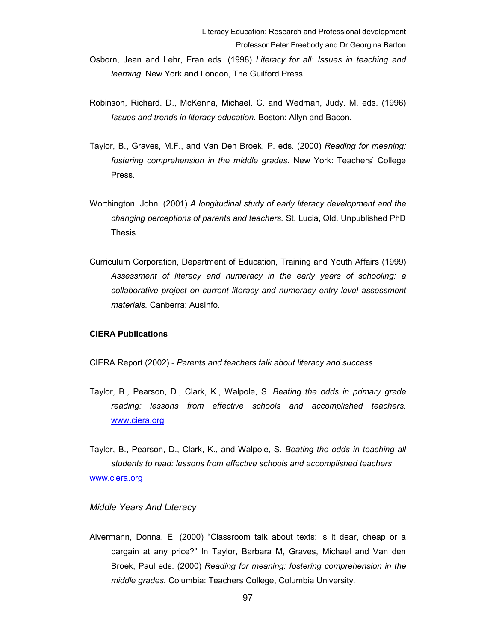- Robinson, Richard. D., McKenna, Michael. C. and Wedman, Judy. M. eds. (1996) Issues and trends in literacy education. Boston: Allyn and Bacon.
- Taylor, B., Graves, M.F., and Van Den Broek, P. eds. (2000) Reading for meaning: fostering comprehension in the middle grades. New York: Teachers' College Press.
- Worthington, John. (2001) A longitudinal study of early literacy development and the changing perceptions of parents and teachers. St. Lucia, Qld. Unpublished PhD Thesis.
- Curriculum Corporation, Department of Education, Training and Youth Affairs (1999) Assessment of literacy and numeracy in the early years of schooling: a collaborative project on current literacy and numeracy entry level assessment materials. Canberra: AusInfo.

## CIERA Publications

CIERA Report (2002) - Parents and teachers talk about literacy and success

Taylor, B., Pearson, D., Clark, K., Walpole, S. Beating the odds in primary grade reading: lessons from effective schools and accomplished teachers. www.ciera.org

Taylor, B., Pearson, D., Clark, K., and Walpole, S. Beating the odds in teaching all students to read: lessons from effective schools and accomplished teachers www.ciera.org

#### Middle Years And Literacy

Alvermann, Donna. E. (2000) "Classroom talk about texts: is it dear, cheap or a bargain at any price?" In Taylor, Barbara M, Graves, Michael and Van den Broek, Paul eds. (2000) Reading for meaning: fostering comprehension in the middle grades. Columbia: Teachers College, Columbia University.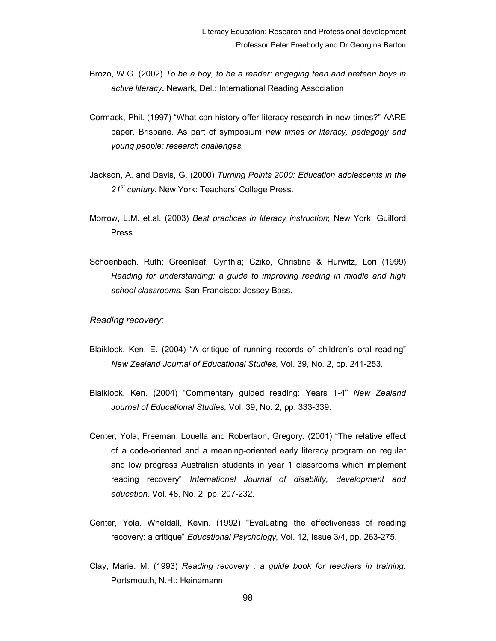- Brozo, W.G. (2002) To be a boy, to be a reader: engaging teen and preteen boys in active literacy. Newark, Del.: International Reading Association.
- Cormack, Phil. (1997) "What can history offer literacy research in new times?" AARE paper. Brisbane. As part of symposium new times or literacy, pedagogy and young people: research challenges.
- Jackson, A. and Davis, G. (2000) Turning Points 2000: Education adolescents in the 21<sup>st</sup> century. New York: Teachers' College Press.
- Morrow, L.M. et.al. (2003) Best practices in literacy instruction; New York: Guilford Press.
- Schoenbach, Ruth; Greenleaf, Cynthia; Cziko, Christine & Hurwitz, Lori (1999) Reading for understanding: a guide to improving reading in middle and high school classrooms. San Francisco: Jossey-Bass.

# Reading recovery:

- Blaiklock, Ken. E. (2004) "A critique of running records of children's oral reading" New Zealand Journal of Educational Studies, Vol. 39, No. 2, pp. 241-253.
- Blaiklock, Ken. (2004) "Commentary guided reading: Years 1-4" New Zealand Journal of Educational Studies, Vol. 39, No. 2, pp. 333-339.
- Center, Yola, Freeman, Louella and Robertson, Gregory. (2001) "The relative effect of a code-oriented and a meaning-oriented early literacy program on regular and low progress Australian students in year 1 classrooms which implement reading recovery" International Journal of disability, development and education, Vol. 48, No. 2, pp. 207-232.
- Center, Yola. Wheldall, Kevin. (1992) "Evaluating the effectiveness of reading recovery: a critique" Educational Psychology, Vol. 12, Issue 3/4, pp. 263-275.
- Clay, Marie. M. (1993) Reading recovery : a guide book for teachers in training. Portsmouth, N.H.: Heinemann.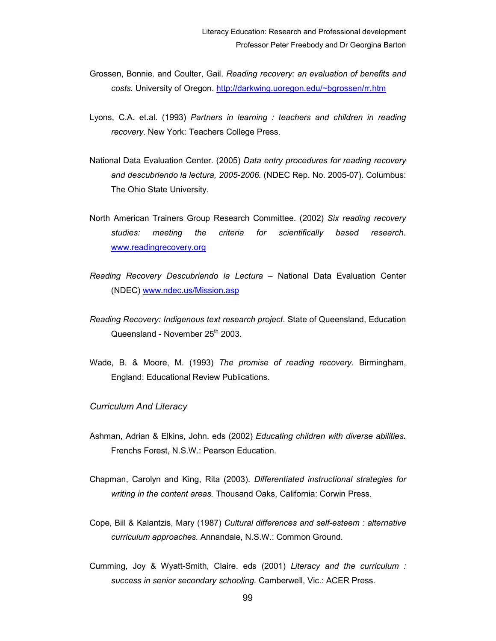- Grossen, Bonnie. and Coulter, Gail. Reading recovery: an evaluation of benefits and costs. University of Oregon. http://darkwing.uoregon.edu/~bgrossen/rr.htm
- Lyons, C.A. et.al. (1993) Partners in learning : teachers and children in reading recovery. New York: Teachers College Press.
- National Data Evaluation Center. (2005) Data entry procedures for reading recovery and descubriendo la lectura, 2005-2006. (NDEC Rep. No. 2005-07). Columbus: The Ohio State University.
- North American Trainers Group Research Committee. (2002) Six reading recovery studies: meeting the criteria for scientifically based research. www.readingrecovery.org
- Reading Recovery Descubriendo la Lectura National Data Evaluation Center (NDEC) www.ndec.us/Mission.asp
- Reading Recovery: Indigenous text research project. State of Queensland, Education Queensland - November 25<sup>th</sup> 2003.
- Wade, B. & Moore, M. (1993) The promise of reading recovery. Birmingham, England: Educational Review Publications.

## Curriculum And Literacy

- Ashman, Adrian & Elkins, John. eds (2002) Educating children with diverse abilities. Frenchs Forest, N.S.W.: Pearson Education.
- Chapman, Carolyn and King, Rita (2003). Differentiated instructional strategies for writing in the content areas. Thousand Oaks, California: Corwin Press.
- Cope, Bill & Kalantzis, Mary (1987) Cultural differences and self-esteem : alternative curriculum approaches. Annandale, N.S.W.: Common Ground.
- Cumming, Joy & Wyatt-Smith, Claire. eds (2001) Literacy and the curriculum : success in senior secondary schooling. Camberwell, Vic.: ACER Press.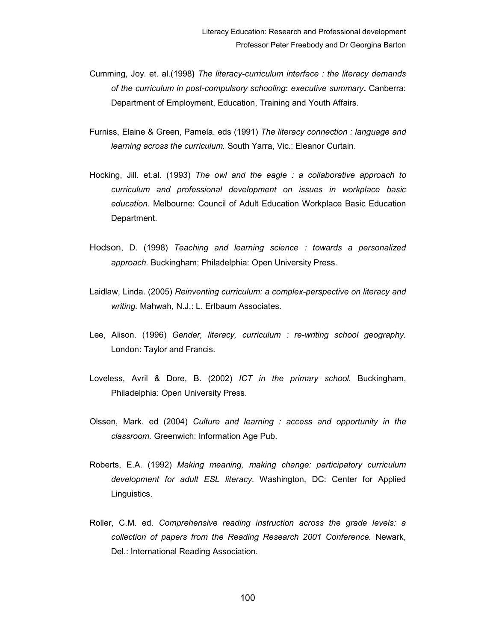- Cumming, Joy. et. al.(1998) The literacy-curriculum interface : the literacy demands of the curriculum in post-compulsory schooling: executive summary. Canberra: Department of Employment, Education, Training and Youth Affairs.
- Furniss, Elaine & Green, Pamela. eds (1991) The literacy connection : language and learning across the curriculum. South Yarra, Vic.: Eleanor Curtain.
- Hocking, Jill. et.al. (1993) The owl and the eagle : a collaborative approach to curriculum and professional development on issues in workplace basic education. Melbourne: Council of Adult Education Workplace Basic Education Department.
- Hodson, D. (1998) Teaching and learning science : towards a personalized approach. Buckingham; Philadelphia: Open University Press.
- Laidlaw, Linda. (2005) Reinventing curriculum: a complex-perspective on literacy and writing. Mahwah, N.J.: L. Erlbaum Associates.
- Lee, Alison. (1996) Gender, literacy, curriculum : re-writing school geography. London: Taylor and Francis.
- Loveless, Avril & Dore, B. (2002) ICT in the primary school. Buckingham, Philadelphia: Open University Press.
- Olssen, Mark. ed (2004) Culture and learning : access and opportunity in the classroom. Greenwich: Information Age Pub.
- Roberts, E.A. (1992) Making meaning, making change: participatory curriculum development for adult ESL literacy. Washington, DC: Center for Applied Linguistics.
- Roller, C.M. ed. Comprehensive reading instruction across the grade levels: a collection of papers from the Reading Research 2001 Conference. Newark, Del.: International Reading Association.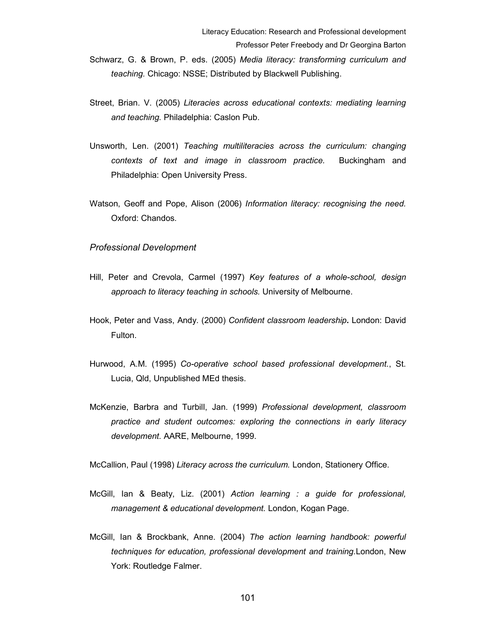- Schwarz, G. & Brown, P. eds. (2005) Media literacy: transforming curriculum and teaching. Chicago: NSSE; Distributed by Blackwell Publishing.
- Street, Brian. V. (2005) Literacies across educational contexts: mediating learning and teaching. Philadelphia: Caslon Pub.
- Unsworth, Len. (2001) Teaching multiliteracies across the curriculum: changing contexts of text and image in classroom practice. Buckingham and Philadelphia: Open University Press.
- Watson, Geoff and Pope, Alison (2006) Information literacy: recognising the need. Oxford: Chandos.

#### Professional Development

- Hill, Peter and Crevola, Carmel (1997) Key features of a whole-school, design approach to literacy teaching in schools. University of Melbourne.
- Hook, Peter and Vass, Andy. (2000) Confident classroom leadership. London: David Fulton.
- Hurwood, A.M. (1995) Co-operative school based professional development., St. Lucia, Qld, Unpublished MEd thesis.
- McKenzie, Barbra and Turbill, Jan. (1999) Professional development, classroom practice and student outcomes: exploring the connections in early literacy development. AARE, Melbourne, 1999.

McCallion, Paul (1998) Literacy across the curriculum. London, Stationery Office.

- McGill, Ian & Beaty, Liz. (2001) Action learning : a guide for professional, management & educational development. London, Kogan Page.
- McGill, Ian & Brockbank, Anne. (2004) The action learning handbook: powerful techniques for education, professional development and training.London, New York: Routledge Falmer.